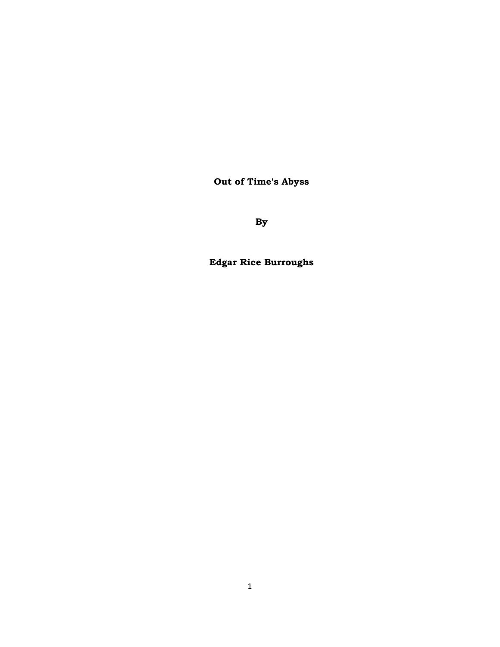**Out of Time's Abyss** 

**By** 

**Edgar Rice Burroughs**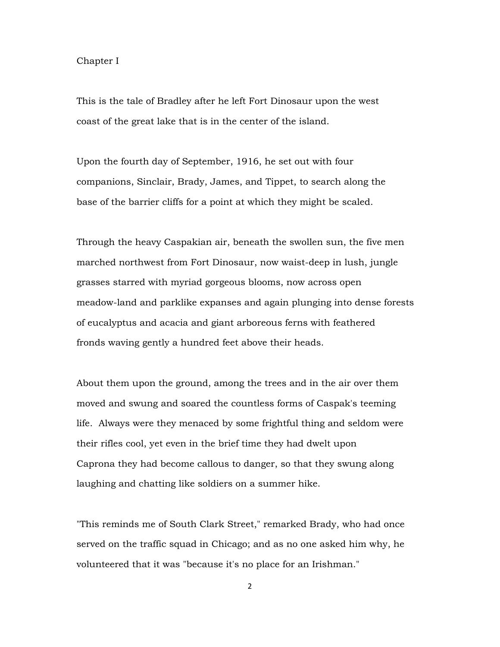## Chapter I

This is the tale of Bradley after he left Fort Dinosaur upon the west coast of the great lake that is in the center of the island.

Upon the fourth day of September, 1916, he set out with four companions, Sinclair, Brady, James, and Tippet, to search along the base of the barrier cliffs for a point at which they might be scaled.

Through the heavy Caspakian air, beneath the swollen sun, the five men marched northwest from Fort Dinosaur, now waist-deep in lush, jungle grasses starred with myriad gorgeous blooms, now across open meadow-land and parklike expanses and again plunging into dense forests of eucalyptus and acacia and giant arboreous ferns with feathered fronds waving gently a hundred feet above their heads.

About them upon the ground, among the trees and in the air over them moved and swung and soared the countless forms of Caspak's teeming life. Always were they menaced by some frightful thing and seldom were their rifles cool, yet even in the brief time they had dwelt upon Caprona they had become callous to danger, so that they swung along laughing and chatting like soldiers on a summer hike.

"This reminds me of South Clark Street," remarked Brady, who had once served on the traffic squad in Chicago; and as no one asked him why, he volunteered that it was "because it's no place for an Irishman."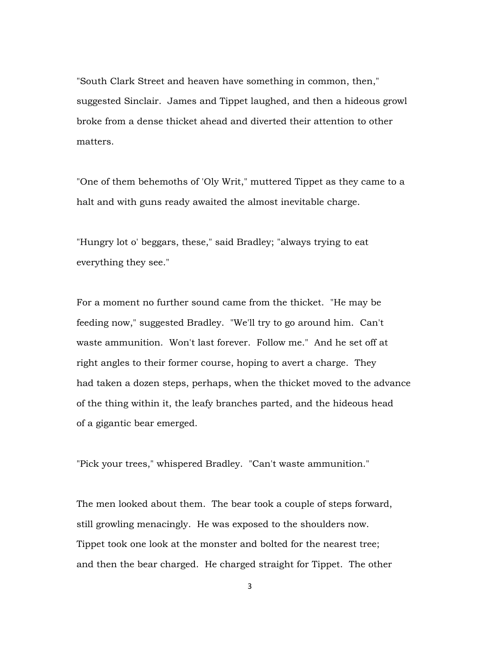"South Clark Street and heaven have something in common, then," suggested Sinclair. James and Tippet laughed, and then a hideous growl broke from a dense thicket ahead and diverted their attention to other matters.

"One of them behemoths of 'Oly Writ," muttered Tippet as they came to a halt and with guns ready awaited the almost inevitable charge.

"Hungry lot o' beggars, these," said Bradley; "always trying to eat everything they see."

For a moment no further sound came from the thicket. "He may be feeding now," suggested Bradley. "We'll try to go around him. Can't waste ammunition. Won't last forever. Follow me." And he set off at right angles to their former course, hoping to avert a charge. They had taken a dozen steps, perhaps, when the thicket moved to the advance of the thing within it, the leafy branches parted, and the hideous head of a gigantic bear emerged.

"Pick your trees," whispered Bradley. "Can't waste ammunition."

The men looked about them. The bear took a couple of steps forward, still growling menacingly. He was exposed to the shoulders now. Tippet took one look at the monster and bolted for the nearest tree; and then the bear charged. He charged straight for Tippet. The other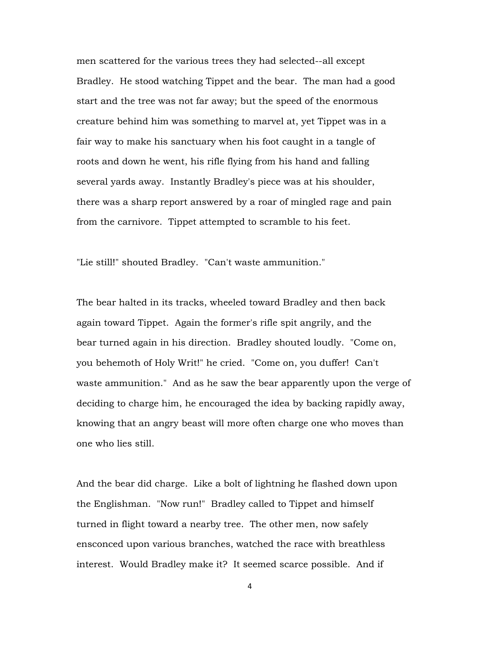men scattered for the various trees they had selected--all except Bradley. He stood watching Tippet and the bear. The man had a good start and the tree was not far away; but the speed of the enormous creature behind him was something to marvel at, yet Tippet was in a fair way to make his sanctuary when his foot caught in a tangle of roots and down he went, his rifle flying from his hand and falling several yards away. Instantly Bradley's piece was at his shoulder, there was a sharp report answered by a roar of mingled rage and pain from the carnivore. Tippet attempted to scramble to his feet.

"Lie still!" shouted Bradley. "Can't waste ammunition."

The bear halted in its tracks, wheeled toward Bradley and then back again toward Tippet. Again the former's rifle spit angrily, and the bear turned again in his direction. Bradley shouted loudly. "Come on, you behemoth of Holy Writ!" he cried. "Come on, you duffer! Can't waste ammunition." And as he saw the bear apparently upon the verge of deciding to charge him, he encouraged the idea by backing rapidly away, knowing that an angry beast will more often charge one who moves than one who lies still.

And the bear did charge. Like a bolt of lightning he flashed down upon the Englishman. "Now run!" Bradley called to Tippet and himself turned in flight toward a nearby tree. The other men, now safely ensconced upon various branches, watched the race with breathless interest. Would Bradley make it? It seemed scarce possible. And if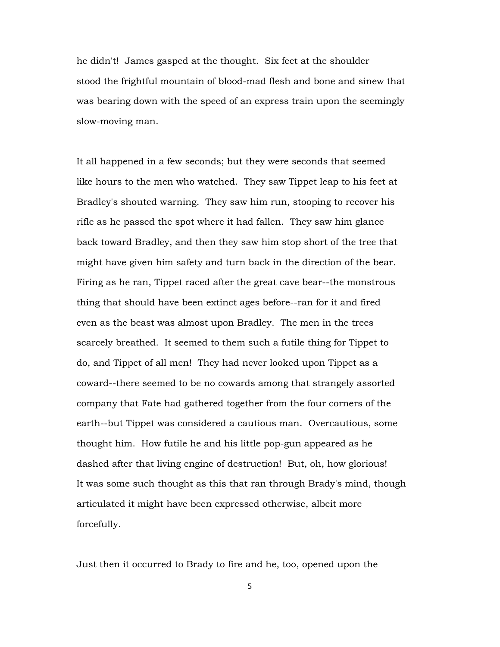he didn't! James gasped at the thought. Six feet at the shoulder stood the frightful mountain of blood-mad flesh and bone and sinew that was bearing down with the speed of an express train upon the seemingly slow-moving man.

It all happened in a few seconds; but they were seconds that seemed like hours to the men who watched. They saw Tippet leap to his feet at Bradley's shouted warning. They saw him run, stooping to recover his rifle as he passed the spot where it had fallen. They saw him glance back toward Bradley, and then they saw him stop short of the tree that might have given him safety and turn back in the direction of the bear. Firing as he ran, Tippet raced after the great cave bear--the monstrous thing that should have been extinct ages before--ran for it and fired even as the beast was almost upon Bradley. The men in the trees scarcely breathed. It seemed to them such a futile thing for Tippet to do, and Tippet of all men! They had never looked upon Tippet as a coward--there seemed to be no cowards among that strangely assorted company that Fate had gathered together from the four corners of the earth--but Tippet was considered a cautious man. Overcautious, some thought him. How futile he and his little pop-gun appeared as he dashed after that living engine of destruction! But, oh, how glorious! It was some such thought as this that ran through Brady's mind, though articulated it might have been expressed otherwise, albeit more forcefully.

Just then it occurred to Brady to fire and he, too, opened upon the

5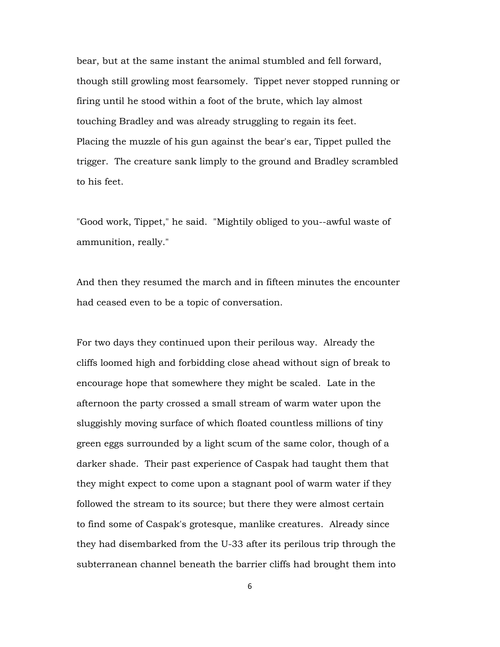bear, but at the same instant the animal stumbled and fell forward, though still growling most fearsomely. Tippet never stopped running or firing until he stood within a foot of the brute, which lay almost touching Bradley and was already struggling to regain its feet. Placing the muzzle of his gun against the bear's ear, Tippet pulled the trigger. The creature sank limply to the ground and Bradley scrambled to his feet.

"Good work, Tippet," he said. "Mightily obliged to you--awful waste of ammunition, really."

And then they resumed the march and in fifteen minutes the encounter had ceased even to be a topic of conversation.

For two days they continued upon their perilous way. Already the cliffs loomed high and forbidding close ahead without sign of break to encourage hope that somewhere they might be scaled. Late in the afternoon the party crossed a small stream of warm water upon the sluggishly moving surface of which floated countless millions of tiny green eggs surrounded by a light scum of the same color, though of a darker shade. Their past experience of Caspak had taught them that they might expect to come upon a stagnant pool of warm water if they followed the stream to its source; but there they were almost certain to find some of Caspak's grotesque, manlike creatures. Already since they had disembarked from the U-33 after its perilous trip through the subterranean channel beneath the barrier cliffs had brought them into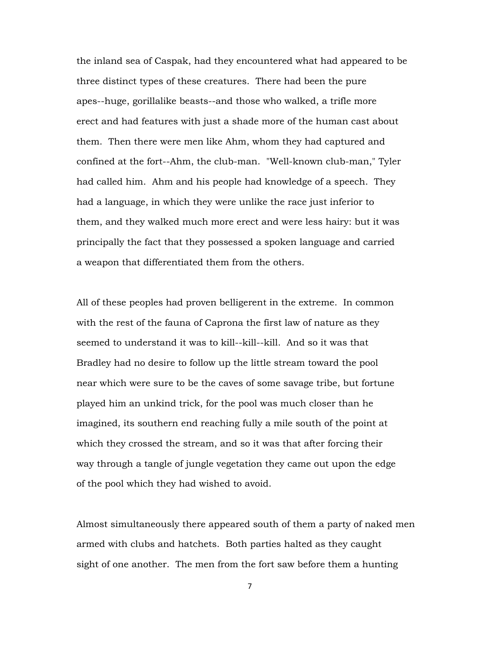the inland sea of Caspak, had they encountered what had appeared to be three distinct types of these creatures. There had been the pure apes--huge, gorillalike beasts--and those who walked, a trifle more erect and had features with just a shade more of the human cast about them. Then there were men like Ahm, whom they had captured and confined at the fort--Ahm, the club-man. "Well-known club-man," Tyler had called him. Ahm and his people had knowledge of a speech. They had a language, in which they were unlike the race just inferior to them, and they walked much more erect and were less hairy: but it was principally the fact that they possessed a spoken language and carried a weapon that differentiated them from the others.

All of these peoples had proven belligerent in the extreme. In common with the rest of the fauna of Caprona the first law of nature as they seemed to understand it was to kill--kill--kill. And so it was that Bradley had no desire to follow up the little stream toward the pool near which were sure to be the caves of some savage tribe, but fortune played him an unkind trick, for the pool was much closer than he imagined, its southern end reaching fully a mile south of the point at which they crossed the stream, and so it was that after forcing their way through a tangle of jungle vegetation they came out upon the edge of the pool which they had wished to avoid.

Almost simultaneously there appeared south of them a party of naked men armed with clubs and hatchets. Both parties halted as they caught sight of one another. The men from the fort saw before them a hunting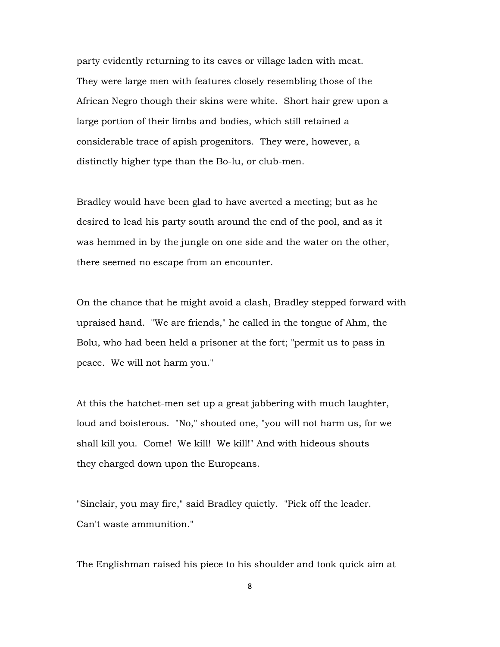party evidently returning to its caves or village laden with meat. They were large men with features closely resembling those of the African Negro though their skins were white. Short hair grew upon a large portion of their limbs and bodies, which still retained a considerable trace of apish progenitors. They were, however, a distinctly higher type than the Bo-lu, or club-men.

Bradley would have been glad to have averted a meeting; but as he desired to lead his party south around the end of the pool, and as it was hemmed in by the jungle on one side and the water on the other, there seemed no escape from an encounter.

On the chance that he might avoid a clash, Bradley stepped forward with upraised hand. "We are friends," he called in the tongue of Ahm, the Bolu, who had been held a prisoner at the fort; "permit us to pass in peace. We will not harm you."

At this the hatchet-men set up a great jabbering with much laughter, loud and boisterous. "No," shouted one, "you will not harm us, for we shall kill you. Come! We kill! We kill!" And with hideous shouts they charged down upon the Europeans.

"Sinclair, you may fire," said Bradley quietly. "Pick off the leader. Can't waste ammunition."

The Englishman raised his piece to his shoulder and took quick aim at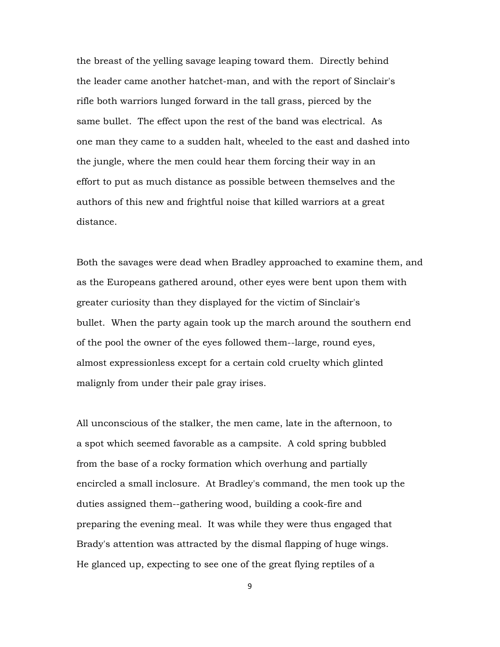the breast of the yelling savage leaping toward them. Directly behind the leader came another hatchet-man, and with the report of Sinclair's rifle both warriors lunged forward in the tall grass, pierced by the same bullet. The effect upon the rest of the band was electrical. As one man they came to a sudden halt, wheeled to the east and dashed into the jungle, where the men could hear them forcing their way in an effort to put as much distance as possible between themselves and the authors of this new and frightful noise that killed warriors at a great distance.

Both the savages were dead when Bradley approached to examine them, and as the Europeans gathered around, other eyes were bent upon them with greater curiosity than they displayed for the victim of Sinclair's bullet. When the party again took up the march around the southern end of the pool the owner of the eyes followed them--large, round eyes, almost expressionless except for a certain cold cruelty which glinted malignly from under their pale gray irises.

All unconscious of the stalker, the men came, late in the afternoon, to a spot which seemed favorable as a campsite. A cold spring bubbled from the base of a rocky formation which overhung and partially encircled a small inclosure. At Bradley's command, the men took up the duties assigned them--gathering wood, building a cook-fire and preparing the evening meal. It was while they were thus engaged that Brady's attention was attracted by the dismal flapping of huge wings. He glanced up, expecting to see one of the great flying reptiles of a

9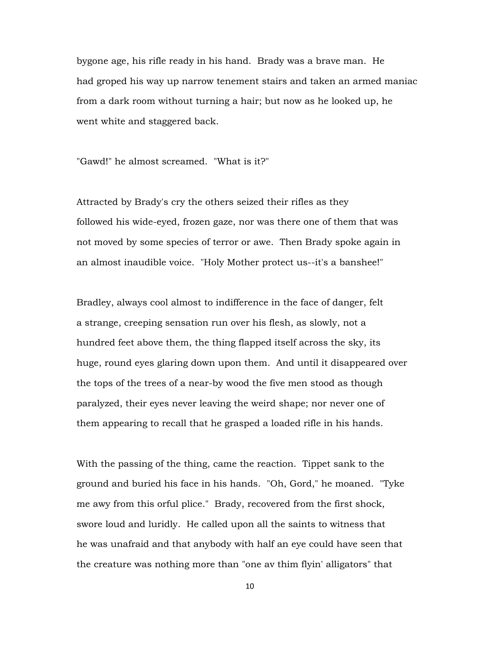bygone age, his rifle ready in his hand. Brady was a brave man. He had groped his way up narrow tenement stairs and taken an armed maniac from a dark room without turning a hair; but now as he looked up, he went white and staggered back.

"Gawd!" he almost screamed. "What is it?"

Attracted by Brady's cry the others seized their rifles as they followed his wide-eyed, frozen gaze, nor was there one of them that was not moved by some species of terror or awe. Then Brady spoke again in an almost inaudible voice. "Holy Mother protect us--it's a banshee!"

Bradley, always cool almost to indifference in the face of danger, felt a strange, creeping sensation run over his flesh, as slowly, not a hundred feet above them, the thing flapped itself across the sky, its huge, round eyes glaring down upon them. And until it disappeared over the tops of the trees of a near-by wood the five men stood as though paralyzed, their eyes never leaving the weird shape; nor never one of them appearing to recall that he grasped a loaded rifle in his hands.

With the passing of the thing, came the reaction. Tippet sank to the ground and buried his face in his hands. "Oh, Gord," he moaned. "Tyke me awy from this orful plice." Brady, recovered from the first shock, swore loud and luridly. He called upon all the saints to witness that he was unafraid and that anybody with half an eye could have seen that the creature was nothing more than "one av thim flyin' alligators" that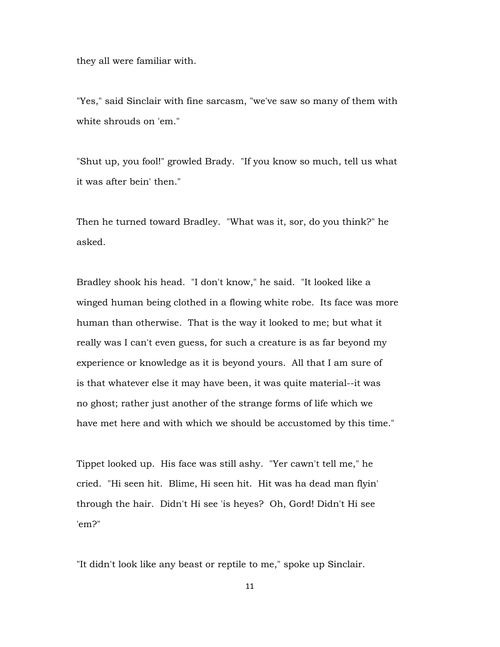they all were familiar with.

"Yes," said Sinclair with fine sarcasm, "we've saw so many of them with white shrouds on 'em."

"Shut up, you fool!" growled Brady. "If you know so much, tell us what it was after bein' then."

Then he turned toward Bradley. "What was it, sor, do you think?" he asked.

Bradley shook his head. "I don't know," he said. "It looked like a winged human being clothed in a flowing white robe. Its face was more human than otherwise. That is the way it looked to me; but what it really was I can't even guess, for such a creature is as far beyond my experience or knowledge as it is beyond yours. All that I am sure of is that whatever else it may have been, it was quite material--it was no ghost; rather just another of the strange forms of life which we have met here and with which we should be accustomed by this time."

Tippet looked up. His face was still ashy. "Yer cawn't tell me," he cried. "Hi seen hit. Blime, Hi seen hit. Hit was ha dead man flyin' through the hair. Didn't Hi see 'is heyes? Oh, Gord! Didn't Hi see 'em?"

"It didn't look like any beast or reptile to me," spoke up Sinclair.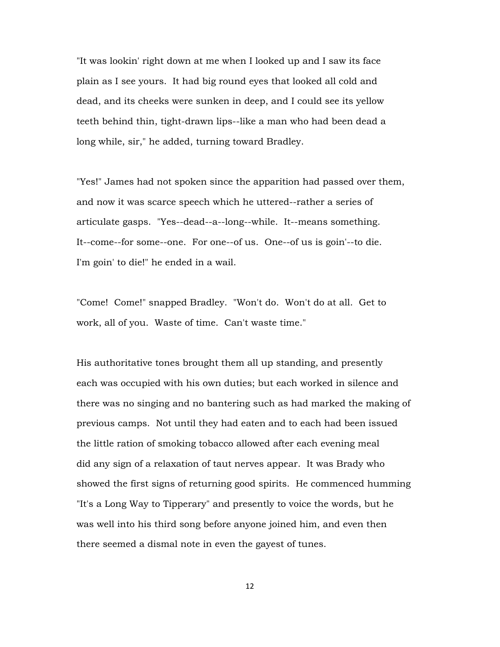"It was lookin' right down at me when I looked up and I saw its face plain as I see yours. It had big round eyes that looked all cold and dead, and its cheeks were sunken in deep, and I could see its yellow teeth behind thin, tight-drawn lips--like a man who had been dead a long while, sir," he added, turning toward Bradley.

"Yes!" James had not spoken since the apparition had passed over them, and now it was scarce speech which he uttered--rather a series of articulate gasps. "Yes--dead--a--long--while. It--means something. It--come--for some--one. For one--of us. One--of us is goin'--to die. I'm goin' to die!" he ended in a wail.

"Come! Come!" snapped Bradley. "Won't do. Won't do at all. Get to work, all of you. Waste of time. Can't waste time."

His authoritative tones brought them all up standing, and presently each was occupied with his own duties; but each worked in silence and there was no singing and no bantering such as had marked the making of previous camps. Not until they had eaten and to each had been issued the little ration of smoking tobacco allowed after each evening meal did any sign of a relaxation of taut nerves appear. It was Brady who showed the first signs of returning good spirits. He commenced humming "It's a Long Way to Tipperary" and presently to voice the words, but he was well into his third song before anyone joined him, and even then there seemed a dismal note in even the gayest of tunes.

12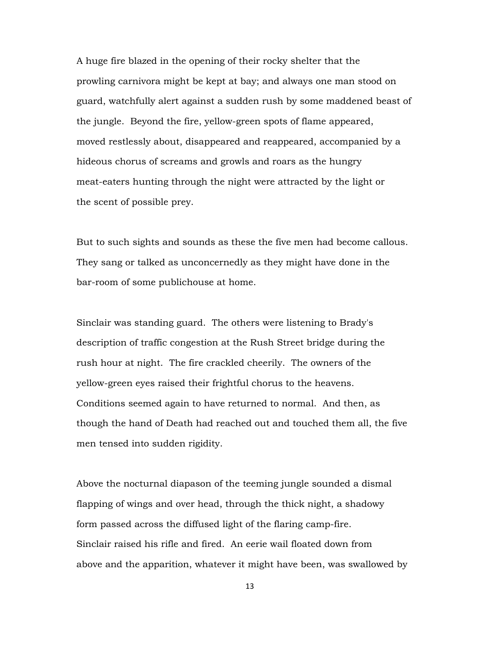A huge fire blazed in the opening of their rocky shelter that the prowling carnivora might be kept at bay; and always one man stood on guard, watchfully alert against a sudden rush by some maddened beast of the jungle. Beyond the fire, yellow-green spots of flame appeared, moved restlessly about, disappeared and reappeared, accompanied by a hideous chorus of screams and growls and roars as the hungry meat-eaters hunting through the night were attracted by the light or the scent of possible prey.

But to such sights and sounds as these the five men had become callous. They sang or talked as unconcernedly as they might have done in the bar-room of some publichouse at home.

Sinclair was standing guard. The others were listening to Brady's description of traffic congestion at the Rush Street bridge during the rush hour at night. The fire crackled cheerily. The owners of the yellow-green eyes raised their frightful chorus to the heavens. Conditions seemed again to have returned to normal. And then, as though the hand of Death had reached out and touched them all, the five men tensed into sudden rigidity.

Above the nocturnal diapason of the teeming jungle sounded a dismal flapping of wings and over head, through the thick night, a shadowy form passed across the diffused light of the flaring camp-fire. Sinclair raised his rifle and fired. An eerie wail floated down from above and the apparition, whatever it might have been, was swallowed by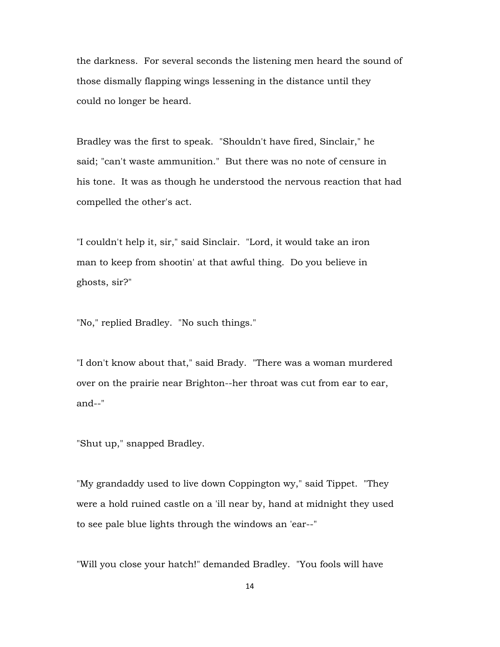the darkness. For several seconds the listening men heard the sound of those dismally flapping wings lessening in the distance until they could no longer be heard.

Bradley was the first to speak. "Shouldn't have fired, Sinclair," he said; "can't waste ammunition." But there was no note of censure in his tone. It was as though he understood the nervous reaction that had compelled the other's act.

"I couldn't help it, sir," said Sinclair. "Lord, it would take an iron man to keep from shootin' at that awful thing. Do you believe in ghosts, sir?"

"No," replied Bradley. "No such things."

"I don't know about that," said Brady. "There was a woman murdered over on the prairie near Brighton--her throat was cut from ear to ear, and--"

"Shut up," snapped Bradley.

"My grandaddy used to live down Coppington wy," said Tippet. "They were a hold ruined castle on a 'ill near by, hand at midnight they used to see pale blue lights through the windows an 'ear--"

"Will you close your hatch!" demanded Bradley. "You fools will have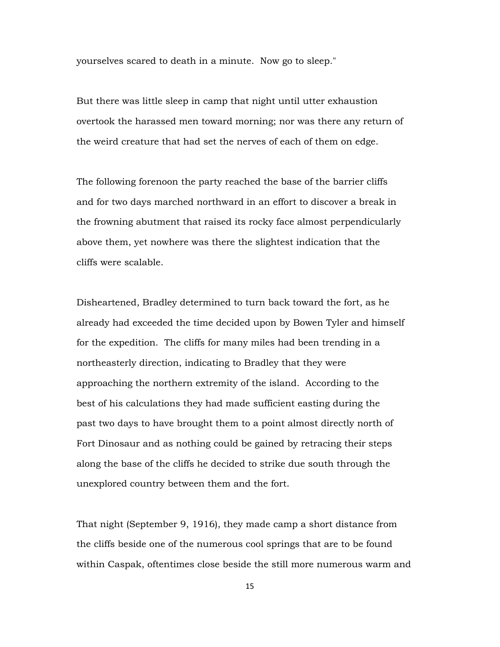yourselves scared to death in a minute. Now go to sleep."

But there was little sleep in camp that night until utter exhaustion overtook the harassed men toward morning; nor was there any return of the weird creature that had set the nerves of each of them on edge.

The following forenoon the party reached the base of the barrier cliffs and for two days marched northward in an effort to discover a break in the frowning abutment that raised its rocky face almost perpendicularly above them, yet nowhere was there the slightest indication that the cliffs were scalable.

Disheartened, Bradley determined to turn back toward the fort, as he already had exceeded the time decided upon by Bowen Tyler and himself for the expedition. The cliffs for many miles had been trending in a northeasterly direction, indicating to Bradley that they were approaching the northern extremity of the island. According to the best of his calculations they had made sufficient easting during the past two days to have brought them to a point almost directly north of Fort Dinosaur and as nothing could be gained by retracing their steps along the base of the cliffs he decided to strike due south through the unexplored country between them and the fort.

That night (September 9, 1916), they made camp a short distance from the cliffs beside one of the numerous cool springs that are to be found within Caspak, oftentimes close beside the still more numerous warm and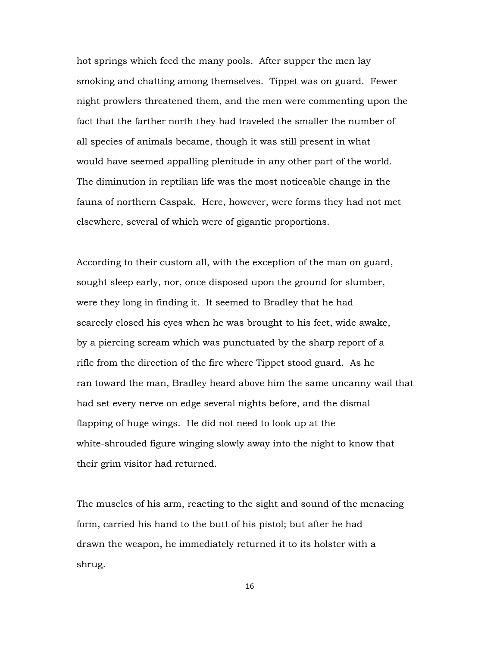hot springs which feed the many pools. After supper the men lay smoking and chatting among themselves. Tippet was on guard. Fewer night prowlers threatened them, and the men were commenting upon the fact that the farther north they had traveled the smaller the number of all species of animals became, though it was still present in what would have seemed appalling plenitude in any other part of the world. The diminution in reptilian life was the most noticeable change in the fauna of northern Caspak. Here, however, were forms they had not met elsewhere, several of which were of gigantic proportions.

According to their custom all, with the exception of the man on guard, sought sleep early, nor, once disposed upon the ground for slumber, were they long in finding it. It seemed to Bradley that he had scarcely closed his eyes when he was brought to his feet, wide awake, by a piercing scream which was punctuated by the sharp report of a rifle from the direction of the fire where Tippet stood guard. As he ran toward the man, Bradley heard above him the same uncanny wail that had set every nerve on edge several nights before, and the dismal flapping of huge wings. He did not need to look up at the white-shrouded figure winging slowly away into the night to know that their grim visitor had returned.

The muscles of his arm, reacting to the sight and sound of the menacing form, carried his hand to the butt of his pistol; but after he had drawn the weapon, he immediately returned it to its holster with a shrug.

16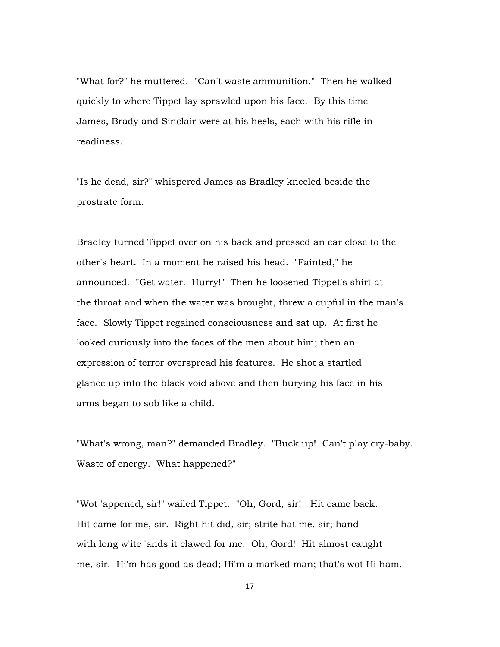"What for?" he muttered. "Can't waste ammunition." Then he walked quickly to where Tippet lay sprawled upon his face. By this time James, Brady and Sinclair were at his heels, each with his rifle in readiness.

"Is he dead, sir?" whispered James as Bradley kneeled beside the prostrate form.

Bradley turned Tippet over on his back and pressed an ear close to the other's heart. In a moment he raised his head. "Fainted," he announced. "Get water. Hurry!" Then he loosened Tippet's shirt at the throat and when the water was brought, threw a cupful in the man's face. Slowly Tippet regained consciousness and sat up. At first he looked curiously into the faces of the men about him; then an expression of terror overspread his features. He shot a startled glance up into the black void above and then burying his face in his arms began to sob like a child.

"What's wrong, man?" demanded Bradley. "Buck up! Can't play cry-baby. Waste of energy. What happened?"

"Wot 'appened, sir!" wailed Tippet. "Oh, Gord, sir! Hit came back. Hit came for me, sir. Right hit did, sir; strite hat me, sir; hand with long w'ite 'ands it clawed for me. Oh, Gord! Hit almost caught me, sir. Hi'm has good as dead; Hi'm a marked man; that's wot Hi ham.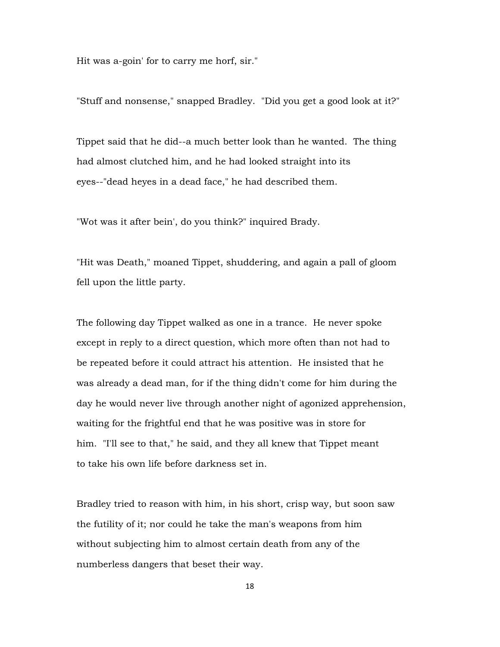Hit was a-goin' for to carry me horf, sir."

"Stuff and nonsense," snapped Bradley. "Did you get a good look at it?"

Tippet said that he did--a much better look than he wanted. The thing had almost clutched him, and he had looked straight into its eyes--"dead heyes in a dead face," he had described them.

"Wot was it after bein', do you think?" inquired Brady.

"Hit was Death," moaned Tippet, shuddering, and again a pall of gloom fell upon the little party.

The following day Tippet walked as one in a trance. He never spoke except in reply to a direct question, which more often than not had to be repeated before it could attract his attention. He insisted that he was already a dead man, for if the thing didn't come for him during the day he would never live through another night of agonized apprehension, waiting for the frightful end that he was positive was in store for him. "I'll see to that," he said, and they all knew that Tippet meant to take his own life before darkness set in.

Bradley tried to reason with him, in his short, crisp way, but soon saw the futility of it; nor could he take the man's weapons from him without subjecting him to almost certain death from any of the numberless dangers that beset their way.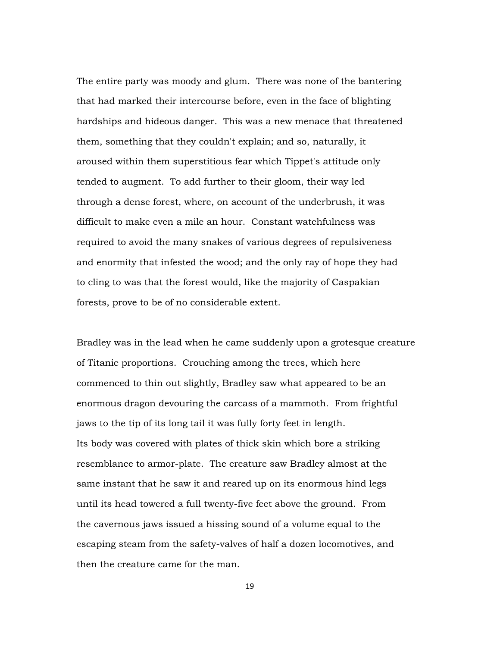The entire party was moody and glum. There was none of the bantering that had marked their intercourse before, even in the face of blighting hardships and hideous danger. This was a new menace that threatened them, something that they couldn't explain; and so, naturally, it aroused within them superstitious fear which Tippet's attitude only tended to augment. To add further to their gloom, their way led through a dense forest, where, on account of the underbrush, it was difficult to make even a mile an hour. Constant watchfulness was required to avoid the many snakes of various degrees of repulsiveness and enormity that infested the wood; and the only ray of hope they had to cling to was that the forest would, like the majority of Caspakian forests, prove to be of no considerable extent.

Bradley was in the lead when he came suddenly upon a grotesque creature of Titanic proportions. Crouching among the trees, which here commenced to thin out slightly, Bradley saw what appeared to be an enormous dragon devouring the carcass of a mammoth. From frightful jaws to the tip of its long tail it was fully forty feet in length. Its body was covered with plates of thick skin which bore a striking resemblance to armor-plate. The creature saw Bradley almost at the same instant that he saw it and reared up on its enormous hind legs until its head towered a full twenty-five feet above the ground. From the cavernous jaws issued a hissing sound of a volume equal to the escaping steam from the safety-valves of half a dozen locomotives, and then the creature came for the man.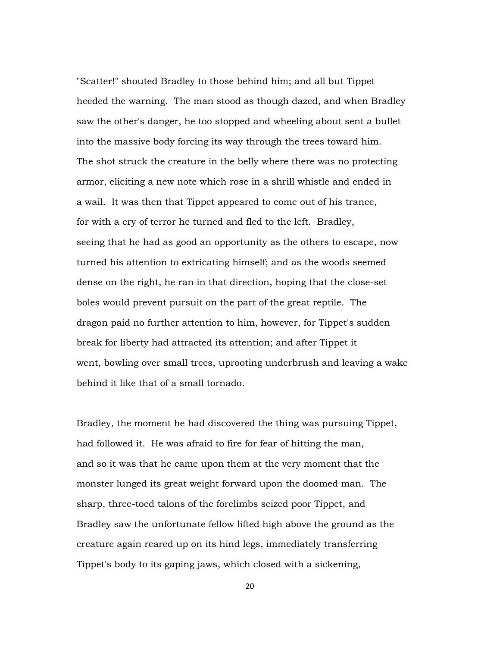"Scatter!" shouted Bradley to those behind him; and all but Tippet heeded the warning. The man stood as though dazed, and when Bradley saw the other's danger, he too stopped and wheeling about sent a bullet into the massive body forcing its way through the trees toward him. The shot struck the creature in the belly where there was no protecting armor, eliciting a new note which rose in a shrill whistle and ended in a wail. It was then that Tippet appeared to come out of his trance, for with a cry of terror he turned and fled to the left. Bradley, seeing that he had as good an opportunity as the others to escape, now turned his attention to extricating himself; and as the woods seemed dense on the right, he ran in that direction, hoping that the close-set boles would prevent pursuit on the part of the great reptile. The dragon paid no further attention to him, however, for Tippet's sudden break for liberty had attracted its attention; and after Tippet it went, bowling over small trees, uprooting underbrush and leaving a wake behind it like that of a small tornado.

Bradley, the moment he had discovered the thing was pursuing Tippet, had followed it. He was afraid to fire for fear of hitting the man, and so it was that he came upon them at the very moment that the monster lunged its great weight forward upon the doomed man. The sharp, three-toed talons of the forelimbs seized poor Tippet, and Bradley saw the unfortunate fellow lifted high above the ground as the creature again reared up on its hind legs, immediately transferring Tippet's body to its gaping jaws, which closed with a sickening,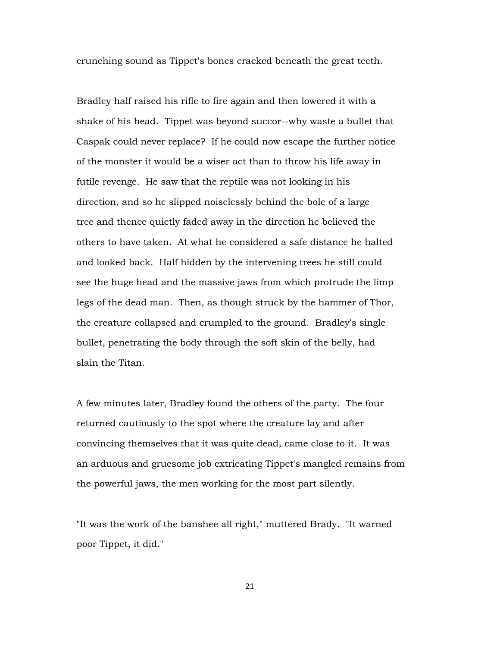crunching sound as Tippet's bones cracked beneath the great teeth.

Bradley half raised his rifle to fire again and then lowered it with a shake of his head. Tippet was beyond succor--why waste a bullet that Caspak could never replace? If he could now escape the further notice of the monster it would be a wiser act than to throw his life away in futile revenge. He saw that the reptile was not looking in his direction, and so he slipped noiselessly behind the bole of a large tree and thence quietly faded away in the direction he believed the others to have taken. At what he considered a safe distance he halted and looked back. Half hidden by the intervening trees he still could see the huge head and the massive jaws from which protrude the limp legs of the dead man. Then, as though struck by the hammer of Thor, the creature collapsed and crumpled to the ground. Bradley's single bullet, penetrating the body through the soft skin of the belly, had slain the Titan.

A few minutes later, Bradley found the others of the party. The four returned cautiously to the spot where the creature lay and after convincing themselves that it was quite dead, came close to it. It was an arduous and gruesome job extricating Tippet's mangled remains from the powerful jaws, the men working for the most part silently.

"It was the work of the banshee all right," muttered Brady. "It warned poor Tippet, it did."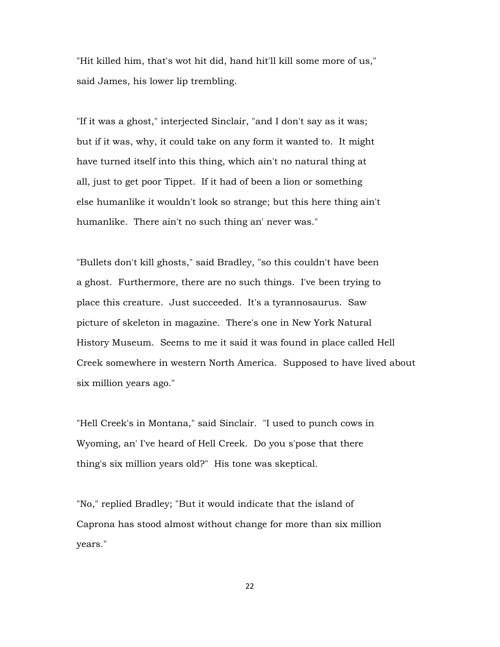"Hit killed him, that's wot hit did, hand hit'll kill some more of us," said James, his lower lip trembling.

"If it was a ghost," interjected Sinclair, "and I don't say as it was; but if it was, why, it could take on any form it wanted to. It might have turned itself into this thing, which ain't no natural thing at all, just to get poor Tippet. If it had of been a lion or something else humanlike it wouldn't look so strange; but this here thing ain't humanlike. There ain't no such thing an' never was."

"Bullets don't kill ghosts," said Bradley, "so this couldn't have been a ghost. Furthermore, there are no such things. I've been trying to place this creature. Just succeeded. It's a tyrannosaurus. Saw picture of skeleton in magazine. There's one in New York Natural History Museum. Seems to me it said it was found in place called Hell Creek somewhere in western North America. Supposed to have lived about six million years ago."

"Hell Creek's in Montana," said Sinclair. "I used to punch cows in Wyoming, an' I've heard of Hell Creek. Do you s'pose that there thing's six million years old?" His tone was skeptical.

"No," replied Bradley; "But it would indicate that the island of Caprona has stood almost without change for more than six million years."

22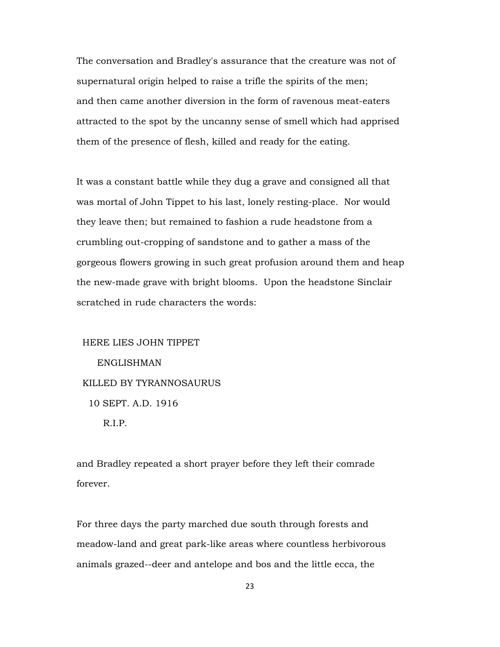The conversation and Bradley's assurance that the creature was not of supernatural origin helped to raise a trifle the spirits of the men; and then came another diversion in the form of ravenous meat-eaters attracted to the spot by the uncanny sense of smell which had apprised them of the presence of flesh, killed and ready for the eating.

It was a constant battle while they dug a grave and consigned all that was mortal of John Tippet to his last, lonely resting-place. Nor would they leave then; but remained to fashion a rude headstone from a crumbling out-cropping of sandstone and to gather a mass of the gorgeous flowers growing in such great profusion around them and heap the new-made grave with bright blooms. Upon the headstone Sinclair scratched in rude characters the words:

 HERE LIES JOHN TIPPET ENGLISHMAN KILLED BY TYRANNOSAURUS 10 SEPT. A.D. 1916 R.I.P.

and Bradley repeated a short prayer before they left their comrade forever.

For three days the party marched due south through forests and meadow-land and great park-like areas where countless herbivorous animals grazed--deer and antelope and bos and the little ecca, the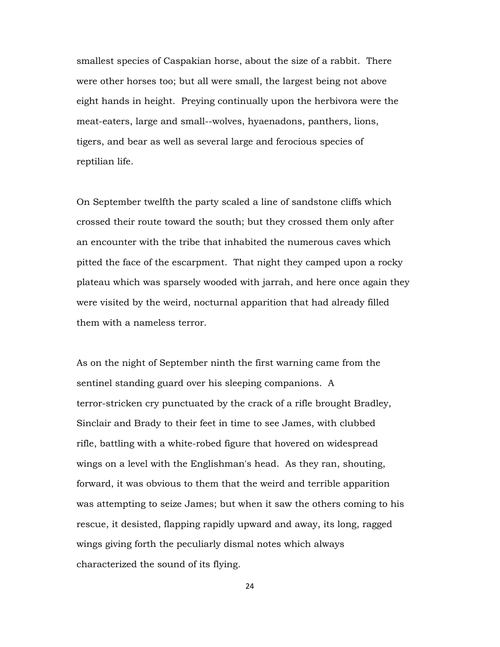smallest species of Caspakian horse, about the size of a rabbit. There were other horses too; but all were small, the largest being not above eight hands in height. Preying continually upon the herbivora were the meat-eaters, large and small--wolves, hyaenadons, panthers, lions, tigers, and bear as well as several large and ferocious species of reptilian life.

On September twelfth the party scaled a line of sandstone cliffs which crossed their route toward the south; but they crossed them only after an encounter with the tribe that inhabited the numerous caves which pitted the face of the escarpment. That night they camped upon a rocky plateau which was sparsely wooded with jarrah, and here once again they were visited by the weird, nocturnal apparition that had already filled them with a nameless terror.

As on the night of September ninth the first warning came from the sentinel standing guard over his sleeping companions. A terror-stricken cry punctuated by the crack of a rifle brought Bradley, Sinclair and Brady to their feet in time to see James, with clubbed rifle, battling with a white-robed figure that hovered on widespread wings on a level with the Englishman's head. As they ran, shouting, forward, it was obvious to them that the weird and terrible apparition was attempting to seize James; but when it saw the others coming to his rescue, it desisted, flapping rapidly upward and away, its long, ragged wings giving forth the peculiarly dismal notes which always characterized the sound of its flying.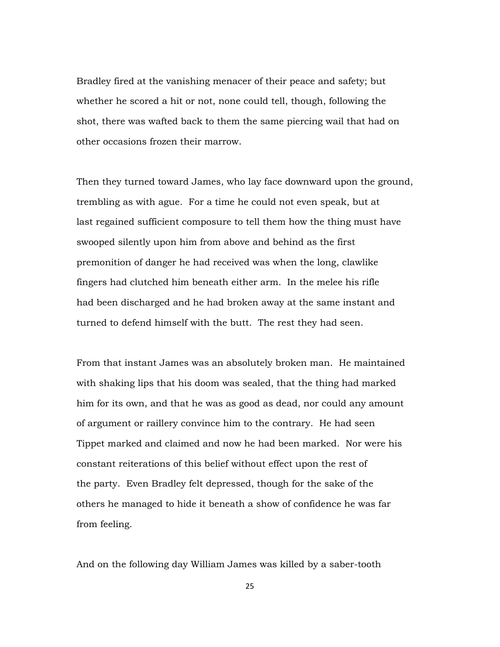Bradley fired at the vanishing menacer of their peace and safety; but whether he scored a hit or not, none could tell, though, following the shot, there was wafted back to them the same piercing wail that had on other occasions frozen their marrow.

Then they turned toward James, who lay face downward upon the ground, trembling as with ague. For a time he could not even speak, but at last regained sufficient composure to tell them how the thing must have swooped silently upon him from above and behind as the first premonition of danger he had received was when the long, clawlike fingers had clutched him beneath either arm. In the melee his rifle had been discharged and he had broken away at the same instant and turned to defend himself with the butt. The rest they had seen.

From that instant James was an absolutely broken man. He maintained with shaking lips that his doom was sealed, that the thing had marked him for its own, and that he was as good as dead, nor could any amount of argument or raillery convince him to the contrary. He had seen Tippet marked and claimed and now he had been marked. Nor were his constant reiterations of this belief without effect upon the rest of the party. Even Bradley felt depressed, though for the sake of the others he managed to hide it beneath a show of confidence he was far from feeling.

And on the following day William James was killed by a saber-tooth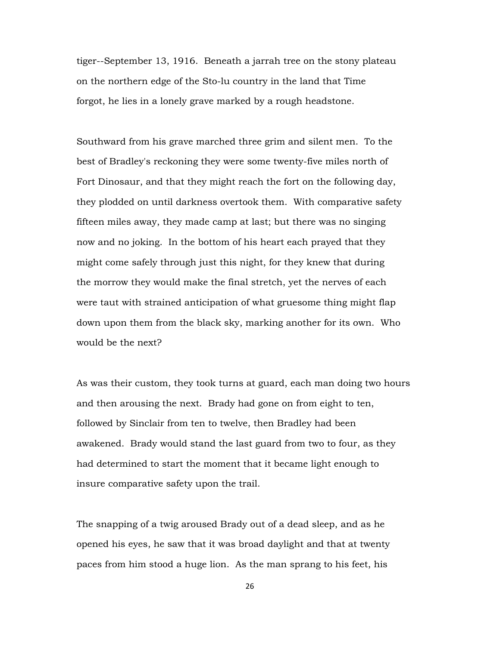tiger--September 13, 1916. Beneath a jarrah tree on the stony plateau on the northern edge of the Sto-lu country in the land that Time forgot, he lies in a lonely grave marked by a rough headstone.

Southward from his grave marched three grim and silent men. To the best of Bradley's reckoning they were some twenty-five miles north of Fort Dinosaur, and that they might reach the fort on the following day, they plodded on until darkness overtook them. With comparative safety fifteen miles away, they made camp at last; but there was no singing now and no joking. In the bottom of his heart each prayed that they might come safely through just this night, for they knew that during the morrow they would make the final stretch, yet the nerves of each were taut with strained anticipation of what gruesome thing might flap down upon them from the black sky, marking another for its own. Who would be the next?

As was their custom, they took turns at guard, each man doing two hours and then arousing the next. Brady had gone on from eight to ten, followed by Sinclair from ten to twelve, then Bradley had been awakened. Brady would stand the last guard from two to four, as they had determined to start the moment that it became light enough to insure comparative safety upon the trail.

The snapping of a twig aroused Brady out of a dead sleep, and as he opened his eyes, he saw that it was broad daylight and that at twenty paces from him stood a huge lion. As the man sprang to his feet, his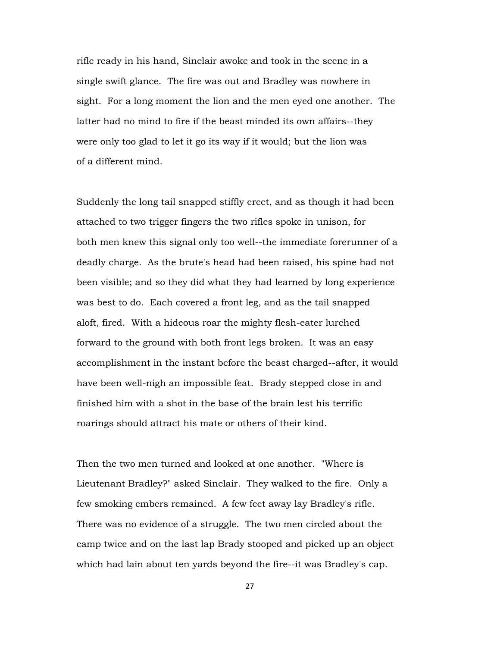rifle ready in his hand, Sinclair awoke and took in the scene in a single swift glance. The fire was out and Bradley was nowhere in sight. For a long moment the lion and the men eyed one another. The latter had no mind to fire if the beast minded its own affairs--they were only too glad to let it go its way if it would; but the lion was of a different mind.

Suddenly the long tail snapped stiffly erect, and as though it had been attached to two trigger fingers the two rifles spoke in unison, for both men knew this signal only too well--the immediate forerunner of a deadly charge. As the brute's head had been raised, his spine had not been visible; and so they did what they had learned by long experience was best to do. Each covered a front leg, and as the tail snapped aloft, fired. With a hideous roar the mighty flesh-eater lurched forward to the ground with both front legs broken. It was an easy accomplishment in the instant before the beast charged--after, it would have been well-nigh an impossible feat. Brady stepped close in and finished him with a shot in the base of the brain lest his terrific roarings should attract his mate or others of their kind.

Then the two men turned and looked at one another. "Where is Lieutenant Bradley?" asked Sinclair. They walked to the fire. Only a few smoking embers remained. A few feet away lay Bradley's rifle. There was no evidence of a struggle. The two men circled about the camp twice and on the last lap Brady stooped and picked up an object which had lain about ten yards beyond the fire--it was Bradley's cap.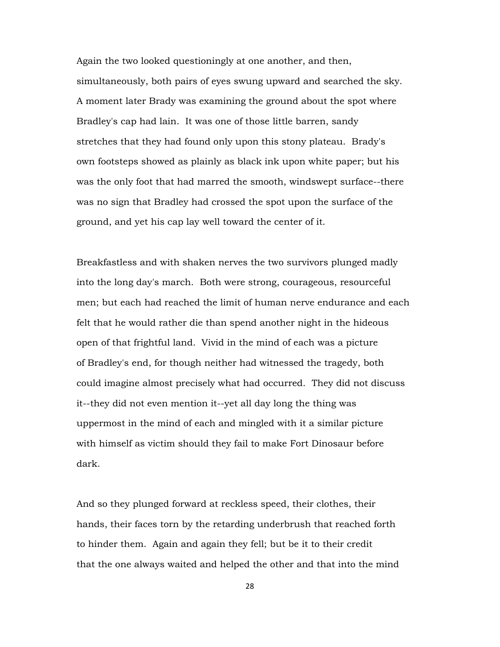Again the two looked questioningly at one another, and then, simultaneously, both pairs of eyes swung upward and searched the sky. A moment later Brady was examining the ground about the spot where Bradley's cap had lain. It was one of those little barren, sandy stretches that they had found only upon this stony plateau. Brady's own footsteps showed as plainly as black ink upon white paper; but his was the only foot that had marred the smooth, windswept surface--there was no sign that Bradley had crossed the spot upon the surface of the ground, and yet his cap lay well toward the center of it.

Breakfastless and with shaken nerves the two survivors plunged madly into the long day's march. Both were strong, courageous, resourceful men; but each had reached the limit of human nerve endurance and each felt that he would rather die than spend another night in the hideous open of that frightful land. Vivid in the mind of each was a picture of Bradley's end, for though neither had witnessed the tragedy, both could imagine almost precisely what had occurred. They did not discuss it--they did not even mention it--yet all day long the thing was uppermost in the mind of each and mingled with it a similar picture with himself as victim should they fail to make Fort Dinosaur before dark.

And so they plunged forward at reckless speed, their clothes, their hands, their faces torn by the retarding underbrush that reached forth to hinder them. Again and again they fell; but be it to their credit that the one always waited and helped the other and that into the mind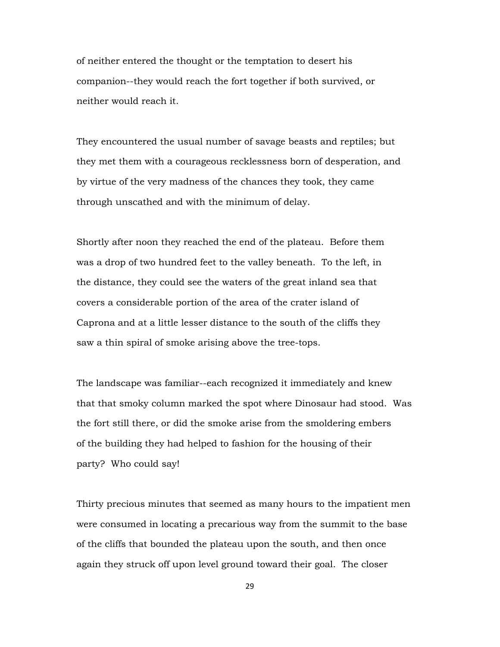of neither entered the thought or the temptation to desert his companion--they would reach the fort together if both survived, or neither would reach it.

They encountered the usual number of savage beasts and reptiles; but they met them with a courageous recklessness born of desperation, and by virtue of the very madness of the chances they took, they came through unscathed and with the minimum of delay.

Shortly after noon they reached the end of the plateau. Before them was a drop of two hundred feet to the valley beneath. To the left, in the distance, they could see the waters of the great inland sea that covers a considerable portion of the area of the crater island of Caprona and at a little lesser distance to the south of the cliffs they saw a thin spiral of smoke arising above the tree-tops.

The landscape was familiar--each recognized it immediately and knew that that smoky column marked the spot where Dinosaur had stood. Was the fort still there, or did the smoke arise from the smoldering embers of the building they had helped to fashion for the housing of their party? Who could say!

Thirty precious minutes that seemed as many hours to the impatient men were consumed in locating a precarious way from the summit to the base of the cliffs that bounded the plateau upon the south, and then once again they struck off upon level ground toward their goal. The closer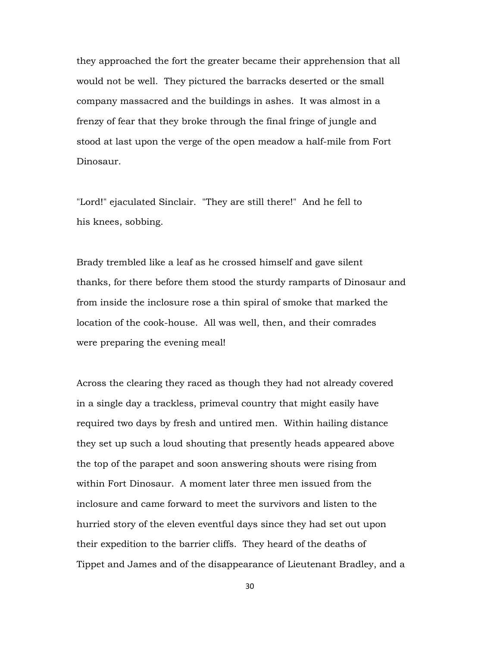they approached the fort the greater became their apprehension that all would not be well. They pictured the barracks deserted or the small company massacred and the buildings in ashes. It was almost in a frenzy of fear that they broke through the final fringe of jungle and stood at last upon the verge of the open meadow a half-mile from Fort Dinosaur.

"Lord!" ejaculated Sinclair. "They are still there!" And he fell to his knees, sobbing.

Brady trembled like a leaf as he crossed himself and gave silent thanks, for there before them stood the sturdy ramparts of Dinosaur and from inside the inclosure rose a thin spiral of smoke that marked the location of the cook-house. All was well, then, and their comrades were preparing the evening meal!

Across the clearing they raced as though they had not already covered in a single day a trackless, primeval country that might easily have required two days by fresh and untired men. Within hailing distance they set up such a loud shouting that presently heads appeared above the top of the parapet and soon answering shouts were rising from within Fort Dinosaur. A moment later three men issued from the inclosure and came forward to meet the survivors and listen to the hurried story of the eleven eventful days since they had set out upon their expedition to the barrier cliffs. They heard of the deaths of Tippet and James and of the disappearance of Lieutenant Bradley, and a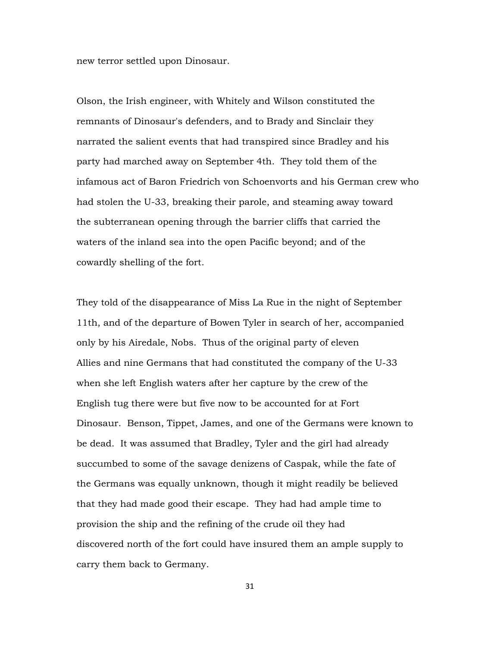new terror settled upon Dinosaur.

Olson, the Irish engineer, with Whitely and Wilson constituted the remnants of Dinosaur's defenders, and to Brady and Sinclair they narrated the salient events that had transpired since Bradley and his party had marched away on September 4th. They told them of the infamous act of Baron Friedrich von Schoenvorts and his German crew who had stolen the U-33, breaking their parole, and steaming away toward the subterranean opening through the barrier cliffs that carried the waters of the inland sea into the open Pacific beyond; and of the cowardly shelling of the fort.

They told of the disappearance of Miss La Rue in the night of September 11th, and of the departure of Bowen Tyler in search of her, accompanied only by his Airedale, Nobs. Thus of the original party of eleven Allies and nine Germans that had constituted the company of the U-33 when she left English waters after her capture by the crew of the English tug there were but five now to be accounted for at Fort Dinosaur. Benson, Tippet, James, and one of the Germans were known to be dead. It was assumed that Bradley, Tyler and the girl had already succumbed to some of the savage denizens of Caspak, while the fate of the Germans was equally unknown, though it might readily be believed that they had made good their escape. They had had ample time to provision the ship and the refining of the crude oil they had discovered north of the fort could have insured them an ample supply to carry them back to Germany.

31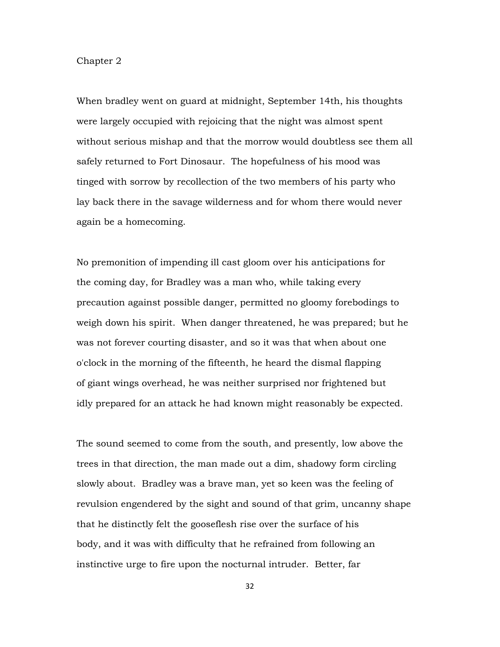## Chapter 2

When bradley went on guard at midnight, September 14th, his thoughts were largely occupied with rejoicing that the night was almost spent without serious mishap and that the morrow would doubtless see them all safely returned to Fort Dinosaur. The hopefulness of his mood was tinged with sorrow by recollection of the two members of his party who lay back there in the savage wilderness and for whom there would never again be a homecoming.

No premonition of impending ill cast gloom over his anticipations for the coming day, for Bradley was a man who, while taking every precaution against possible danger, permitted no gloomy forebodings to weigh down his spirit. When danger threatened, he was prepared; but he was not forever courting disaster, and so it was that when about one o'clock in the morning of the fifteenth, he heard the dismal flapping of giant wings overhead, he was neither surprised nor frightened but idly prepared for an attack he had known might reasonably be expected.

The sound seemed to come from the south, and presently, low above the trees in that direction, the man made out a dim, shadowy form circling slowly about. Bradley was a brave man, yet so keen was the feeling of revulsion engendered by the sight and sound of that grim, uncanny shape that he distinctly felt the gooseflesh rise over the surface of his body, and it was with difficulty that he refrained from following an instinctive urge to fire upon the nocturnal intruder. Better, far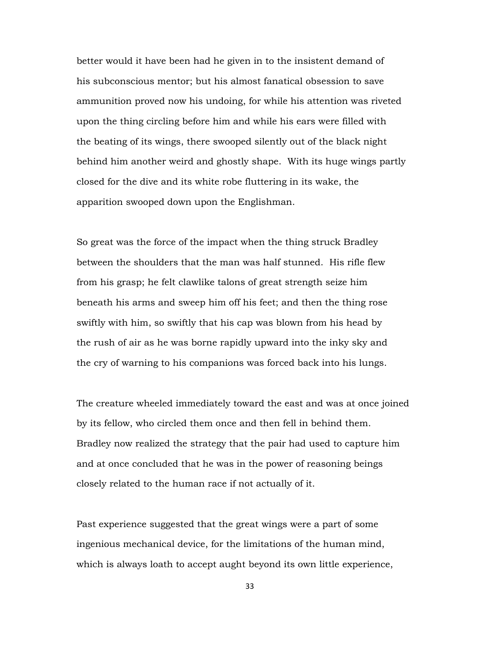better would it have been had he given in to the insistent demand of his subconscious mentor; but his almost fanatical obsession to save ammunition proved now his undoing, for while his attention was riveted upon the thing circling before him and while his ears were filled with the beating of its wings, there swooped silently out of the black night behind him another weird and ghostly shape. With its huge wings partly closed for the dive and its white robe fluttering in its wake, the apparition swooped down upon the Englishman.

So great was the force of the impact when the thing struck Bradley between the shoulders that the man was half stunned. His rifle flew from his grasp; he felt clawlike talons of great strength seize him beneath his arms and sweep him off his feet; and then the thing rose swiftly with him, so swiftly that his cap was blown from his head by the rush of air as he was borne rapidly upward into the inky sky and the cry of warning to his companions was forced back into his lungs.

The creature wheeled immediately toward the east and was at once joined by its fellow, who circled them once and then fell in behind them. Bradley now realized the strategy that the pair had used to capture him and at once concluded that he was in the power of reasoning beings closely related to the human race if not actually of it.

Past experience suggested that the great wings were a part of some ingenious mechanical device, for the limitations of the human mind, which is always loath to accept aught beyond its own little experience,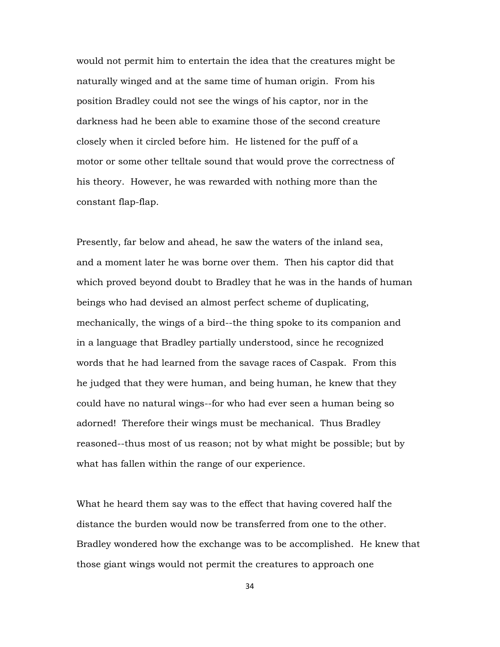would not permit him to entertain the idea that the creatures might be naturally winged and at the same time of human origin. From his position Bradley could not see the wings of his captor, nor in the darkness had he been able to examine those of the second creature closely when it circled before him. He listened for the puff of a motor or some other telltale sound that would prove the correctness of his theory. However, he was rewarded with nothing more than the constant flap-flap.

Presently, far below and ahead, he saw the waters of the inland sea, and a moment later he was borne over them. Then his captor did that which proved beyond doubt to Bradley that he was in the hands of human beings who had devised an almost perfect scheme of duplicating, mechanically, the wings of a bird--the thing spoke to its companion and in a language that Bradley partially understood, since he recognized words that he had learned from the savage races of Caspak. From this he judged that they were human, and being human, he knew that they could have no natural wings--for who had ever seen a human being so adorned! Therefore their wings must be mechanical. Thus Bradley reasoned--thus most of us reason; not by what might be possible; but by what has fallen within the range of our experience.

What he heard them say was to the effect that having covered half the distance the burden would now be transferred from one to the other. Bradley wondered how the exchange was to be accomplished. He knew that those giant wings would not permit the creatures to approach one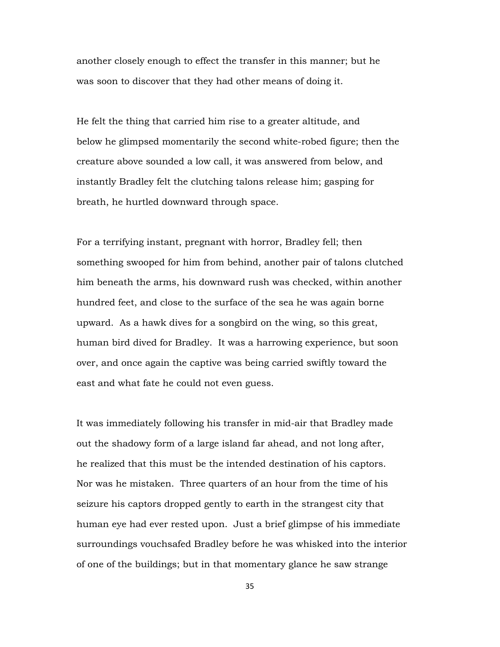another closely enough to effect the transfer in this manner; but he was soon to discover that they had other means of doing it.

He felt the thing that carried him rise to a greater altitude, and below he glimpsed momentarily the second white-robed figure; then the creature above sounded a low call, it was answered from below, and instantly Bradley felt the clutching talons release him; gasping for breath, he hurtled downward through space.

For a terrifying instant, pregnant with horror, Bradley fell; then something swooped for him from behind, another pair of talons clutched him beneath the arms, his downward rush was checked, within another hundred feet, and close to the surface of the sea he was again borne upward. As a hawk dives for a songbird on the wing, so this great, human bird dived for Bradley. It was a harrowing experience, but soon over, and once again the captive was being carried swiftly toward the east and what fate he could not even guess.

It was immediately following his transfer in mid-air that Bradley made out the shadowy form of a large island far ahead, and not long after, he realized that this must be the intended destination of his captors. Nor was he mistaken. Three quarters of an hour from the time of his seizure his captors dropped gently to earth in the strangest city that human eye had ever rested upon. Just a brief glimpse of his immediate surroundings vouchsafed Bradley before he was whisked into the interior of one of the buildings; but in that momentary glance he saw strange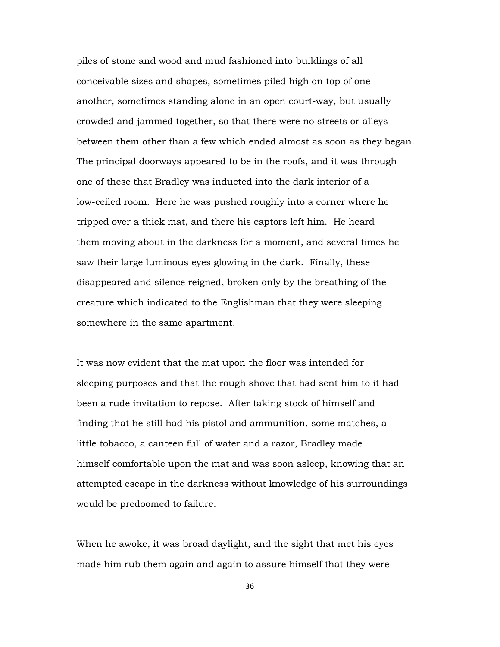piles of stone and wood and mud fashioned into buildings of all conceivable sizes and shapes, sometimes piled high on top of one another, sometimes standing alone in an open court-way, but usually crowded and jammed together, so that there were no streets or alleys between them other than a few which ended almost as soon as they began. The principal doorways appeared to be in the roofs, and it was through one of these that Bradley was inducted into the dark interior of a low-ceiled room. Here he was pushed roughly into a corner where he tripped over a thick mat, and there his captors left him. He heard them moving about in the darkness for a moment, and several times he saw their large luminous eyes glowing in the dark. Finally, these disappeared and silence reigned, broken only by the breathing of the creature which indicated to the Englishman that they were sleeping somewhere in the same apartment.

It was now evident that the mat upon the floor was intended for sleeping purposes and that the rough shove that had sent him to it had been a rude invitation to repose. After taking stock of himself and finding that he still had his pistol and ammunition, some matches, a little tobacco, a canteen full of water and a razor, Bradley made himself comfortable upon the mat and was soon asleep, knowing that an attempted escape in the darkness without knowledge of his surroundings would be predoomed to failure.

When he awoke, it was broad daylight, and the sight that met his eyes made him rub them again and again to assure himself that they were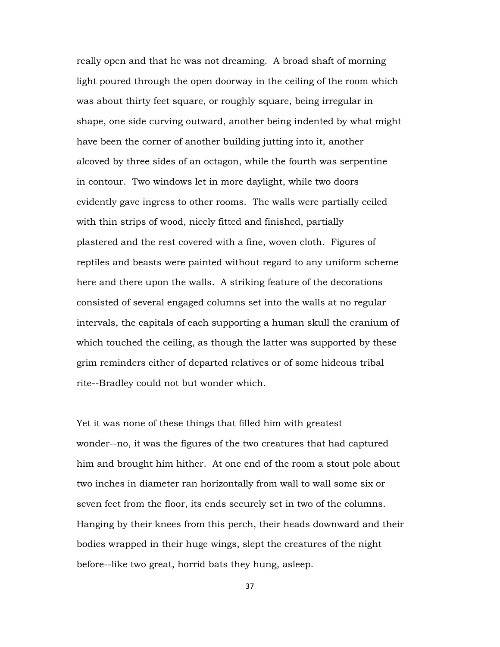really open and that he was not dreaming. A broad shaft of morning light poured through the open doorway in the ceiling of the room which was about thirty feet square, or roughly square, being irregular in shape, one side curving outward, another being indented by what might have been the corner of another building jutting into it, another alcoved by three sides of an octagon, while the fourth was serpentine in contour. Two windows let in more daylight, while two doors evidently gave ingress to other rooms. The walls were partially ceiled with thin strips of wood, nicely fitted and finished, partially plastered and the rest covered with a fine, woven cloth. Figures of reptiles and beasts were painted without regard to any uniform scheme here and there upon the walls. A striking feature of the decorations consisted of several engaged columns set into the walls at no regular intervals, the capitals of each supporting a human skull the cranium of which touched the ceiling, as though the latter was supported by these grim reminders either of departed relatives or of some hideous tribal rite--Bradley could not but wonder which.

Yet it was none of these things that filled him with greatest wonder--no, it was the figures of the two creatures that had captured him and brought him hither. At one end of the room a stout pole about two inches in diameter ran horizontally from wall to wall some six or seven feet from the floor, its ends securely set in two of the columns. Hanging by their knees from this perch, their heads downward and their bodies wrapped in their huge wings, slept the creatures of the night before--like two great, horrid bats they hung, asleep.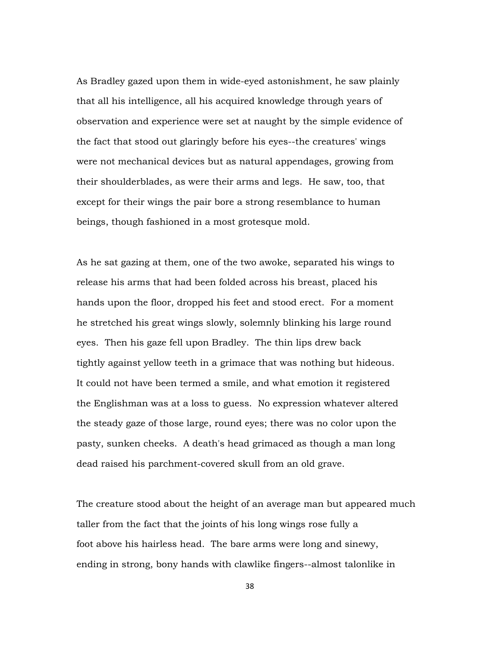As Bradley gazed upon them in wide-eyed astonishment, he saw plainly that all his intelligence, all his acquired knowledge through years of observation and experience were set at naught by the simple evidence of the fact that stood out glaringly before his eyes--the creatures' wings were not mechanical devices but as natural appendages, growing from their shoulderblades, as were their arms and legs. He saw, too, that except for their wings the pair bore a strong resemblance to human beings, though fashioned in a most grotesque mold.

As he sat gazing at them, one of the two awoke, separated his wings to release his arms that had been folded across his breast, placed his hands upon the floor, dropped his feet and stood erect. For a moment he stretched his great wings slowly, solemnly blinking his large round eyes. Then his gaze fell upon Bradley. The thin lips drew back tightly against yellow teeth in a grimace that was nothing but hideous. It could not have been termed a smile, and what emotion it registered the Englishman was at a loss to guess. No expression whatever altered the steady gaze of those large, round eyes; there was no color upon the pasty, sunken cheeks. A death's head grimaced as though a man long dead raised his parchment-covered skull from an old grave.

The creature stood about the height of an average man but appeared much taller from the fact that the joints of his long wings rose fully a foot above his hairless head. The bare arms were long and sinewy, ending in strong, bony hands with clawlike fingers--almost talonlike in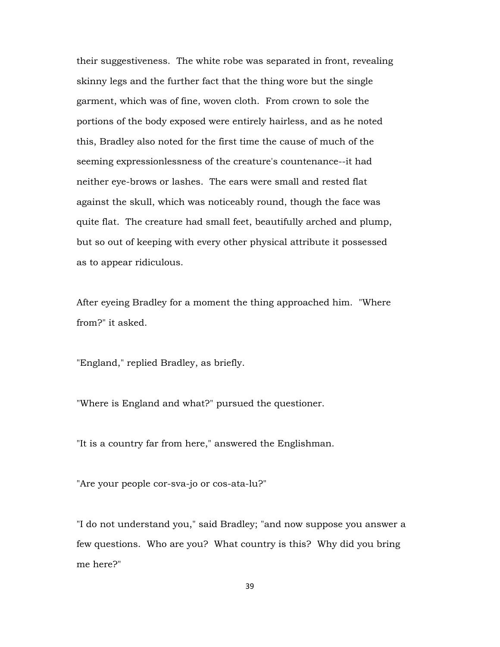their suggestiveness. The white robe was separated in front, revealing skinny legs and the further fact that the thing wore but the single garment, which was of fine, woven cloth. From crown to sole the portions of the body exposed were entirely hairless, and as he noted this, Bradley also noted for the first time the cause of much of the seeming expressionlessness of the creature's countenance--it had neither eye-brows or lashes. The ears were small and rested flat against the skull, which was noticeably round, though the face was quite flat. The creature had small feet, beautifully arched and plump, but so out of keeping with every other physical attribute it possessed as to appear ridiculous.

After eyeing Bradley for a moment the thing approached him. "Where from?" it asked.

"England," replied Bradley, as briefly.

"Where is England and what?" pursued the questioner.

"It is a country far from here," answered the Englishman.

"Are your people cor-sva-jo or cos-ata-lu?"

"I do not understand you," said Bradley; "and now suppose you answer a few questions. Who are you? What country is this? Why did you bring me here?"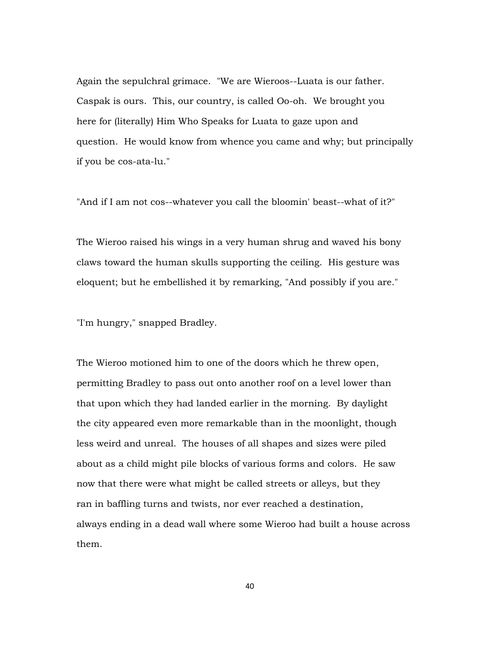Again the sepulchral grimace. "We are Wieroos--Luata is our father. Caspak is ours. This, our country, is called Oo-oh. We brought you here for (literally) Him Who Speaks for Luata to gaze upon and question. He would know from whence you came and why; but principally if you be cos-ata-lu."

"And if I am not cos--whatever you call the bloomin' beast--what of it?"

The Wieroo raised his wings in a very human shrug and waved his bony claws toward the human skulls supporting the ceiling. His gesture was eloquent; but he embellished it by remarking, "And possibly if you are."

"I'm hungry," snapped Bradley.

The Wieroo motioned him to one of the doors which he threw open, permitting Bradley to pass out onto another roof on a level lower than that upon which they had landed earlier in the morning. By daylight the city appeared even more remarkable than in the moonlight, though less weird and unreal. The houses of all shapes and sizes were piled about as a child might pile blocks of various forms and colors. He saw now that there were what might be called streets or alleys, but they ran in baffling turns and twists, nor ever reached a destination, always ending in a dead wall where some Wieroo had built a house across them.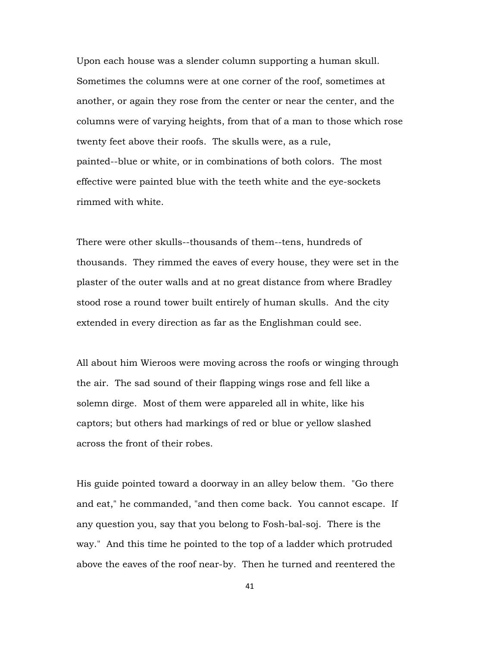Upon each house was a slender column supporting a human skull. Sometimes the columns were at one corner of the roof, sometimes at another, or again they rose from the center or near the center, and the columns were of varying heights, from that of a man to those which rose twenty feet above their roofs. The skulls were, as a rule, painted--blue or white, or in combinations of both colors. The most effective were painted blue with the teeth white and the eye-sockets rimmed with white.

There were other skulls--thousands of them--tens, hundreds of thousands. They rimmed the eaves of every house, they were set in the plaster of the outer walls and at no great distance from where Bradley stood rose a round tower built entirely of human skulls. And the city extended in every direction as far as the Englishman could see.

All about him Wieroos were moving across the roofs or winging through the air. The sad sound of their flapping wings rose and fell like a solemn dirge. Most of them were appareled all in white, like his captors; but others had markings of red or blue or yellow slashed across the front of their robes.

His guide pointed toward a doorway in an alley below them. "Go there and eat," he commanded, "and then come back. You cannot escape. If any question you, say that you belong to Fosh-bal-soj. There is the way." And this time he pointed to the top of a ladder which protruded above the eaves of the roof near-by. Then he turned and reentered the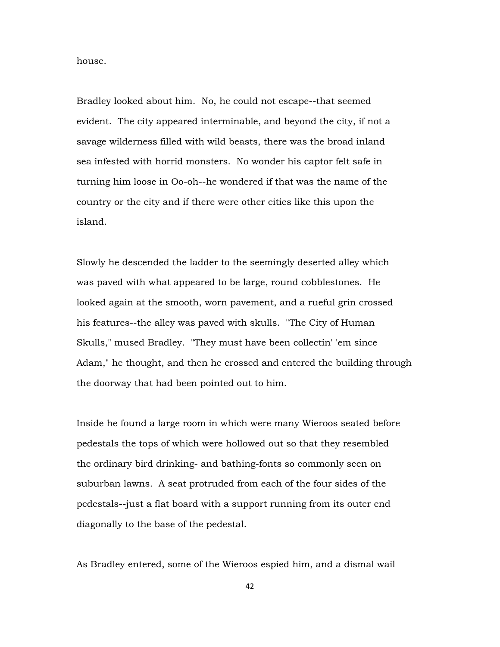house.

Bradley looked about him. No, he could not escape--that seemed evident. The city appeared interminable, and beyond the city, if not a savage wilderness filled with wild beasts, there was the broad inland sea infested with horrid monsters. No wonder his captor felt safe in turning him loose in Oo-oh--he wondered if that was the name of the country or the city and if there were other cities like this upon the island.

Slowly he descended the ladder to the seemingly deserted alley which was paved with what appeared to be large, round cobblestones. He looked again at the smooth, worn pavement, and a rueful grin crossed his features--the alley was paved with skulls. "The City of Human Skulls," mused Bradley. "They must have been collectin' 'em since Adam," he thought, and then he crossed and entered the building through the doorway that had been pointed out to him.

Inside he found a large room in which were many Wieroos seated before pedestals the tops of which were hollowed out so that they resembled the ordinary bird drinking- and bathing-fonts so commonly seen on suburban lawns. A seat protruded from each of the four sides of the pedestals--just a flat board with a support running from its outer end diagonally to the base of the pedestal.

As Bradley entered, some of the Wieroos espied him, and a dismal wail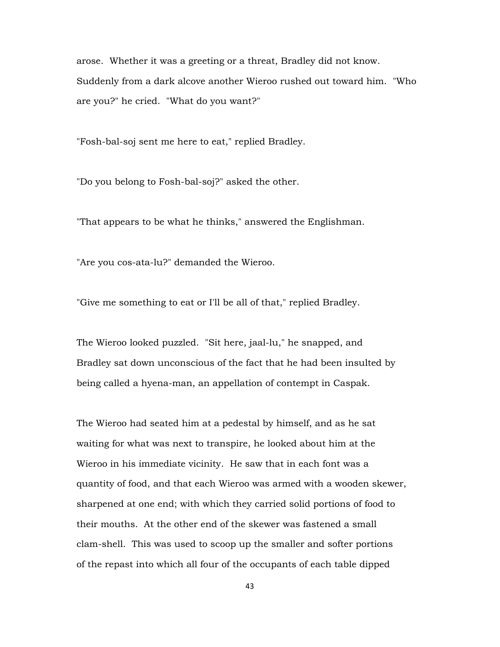arose. Whether it was a greeting or a threat, Bradley did not know. Suddenly from a dark alcove another Wieroo rushed out toward him. "Who are you?" he cried. "What do you want?"

"Fosh-bal-soj sent me here to eat," replied Bradley.

"Do you belong to Fosh-bal-soj?" asked the other.

"That appears to be what he thinks," answered the Englishman.

"Are you cos-ata-lu?" demanded the Wieroo.

"Give me something to eat or I'll be all of that," replied Bradley.

The Wieroo looked puzzled. "Sit here, jaal-lu," he snapped, and Bradley sat down unconscious of the fact that he had been insulted by being called a hyena-man, an appellation of contempt in Caspak.

The Wieroo had seated him at a pedestal by himself, and as he sat waiting for what was next to transpire, he looked about him at the Wieroo in his immediate vicinity. He saw that in each font was a quantity of food, and that each Wieroo was armed with a wooden skewer, sharpened at one end; with which they carried solid portions of food to their mouths. At the other end of the skewer was fastened a small clam-shell. This was used to scoop up the smaller and softer portions of the repast into which all four of the occupants of each table dipped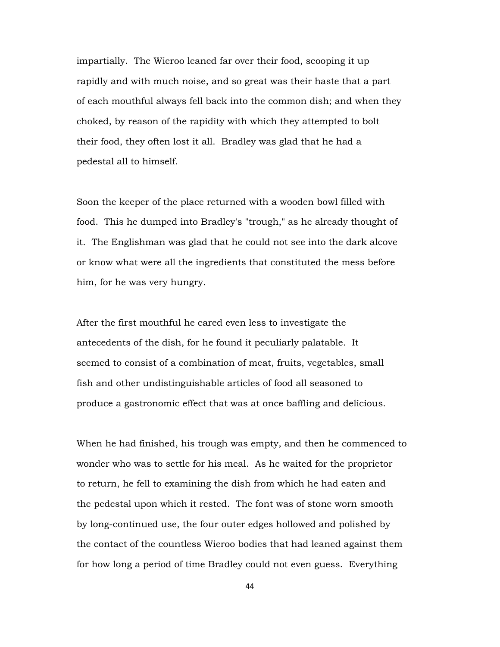impartially. The Wieroo leaned far over their food, scooping it up rapidly and with much noise, and so great was their haste that a part of each mouthful always fell back into the common dish; and when they choked, by reason of the rapidity with which they attempted to bolt their food, they often lost it all. Bradley was glad that he had a pedestal all to himself.

Soon the keeper of the place returned with a wooden bowl filled with food. This he dumped into Bradley's "trough," as he already thought of it. The Englishman was glad that he could not see into the dark alcove or know what were all the ingredients that constituted the mess before him, for he was very hungry.

After the first mouthful he cared even less to investigate the antecedents of the dish, for he found it peculiarly palatable. It seemed to consist of a combination of meat, fruits, vegetables, small fish and other undistinguishable articles of food all seasoned to produce a gastronomic effect that was at once baffling and delicious.

When he had finished, his trough was empty, and then he commenced to wonder who was to settle for his meal. As he waited for the proprietor to return, he fell to examining the dish from which he had eaten and the pedestal upon which it rested. The font was of stone worn smooth by long-continued use, the four outer edges hollowed and polished by the contact of the countless Wieroo bodies that had leaned against them for how long a period of time Bradley could not even guess. Everything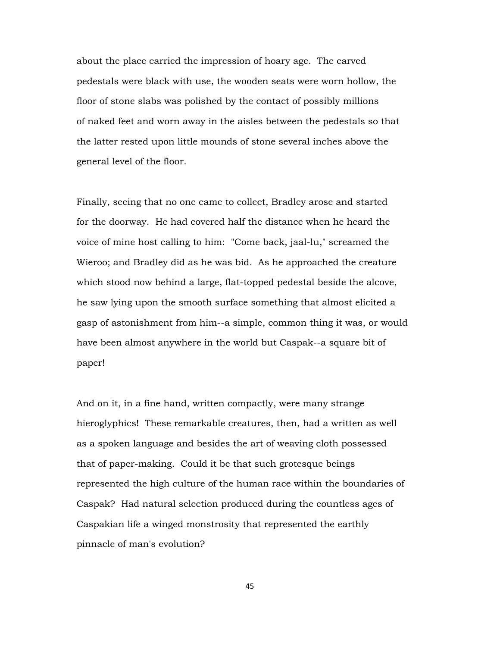about the place carried the impression of hoary age. The carved pedestals were black with use, the wooden seats were worn hollow, the floor of stone slabs was polished by the contact of possibly millions of naked feet and worn away in the aisles between the pedestals so that the latter rested upon little mounds of stone several inches above the general level of the floor.

Finally, seeing that no one came to collect, Bradley arose and started for the doorway. He had covered half the distance when he heard the voice of mine host calling to him: "Come back, jaal-lu," screamed the Wieroo; and Bradley did as he was bid. As he approached the creature which stood now behind a large, flat-topped pedestal beside the alcove, he saw lying upon the smooth surface something that almost elicited a gasp of astonishment from him--a simple, common thing it was, or would have been almost anywhere in the world but Caspak--a square bit of paper!

And on it, in a fine hand, written compactly, were many strange hieroglyphics! These remarkable creatures, then, had a written as well as a spoken language and besides the art of weaving cloth possessed that of paper-making. Could it be that such grotesque beings represented the high culture of the human race within the boundaries of Caspak? Had natural selection produced during the countless ages of Caspakian life a winged monstrosity that represented the earthly pinnacle of man's evolution?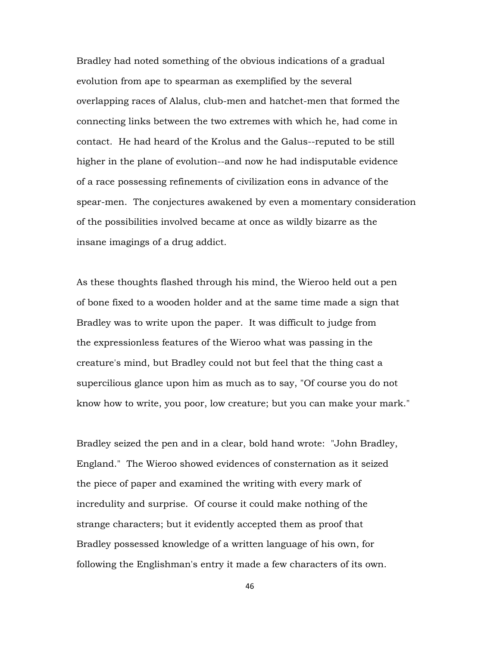Bradley had noted something of the obvious indications of a gradual evolution from ape to spearman as exemplified by the several overlapping races of Alalus, club-men and hatchet-men that formed the connecting links between the two extremes with which he, had come in contact. He had heard of the Krolus and the Galus--reputed to be still higher in the plane of evolution--and now he had indisputable evidence of a race possessing refinements of civilization eons in advance of the spear-men. The conjectures awakened by even a momentary consideration of the possibilities involved became at once as wildly bizarre as the insane imagings of a drug addict.

As these thoughts flashed through his mind, the Wieroo held out a pen of bone fixed to a wooden holder and at the same time made a sign that Bradley was to write upon the paper. It was difficult to judge from the expressionless features of the Wieroo what was passing in the creature's mind, but Bradley could not but feel that the thing cast a supercilious glance upon him as much as to say, "Of course you do not know how to write, you poor, low creature; but you can make your mark."

Bradley seized the pen and in a clear, bold hand wrote: "John Bradley, England." The Wieroo showed evidences of consternation as it seized the piece of paper and examined the writing with every mark of incredulity and surprise. Of course it could make nothing of the strange characters; but it evidently accepted them as proof that Bradley possessed knowledge of a written language of his own, for following the Englishman's entry it made a few characters of its own.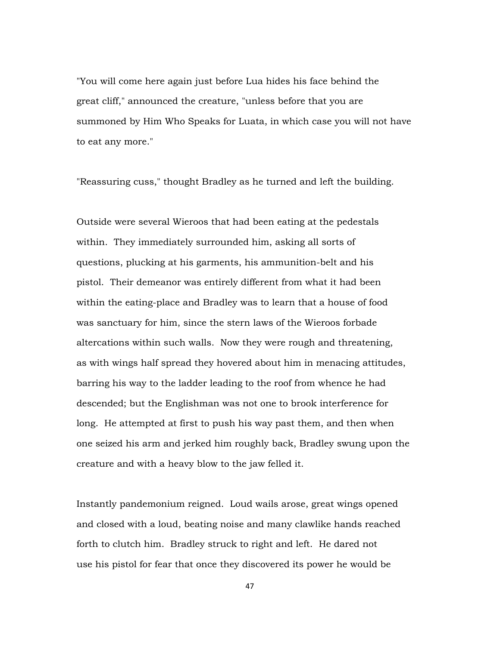"You will come here again just before Lua hides his face behind the great cliff," announced the creature, "unless before that you are summoned by Him Who Speaks for Luata, in which case you will not have to eat any more."

"Reassuring cuss," thought Bradley as he turned and left the building.

Outside were several Wieroos that had been eating at the pedestals within. They immediately surrounded him, asking all sorts of questions, plucking at his garments, his ammunition-belt and his pistol. Their demeanor was entirely different from what it had been within the eating-place and Bradley was to learn that a house of food was sanctuary for him, since the stern laws of the Wieroos forbade altercations within such walls. Now they were rough and threatening, as with wings half spread they hovered about him in menacing attitudes, barring his way to the ladder leading to the roof from whence he had descended; but the Englishman was not one to brook interference for long. He attempted at first to push his way past them, and then when one seized his arm and jerked him roughly back, Bradley swung upon the creature and with a heavy blow to the jaw felled it.

Instantly pandemonium reigned. Loud wails arose, great wings opened and closed with a loud, beating noise and many clawlike hands reached forth to clutch him. Bradley struck to right and left. He dared not use his pistol for fear that once they discovered its power he would be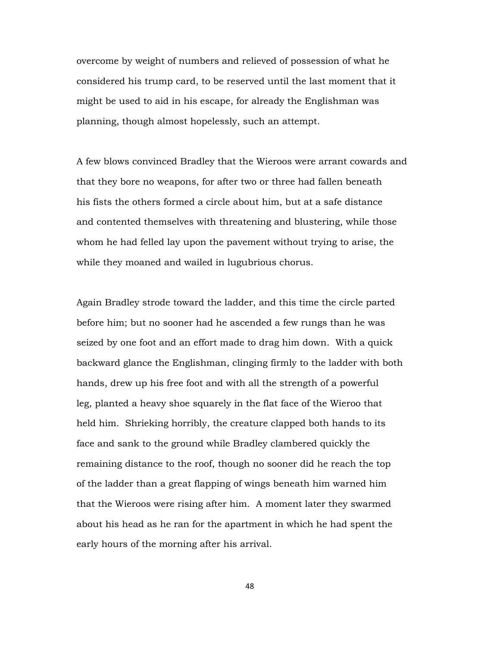overcome by weight of numbers and relieved of possession of what he considered his trump card, to be reserved until the last moment that it might be used to aid in his escape, for already the Englishman was planning, though almost hopelessly, such an attempt.

A few blows convinced Bradley that the Wieroos were arrant cowards and that they bore no weapons, for after two or three had fallen beneath his fists the others formed a circle about him, but at a safe distance and contented themselves with threatening and blustering, while those whom he had felled lay upon the pavement without trying to arise, the while they moaned and wailed in lugubrious chorus.

Again Bradley strode toward the ladder, and this time the circle parted before him; but no sooner had he ascended a few rungs than he was seized by one foot and an effort made to drag him down. With a quick backward glance the Englishman, clinging firmly to the ladder with both hands, drew up his free foot and with all the strength of a powerful leg, planted a heavy shoe squarely in the flat face of the Wieroo that held him. Shrieking horribly, the creature clapped both hands to its face and sank to the ground while Bradley clambered quickly the remaining distance to the roof, though no sooner did he reach the top of the ladder than a great flapping of wings beneath him warned him that the Wieroos were rising after him. A moment later they swarmed about his head as he ran for the apartment in which he had spent the early hours of the morning after his arrival.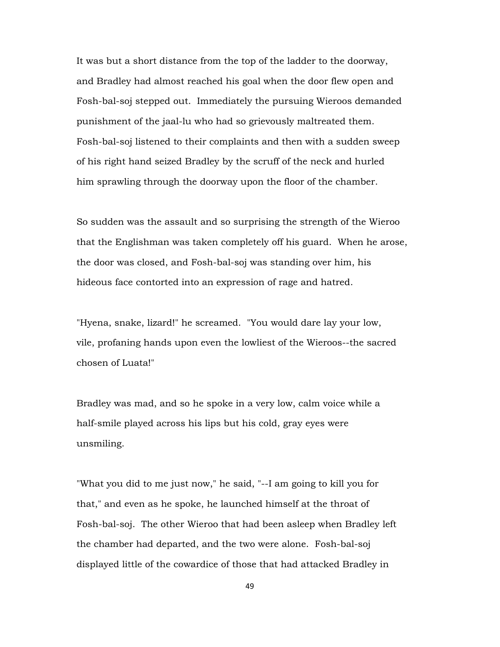It was but a short distance from the top of the ladder to the doorway, and Bradley had almost reached his goal when the door flew open and Fosh-bal-soj stepped out. Immediately the pursuing Wieroos demanded punishment of the jaal-lu who had so grievously maltreated them. Fosh-bal-soj listened to their complaints and then with a sudden sweep of his right hand seized Bradley by the scruff of the neck and hurled him sprawling through the doorway upon the floor of the chamber.

So sudden was the assault and so surprising the strength of the Wieroo that the Englishman was taken completely off his guard. When he arose, the door was closed, and Fosh-bal-soj was standing over him, his hideous face contorted into an expression of rage and hatred.

"Hyena, snake, lizard!" he screamed. "You would dare lay your low, vile, profaning hands upon even the lowliest of the Wieroos--the sacred chosen of Luata!"

Bradley was mad, and so he spoke in a very low, calm voice while a half-smile played across his lips but his cold, gray eyes were unsmiling.

"What you did to me just now," he said, "--I am going to kill you for that," and even as he spoke, he launched himself at the throat of Fosh-bal-soj. The other Wieroo that had been asleep when Bradley left the chamber had departed, and the two were alone. Fosh-bal-soj displayed little of the cowardice of those that had attacked Bradley in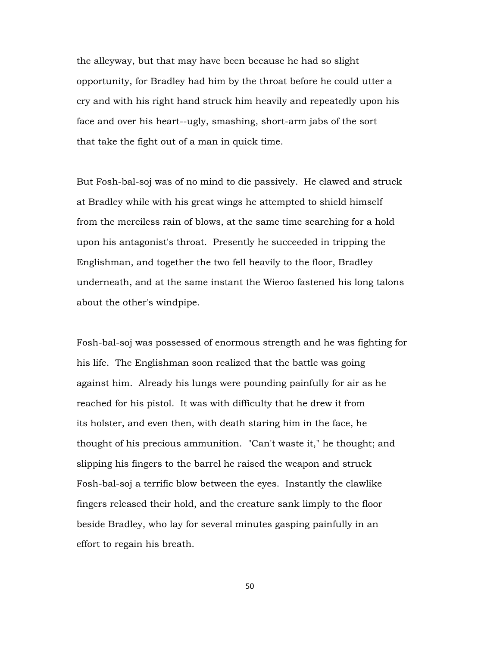the alleyway, but that may have been because he had so slight opportunity, for Bradley had him by the throat before he could utter a cry and with his right hand struck him heavily and repeatedly upon his face and over his heart--ugly, smashing, short-arm jabs of the sort that take the fight out of a man in quick time.

But Fosh-bal-soj was of no mind to die passively. He clawed and struck at Bradley while with his great wings he attempted to shield himself from the merciless rain of blows, at the same time searching for a hold upon his antagonist's throat. Presently he succeeded in tripping the Englishman, and together the two fell heavily to the floor, Bradley underneath, and at the same instant the Wieroo fastened his long talons about the other's windpipe.

Fosh-bal-soj was possessed of enormous strength and he was fighting for his life. The Englishman soon realized that the battle was going against him. Already his lungs were pounding painfully for air as he reached for his pistol. It was with difficulty that he drew it from its holster, and even then, with death staring him in the face, he thought of his precious ammunition. "Can't waste it," he thought; and slipping his fingers to the barrel he raised the weapon and struck Fosh-bal-soj a terrific blow between the eyes. Instantly the clawlike fingers released their hold, and the creature sank limply to the floor beside Bradley, who lay for several minutes gasping painfully in an effort to regain his breath.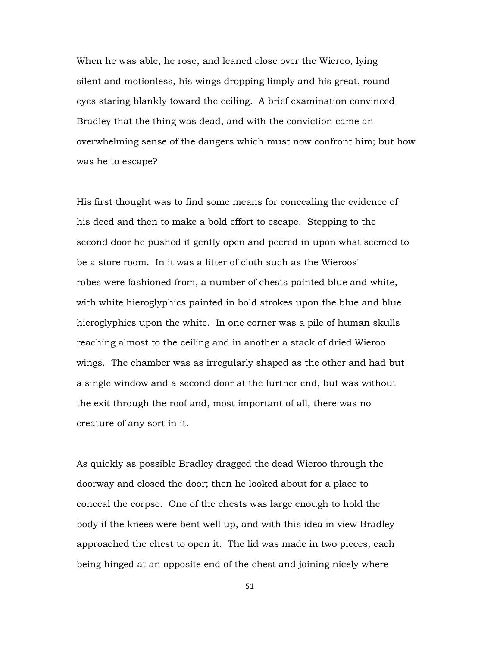When he was able, he rose, and leaned close over the Wieroo, lying silent and motionless, his wings dropping limply and his great, round eyes staring blankly toward the ceiling. A brief examination convinced Bradley that the thing was dead, and with the conviction came an overwhelming sense of the dangers which must now confront him; but how was he to escape?

His first thought was to find some means for concealing the evidence of his deed and then to make a bold effort to escape. Stepping to the second door he pushed it gently open and peered in upon what seemed to be a store room. In it was a litter of cloth such as the Wieroos' robes were fashioned from, a number of chests painted blue and white, with white hieroglyphics painted in bold strokes upon the blue and blue hieroglyphics upon the white. In one corner was a pile of human skulls reaching almost to the ceiling and in another a stack of dried Wieroo wings. The chamber was as irregularly shaped as the other and had but a single window and a second door at the further end, but was without the exit through the roof and, most important of all, there was no creature of any sort in it.

As quickly as possible Bradley dragged the dead Wieroo through the doorway and closed the door; then he looked about for a place to conceal the corpse. One of the chests was large enough to hold the body if the knees were bent well up, and with this idea in view Bradley approached the chest to open it. The lid was made in two pieces, each being hinged at an opposite end of the chest and joining nicely where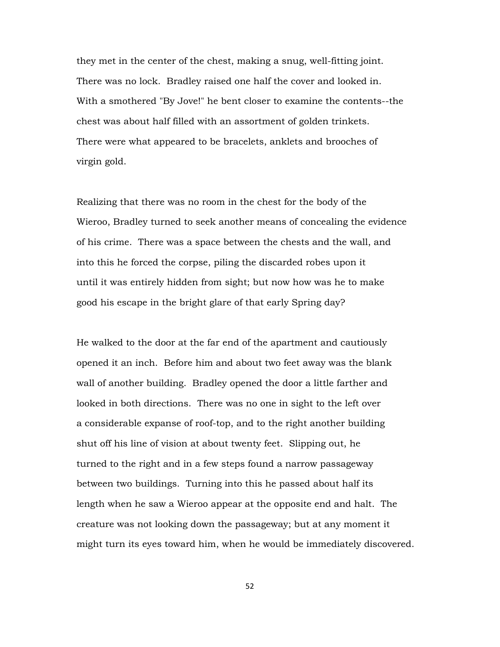they met in the center of the chest, making a snug, well-fitting joint. There was no lock. Bradley raised one half the cover and looked in. With a smothered "By Jove!" he bent closer to examine the contents--the chest was about half filled with an assortment of golden trinkets. There were what appeared to be bracelets, anklets and brooches of virgin gold.

Realizing that there was no room in the chest for the body of the Wieroo, Bradley turned to seek another means of concealing the evidence of his crime. There was a space between the chests and the wall, and into this he forced the corpse, piling the discarded robes upon it until it was entirely hidden from sight; but now how was he to make good his escape in the bright glare of that early Spring day?

He walked to the door at the far end of the apartment and cautiously opened it an inch. Before him and about two feet away was the blank wall of another building. Bradley opened the door a little farther and looked in both directions. There was no one in sight to the left over a considerable expanse of roof-top, and to the right another building shut off his line of vision at about twenty feet. Slipping out, he turned to the right and in a few steps found a narrow passageway between two buildings. Turning into this he passed about half its length when he saw a Wieroo appear at the opposite end and halt. The creature was not looking down the passageway; but at any moment it might turn its eyes toward him, when he would be immediately discovered.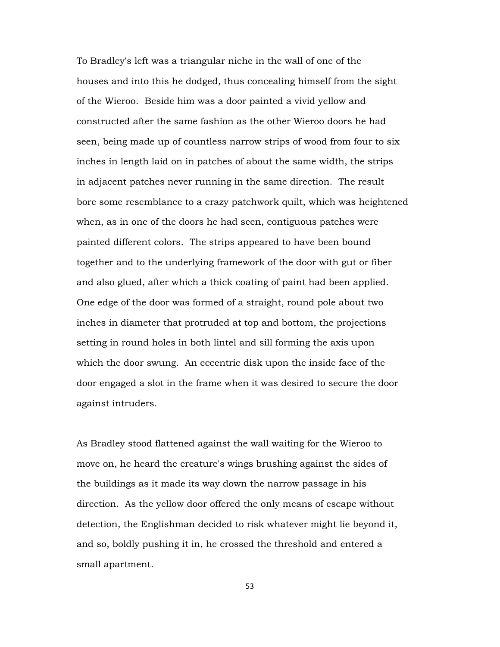To Bradley's left was a triangular niche in the wall of one of the houses and into this he dodged, thus concealing himself from the sight of the Wieroo. Beside him was a door painted a vivid yellow and constructed after the same fashion as the other Wieroo doors he had seen, being made up of countless narrow strips of wood from four to six inches in length laid on in patches of about the same width, the strips in adjacent patches never running in the same direction. The result bore some resemblance to a crazy patchwork quilt, which was heightened when, as in one of the doors he had seen, contiguous patches were painted different colors. The strips appeared to have been bound together and to the underlying framework of the door with gut or fiber and also glued, after which a thick coating of paint had been applied. One edge of the door was formed of a straight, round pole about two inches in diameter that protruded at top and bottom, the projections setting in round holes in both lintel and sill forming the axis upon which the door swung. An eccentric disk upon the inside face of the door engaged a slot in the frame when it was desired to secure the door against intruders.

As Bradley stood flattened against the wall waiting for the Wieroo to move on, he heard the creature's wings brushing against the sides of the buildings as it made its way down the narrow passage in his direction. As the yellow door offered the only means of escape without detection, the Englishman decided to risk whatever might lie beyond it, and so, boldly pushing it in, he crossed the threshold and entered a small apartment.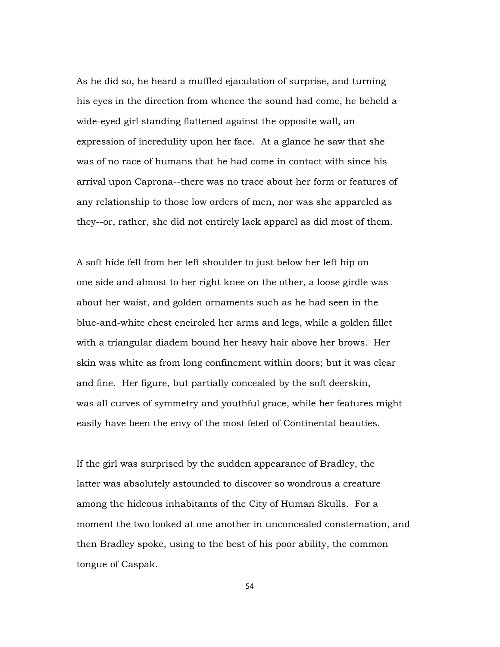As he did so, he heard a muffled ejaculation of surprise, and turning his eyes in the direction from whence the sound had come, he beheld a wide-eyed girl standing flattened against the opposite wall, an expression of incredulity upon her face. At a glance he saw that she was of no race of humans that he had come in contact with since his arrival upon Caprona--there was no trace about her form or features of any relationship to those low orders of men, nor was she appareled as they--or, rather, she did not entirely lack apparel as did most of them.

A soft hide fell from her left shoulder to just below her left hip on one side and almost to her right knee on the other, a loose girdle was about her waist, and golden ornaments such as he had seen in the blue-and-white chest encircled her arms and legs, while a golden fillet with a triangular diadem bound her heavy hair above her brows. Her skin was white as from long confinement within doors; but it was clear and fine. Her figure, but partially concealed by the soft deerskin, was all curves of symmetry and youthful grace, while her features might easily have been the envy of the most feted of Continental beauties.

If the girl was surprised by the sudden appearance of Bradley, the latter was absolutely astounded to discover so wondrous a creature among the hideous inhabitants of the City of Human Skulls. For a moment the two looked at one another in unconcealed consternation, and then Bradley spoke, using to the best of his poor ability, the common tongue of Caspak.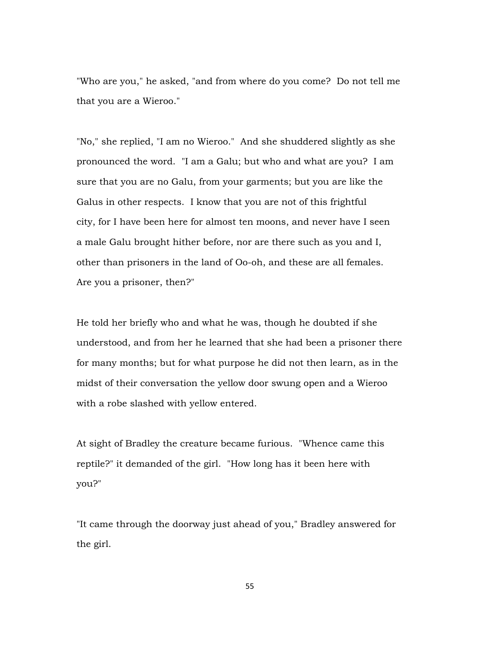"Who are you," he asked, "and from where do you come? Do not tell me that you are a Wieroo."

"No," she replied, "I am no Wieroo." And she shuddered slightly as she pronounced the word. "I am a Galu; but who and what are you? I am sure that you are no Galu, from your garments; but you are like the Galus in other respects. I know that you are not of this frightful city, for I have been here for almost ten moons, and never have I seen a male Galu brought hither before, nor are there such as you and I, other than prisoners in the land of Oo-oh, and these are all females. Are you a prisoner, then?"

He told her briefly who and what he was, though he doubted if she understood, and from her he learned that she had been a prisoner there for many months; but for what purpose he did not then learn, as in the midst of their conversation the yellow door swung open and a Wieroo with a robe slashed with yellow entered.

At sight of Bradley the creature became furious. "Whence came this reptile?" it demanded of the girl. "How long has it been here with you?"

"It came through the doorway just ahead of you," Bradley answered for the girl.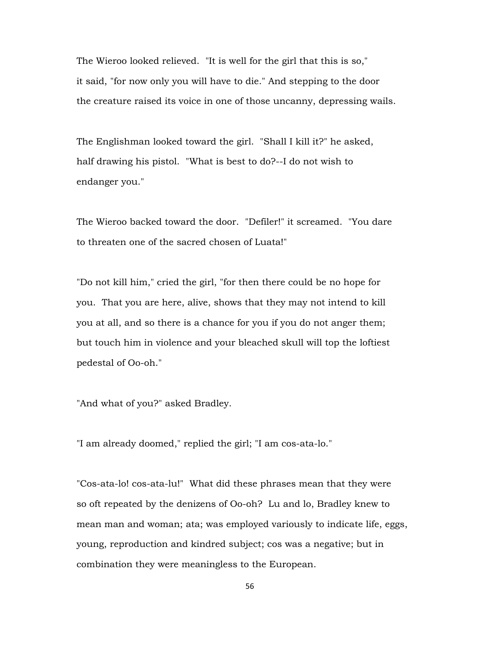The Wieroo looked relieved. "It is well for the girl that this is so," it said, "for now only you will have to die." And stepping to the door the creature raised its voice in one of those uncanny, depressing wails.

The Englishman looked toward the girl. "Shall I kill it?" he asked, half drawing his pistol. "What is best to do?--I do not wish to endanger you."

The Wieroo backed toward the door. "Defiler!" it screamed. "You dare to threaten one of the sacred chosen of Luata!"

"Do not kill him," cried the girl, "for then there could be no hope for you. That you are here, alive, shows that they may not intend to kill you at all, and so there is a chance for you if you do not anger them; but touch him in violence and your bleached skull will top the loftiest pedestal of Oo-oh."

"And what of you?" asked Bradley.

"I am already doomed," replied the girl; "I am cos-ata-lo."

"Cos-ata-lo! cos-ata-lu!" What did these phrases mean that they were so oft repeated by the denizens of Oo-oh? Lu and lo, Bradley knew to mean man and woman; ata; was employed variously to indicate life, eggs, young, reproduction and kindred subject; cos was a negative; but in combination they were meaningless to the European.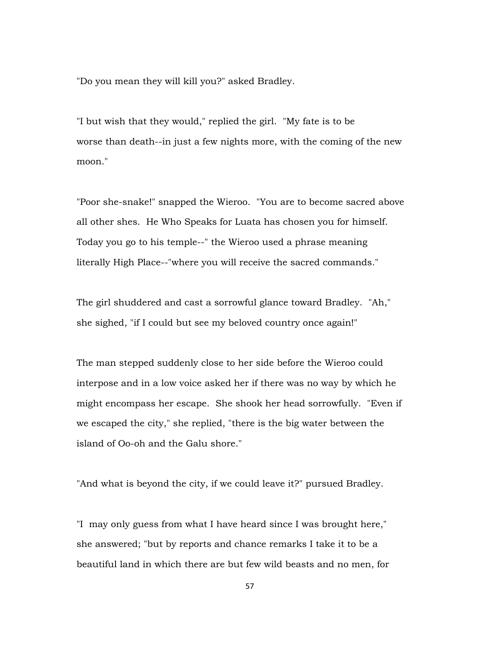"Do you mean they will kill you?" asked Bradley.

"I but wish that they would," replied the girl. "My fate is to be worse than death--in just a few nights more, with the coming of the new moon."

"Poor she-snake!" snapped the Wieroo. "You are to become sacred above all other shes. He Who Speaks for Luata has chosen you for himself. Today you go to his temple--" the Wieroo used a phrase meaning literally High Place--"where you will receive the sacred commands."

The girl shuddered and cast a sorrowful glance toward Bradley. "Ah," she sighed, "if I could but see my beloved country once again!"

The man stepped suddenly close to her side before the Wieroo could interpose and in a low voice asked her if there was no way by which he might encompass her escape. She shook her head sorrowfully. "Even if we escaped the city," she replied, "there is the big water between the island of Oo-oh and the Galu shore."

"And what is beyond the city, if we could leave it?" pursued Bradley.

"I may only guess from what I have heard since I was brought here," she answered; "but by reports and chance remarks I take it to be a beautiful land in which there are but few wild beasts and no men, for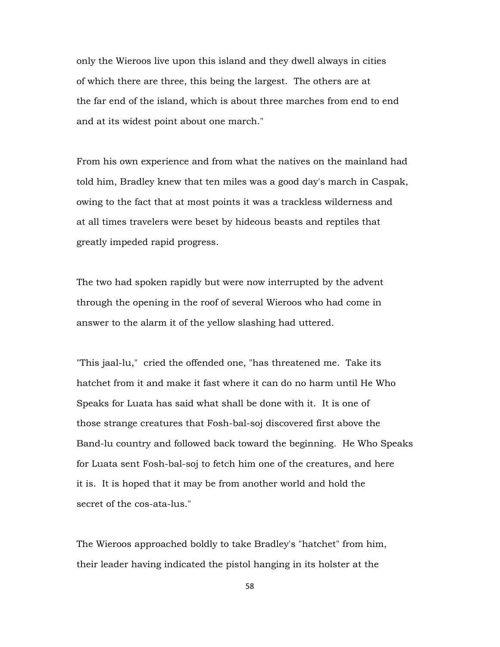only the Wieroos live upon this island and they dwell always in cities of which there are three, this being the largest. The others are at the far end of the island, which is about three marches from end to end and at its widest point about one march."

From his own experience and from what the natives on the mainland had told him, Bradley knew that ten miles was a good day's march in Caspak, owing to the fact that at most points it was a trackless wilderness and at all times travelers were beset by hideous beasts and reptiles that greatly impeded rapid progress.

The two had spoken rapidly but were now interrupted by the advent through the opening in the roof of several Wieroos who had come in answer to the alarm it of the yellow slashing had uttered.

"This jaal-lu," cried the offended one, "has threatened me. Take its hatchet from it and make it fast where it can do no harm until He Who Speaks for Luata has said what shall be done with it. It is one of those strange creatures that Fosh-bal-soj discovered first above the Band-lu country and followed back toward the beginning. He Who Speaks for Luata sent Fosh-bal-soj to fetch him one of the creatures, and here it is. It is hoped that it may be from another world and hold the secret of the cos-ata-lus."

The Wieroos approached boldly to take Bradley's "hatchet" from him, their leader having indicated the pistol hanging in its holster at the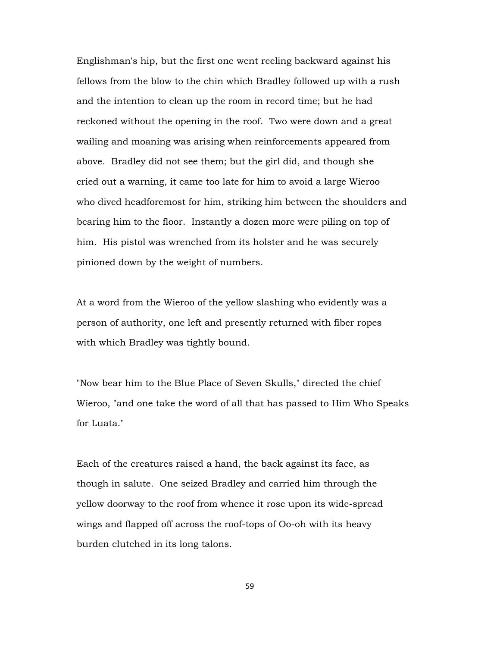Englishman's hip, but the first one went reeling backward against his fellows from the blow to the chin which Bradley followed up with a rush and the intention to clean up the room in record time; but he had reckoned without the opening in the roof. Two were down and a great wailing and moaning was arising when reinforcements appeared from above. Bradley did not see them; but the girl did, and though she cried out a warning, it came too late for him to avoid a large Wieroo who dived headforemost for him, striking him between the shoulders and bearing him to the floor. Instantly a dozen more were piling on top of him. His pistol was wrenched from its holster and he was securely pinioned down by the weight of numbers.

At a word from the Wieroo of the yellow slashing who evidently was a person of authority, one left and presently returned with fiber ropes with which Bradley was tightly bound.

"Now bear him to the Blue Place of Seven Skulls," directed the chief Wieroo, "and one take the word of all that has passed to Him Who Speaks for Luata."

Each of the creatures raised a hand, the back against its face, as though in salute. One seized Bradley and carried him through the yellow doorway to the roof from whence it rose upon its wide-spread wings and flapped off across the roof-tops of Oo-oh with its heavy burden clutched in its long talons.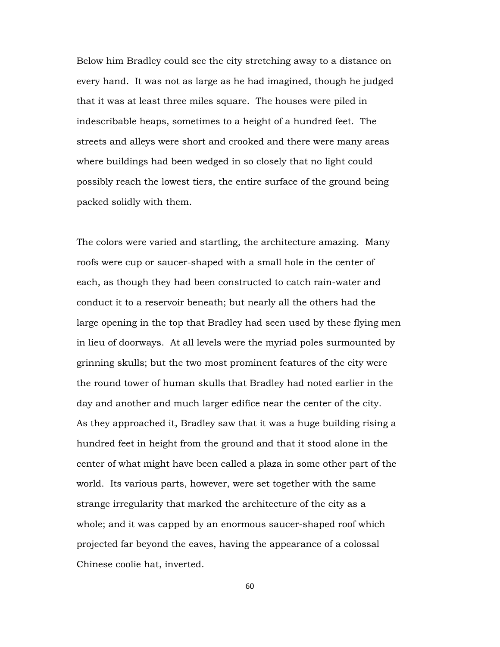Below him Bradley could see the city stretching away to a distance on every hand. It was not as large as he had imagined, though he judged that it was at least three miles square. The houses were piled in indescribable heaps, sometimes to a height of a hundred feet. The streets and alleys were short and crooked and there were many areas where buildings had been wedged in so closely that no light could possibly reach the lowest tiers, the entire surface of the ground being packed solidly with them.

The colors were varied and startling, the architecture amazing. Many roofs were cup or saucer-shaped with a small hole in the center of each, as though they had been constructed to catch rain-water and conduct it to a reservoir beneath; but nearly all the others had the large opening in the top that Bradley had seen used by these flying men in lieu of doorways. At all levels were the myriad poles surmounted by grinning skulls; but the two most prominent features of the city were the round tower of human skulls that Bradley had noted earlier in the day and another and much larger edifice near the center of the city. As they approached it, Bradley saw that it was a huge building rising a hundred feet in height from the ground and that it stood alone in the center of what might have been called a plaza in some other part of the world. Its various parts, however, were set together with the same strange irregularity that marked the architecture of the city as a whole; and it was capped by an enormous saucer-shaped roof which projected far beyond the eaves, having the appearance of a colossal Chinese coolie hat, inverted.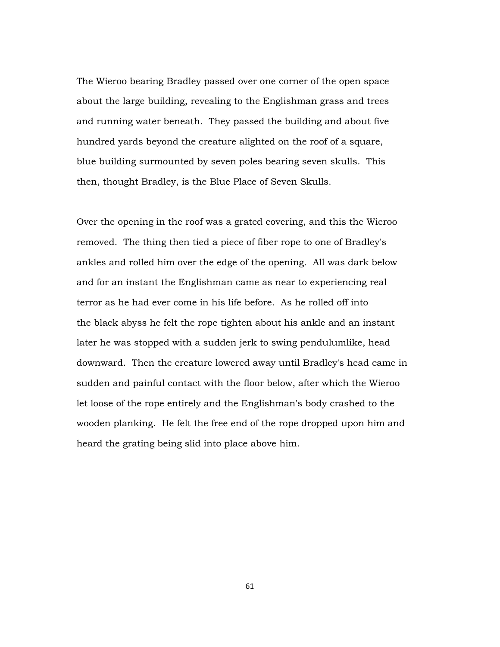The Wieroo bearing Bradley passed over one corner of the open space about the large building, revealing to the Englishman grass and trees and running water beneath. They passed the building and about five hundred yards beyond the creature alighted on the roof of a square, blue building surmounted by seven poles bearing seven skulls. This then, thought Bradley, is the Blue Place of Seven Skulls.

Over the opening in the roof was a grated covering, and this the Wieroo removed. The thing then tied a piece of fiber rope to one of Bradley's ankles and rolled him over the edge of the opening. All was dark below and for an instant the Englishman came as near to experiencing real terror as he had ever come in his life before. As he rolled off into the black abyss he felt the rope tighten about his ankle and an instant later he was stopped with a sudden jerk to swing pendulumlike, head downward. Then the creature lowered away until Bradley's head came in sudden and painful contact with the floor below, after which the Wieroo let loose of the rope entirely and the Englishman's body crashed to the wooden planking. He felt the free end of the rope dropped upon him and heard the grating being slid into place above him.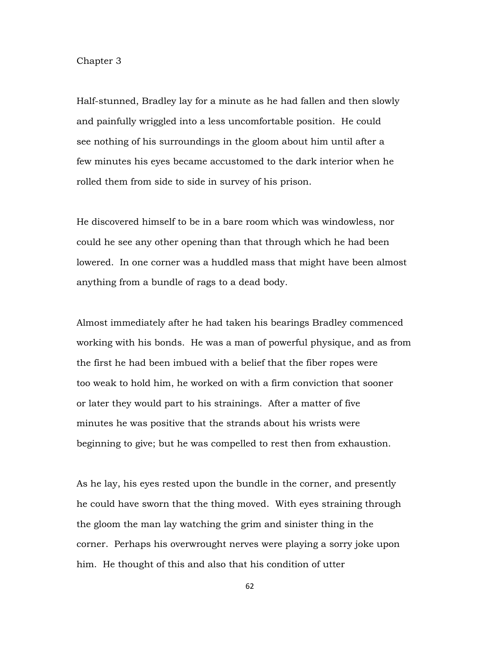## Chapter 3

Half-stunned, Bradley lay for a minute as he had fallen and then slowly and painfully wriggled into a less uncomfortable position. He could see nothing of his surroundings in the gloom about him until after a few minutes his eyes became accustomed to the dark interior when he rolled them from side to side in survey of his prison.

He discovered himself to be in a bare room which was windowless, nor could he see any other opening than that through which he had been lowered. In one corner was a huddled mass that might have been almost anything from a bundle of rags to a dead body.

Almost immediately after he had taken his bearings Bradley commenced working with his bonds. He was a man of powerful physique, and as from the first he had been imbued with a belief that the fiber ropes were too weak to hold him, he worked on with a firm conviction that sooner or later they would part to his strainings. After a matter of five minutes he was positive that the strands about his wrists were beginning to give; but he was compelled to rest then from exhaustion.

As he lay, his eyes rested upon the bundle in the corner, and presently he could have sworn that the thing moved. With eyes straining through the gloom the man lay watching the grim and sinister thing in the corner. Perhaps his overwrought nerves were playing a sorry joke upon him. He thought of this and also that his condition of utter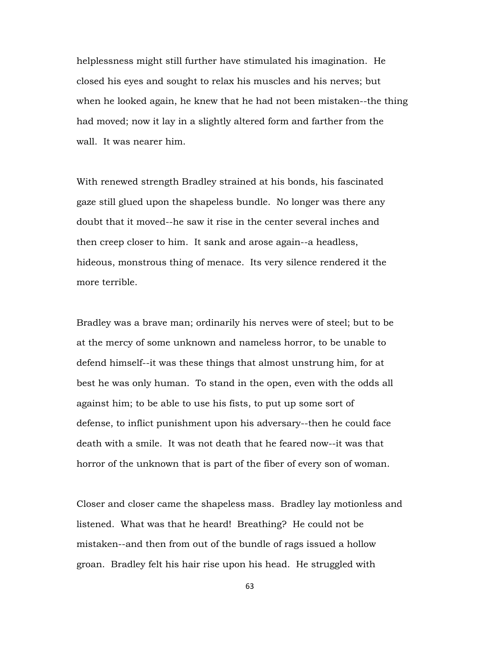helplessness might still further have stimulated his imagination. He closed his eyes and sought to relax his muscles and his nerves; but when he looked again, he knew that he had not been mistaken--the thing had moved; now it lay in a slightly altered form and farther from the wall. It was nearer him.

With renewed strength Bradley strained at his bonds, his fascinated gaze still glued upon the shapeless bundle. No longer was there any doubt that it moved--he saw it rise in the center several inches and then creep closer to him. It sank and arose again--a headless, hideous, monstrous thing of menace. Its very silence rendered it the more terrible.

Bradley was a brave man; ordinarily his nerves were of steel; but to be at the mercy of some unknown and nameless horror, to be unable to defend himself--it was these things that almost unstrung him, for at best he was only human. To stand in the open, even with the odds all against him; to be able to use his fists, to put up some sort of defense, to inflict punishment upon his adversary--then he could face death with a smile. It was not death that he feared now--it was that horror of the unknown that is part of the fiber of every son of woman.

Closer and closer came the shapeless mass. Bradley lay motionless and listened. What was that he heard! Breathing? He could not be mistaken--and then from out of the bundle of rags issued a hollow groan. Bradley felt his hair rise upon his head. He struggled with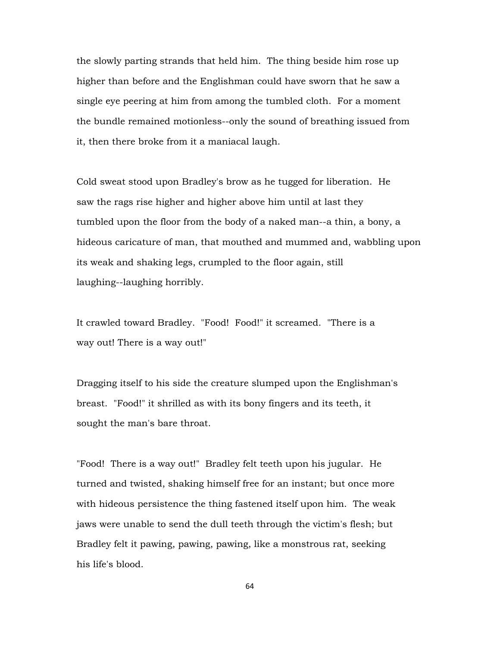the slowly parting strands that held him. The thing beside him rose up higher than before and the Englishman could have sworn that he saw a single eye peering at him from among the tumbled cloth. For a moment the bundle remained motionless--only the sound of breathing issued from it, then there broke from it a maniacal laugh.

Cold sweat stood upon Bradley's brow as he tugged for liberation. He saw the rags rise higher and higher above him until at last they tumbled upon the floor from the body of a naked man--a thin, a bony, a hideous caricature of man, that mouthed and mummed and, wabbling upon its weak and shaking legs, crumpled to the floor again, still laughing--laughing horribly.

It crawled toward Bradley. "Food! Food!" it screamed. "There is a way out! There is a way out!"

Dragging itself to his side the creature slumped upon the Englishman's breast. "Food!" it shrilled as with its bony fingers and its teeth, it sought the man's bare throat.

"Food! There is a way out!" Bradley felt teeth upon his jugular. He turned and twisted, shaking himself free for an instant; but once more with hideous persistence the thing fastened itself upon him. The weak jaws were unable to send the dull teeth through the victim's flesh; but Bradley felt it pawing, pawing, pawing, like a monstrous rat, seeking his life's blood.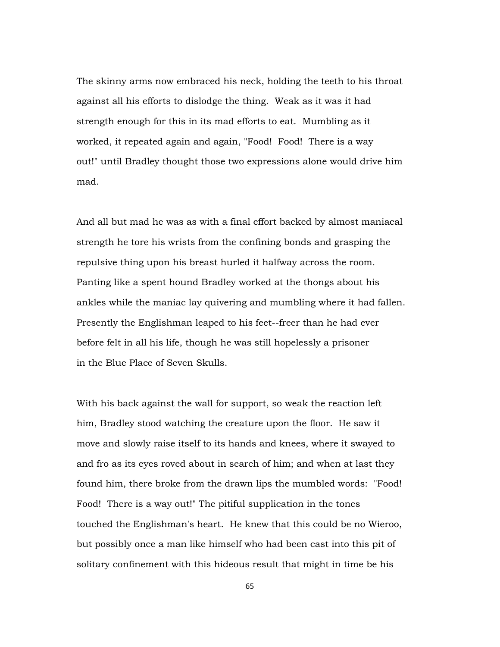The skinny arms now embraced his neck, holding the teeth to his throat against all his efforts to dislodge the thing. Weak as it was it had strength enough for this in its mad efforts to eat. Mumbling as it worked, it repeated again and again, "Food! Food! There is a way out!" until Bradley thought those two expressions alone would drive him mad.

And all but mad he was as with a final effort backed by almost maniacal strength he tore his wrists from the confining bonds and grasping the repulsive thing upon his breast hurled it halfway across the room. Panting like a spent hound Bradley worked at the thongs about his ankles while the maniac lay quivering and mumbling where it had fallen. Presently the Englishman leaped to his feet--freer than he had ever before felt in all his life, though he was still hopelessly a prisoner in the Blue Place of Seven Skulls.

With his back against the wall for support, so weak the reaction left him, Bradley stood watching the creature upon the floor. He saw it move and slowly raise itself to its hands and knees, where it swayed to and fro as its eyes roved about in search of him; and when at last they found him, there broke from the drawn lips the mumbled words: "Food! Food! There is a way out!" The pitiful supplication in the tones touched the Englishman's heart. He knew that this could be no Wieroo, but possibly once a man like himself who had been cast into this pit of solitary confinement with this hideous result that might in time be his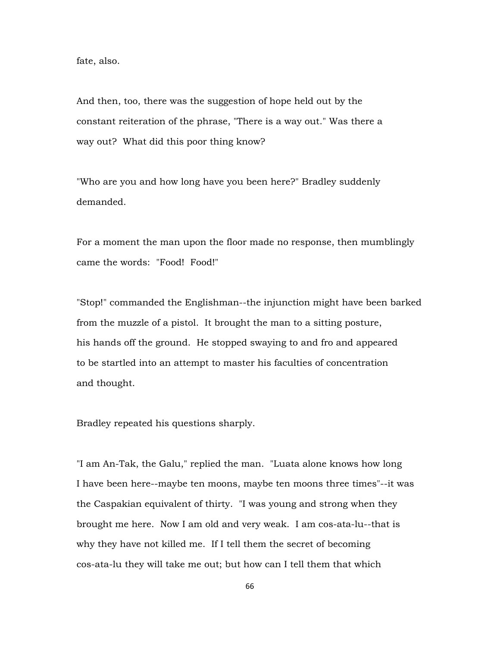fate, also.

And then, too, there was the suggestion of hope held out by the constant reiteration of the phrase, "There is a way out." Was there a way out? What did this poor thing know?

"Who are you and how long have you been here?" Bradley suddenly demanded.

For a moment the man upon the floor made no response, then mumblingly came the words: "Food! Food!"

"Stop!" commanded the Englishman--the injunction might have been barked from the muzzle of a pistol. It brought the man to a sitting posture, his hands off the ground. He stopped swaying to and fro and appeared to be startled into an attempt to master his faculties of concentration and thought.

Bradley repeated his questions sharply.

"I am An-Tak, the Galu," replied the man. "Luata alone knows how long I have been here--maybe ten moons, maybe ten moons three times"--it was the Caspakian equivalent of thirty. "I was young and strong when they brought me here. Now I am old and very weak. I am cos-ata-lu--that is why they have not killed me. If I tell them the secret of becoming cos-ata-lu they will take me out; but how can I tell them that which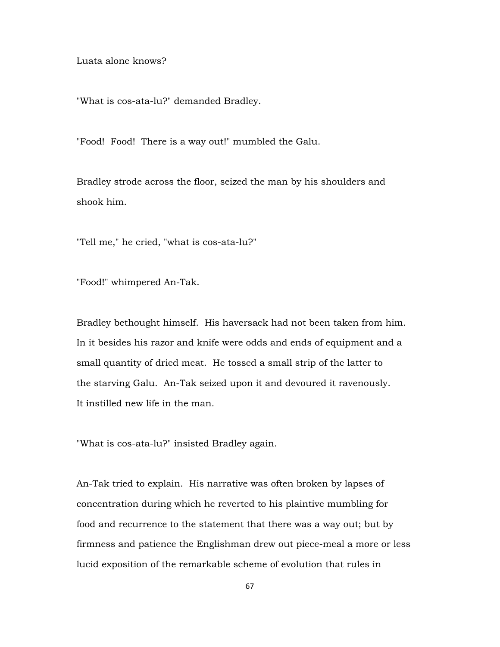Luata alone knows?

"What is cos-ata-lu?" demanded Bradley.

"Food! Food! There is a way out!" mumbled the Galu.

Bradley strode across the floor, seized the man by his shoulders and shook him.

"Tell me," he cried, "what is cos-ata-lu?"

"Food!" whimpered An-Tak.

Bradley bethought himself. His haversack had not been taken from him. In it besides his razor and knife were odds and ends of equipment and a small quantity of dried meat. He tossed a small strip of the latter to the starving Galu. An-Tak seized upon it and devoured it ravenously. It instilled new life in the man.

"What is cos-ata-lu?" insisted Bradley again.

An-Tak tried to explain. His narrative was often broken by lapses of concentration during which he reverted to his plaintive mumbling for food and recurrence to the statement that there was a way out; but by firmness and patience the Englishman drew out piece-meal a more or less lucid exposition of the remarkable scheme of evolution that rules in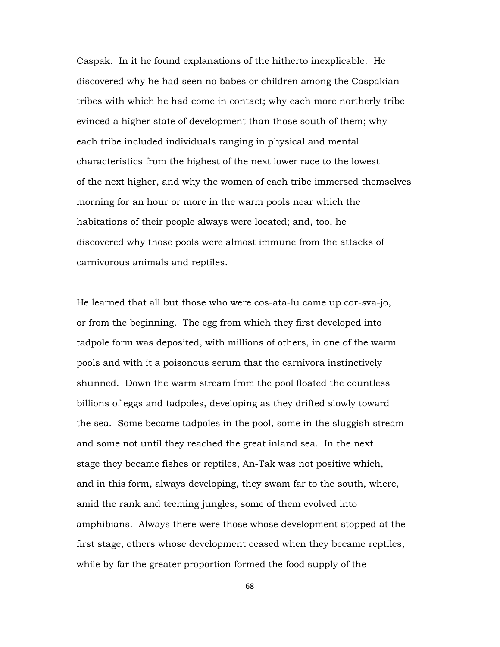Caspak. In it he found explanations of the hitherto inexplicable. He discovered why he had seen no babes or children among the Caspakian tribes with which he had come in contact; why each more northerly tribe evinced a higher state of development than those south of them; why each tribe included individuals ranging in physical and mental characteristics from the highest of the next lower race to the lowest of the next higher, and why the women of each tribe immersed themselves morning for an hour or more in the warm pools near which the habitations of their people always were located; and, too, he discovered why those pools were almost immune from the attacks of carnivorous animals and reptiles.

He learned that all but those who were cos-ata-lu came up cor-sva-jo, or from the beginning. The egg from which they first developed into tadpole form was deposited, with millions of others, in one of the warm pools and with it a poisonous serum that the carnivora instinctively shunned. Down the warm stream from the pool floated the countless billions of eggs and tadpoles, developing as they drifted slowly toward the sea. Some became tadpoles in the pool, some in the sluggish stream and some not until they reached the great inland sea. In the next stage they became fishes or reptiles, An-Tak was not positive which, and in this form, always developing, they swam far to the south, where, amid the rank and teeming jungles, some of them evolved into amphibians. Always there were those whose development stopped at the first stage, others whose development ceased when they became reptiles, while by far the greater proportion formed the food supply of the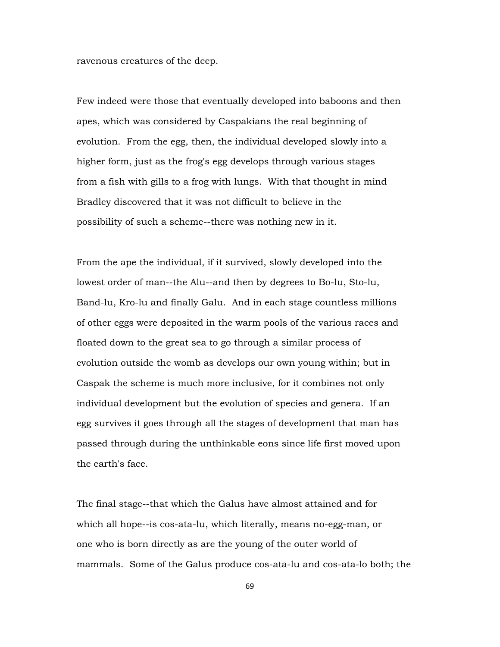ravenous creatures of the deep.

Few indeed were those that eventually developed into baboons and then apes, which was considered by Caspakians the real beginning of evolution. From the egg, then, the individual developed slowly into a higher form, just as the frog's egg develops through various stages from a fish with gills to a frog with lungs. With that thought in mind Bradley discovered that it was not difficult to believe in the possibility of such a scheme--there was nothing new in it.

From the ape the individual, if it survived, slowly developed into the lowest order of man--the Alu--and then by degrees to Bo-lu, Sto-lu, Band-lu, Kro-lu and finally Galu. And in each stage countless millions of other eggs were deposited in the warm pools of the various races and floated down to the great sea to go through a similar process of evolution outside the womb as develops our own young within; but in Caspak the scheme is much more inclusive, for it combines not only individual development but the evolution of species and genera. If an egg survives it goes through all the stages of development that man has passed through during the unthinkable eons since life first moved upon the earth's face.

The final stage--that which the Galus have almost attained and for which all hope--is cos-ata-lu, which literally, means no-egg-man, or one who is born directly as are the young of the outer world of mammals. Some of the Galus produce cos-ata-lu and cos-ata-lo both; the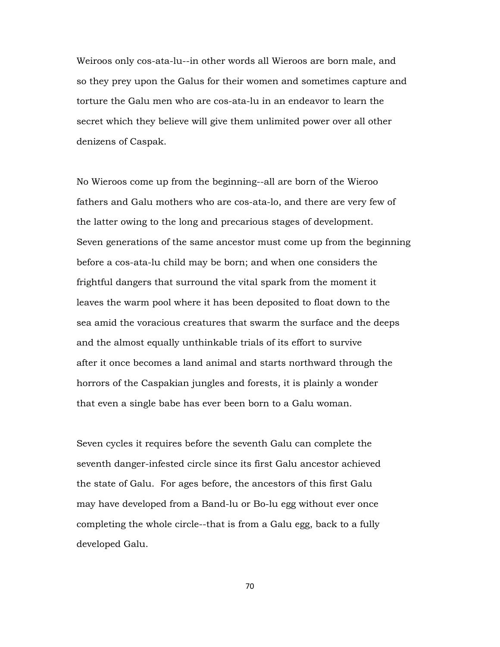Weiroos only cos-ata-lu--in other words all Wieroos are born male, and so they prey upon the Galus for their women and sometimes capture and torture the Galu men who are cos-ata-lu in an endeavor to learn the secret which they believe will give them unlimited power over all other denizens of Caspak.

No Wieroos come up from the beginning--all are born of the Wieroo fathers and Galu mothers who are cos-ata-lo, and there are very few of the latter owing to the long and precarious stages of development. Seven generations of the same ancestor must come up from the beginning before a cos-ata-lu child may be born; and when one considers the frightful dangers that surround the vital spark from the moment it leaves the warm pool where it has been deposited to float down to the sea amid the voracious creatures that swarm the surface and the deeps and the almost equally unthinkable trials of its effort to survive after it once becomes a land animal and starts northward through the horrors of the Caspakian jungles and forests, it is plainly a wonder that even a single babe has ever been born to a Galu woman.

Seven cycles it requires before the seventh Galu can complete the seventh danger-infested circle since its first Galu ancestor achieved the state of Galu. For ages before, the ancestors of this first Galu may have developed from a Band-lu or Bo-lu egg without ever once completing the whole circle--that is from a Galu egg, back to a fully developed Galu.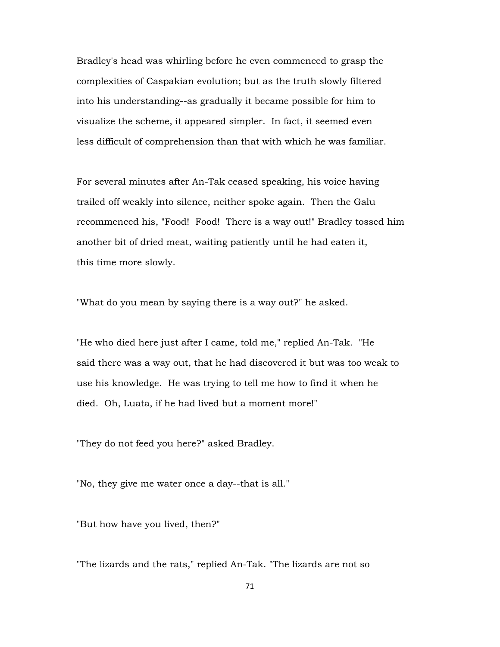Bradley's head was whirling before he even commenced to grasp the complexities of Caspakian evolution; but as the truth slowly filtered into his understanding--as gradually it became possible for him to visualize the scheme, it appeared simpler. In fact, it seemed even less difficult of comprehension than that with which he was familiar.

For several minutes after An-Tak ceased speaking, his voice having trailed off weakly into silence, neither spoke again. Then the Galu recommenced his, "Food! Food! There is a way out!" Bradley tossed him another bit of dried meat, waiting patiently until he had eaten it, this time more slowly.

"What do you mean by saying there is a way out?" he asked.

"He who died here just after I came, told me," replied An-Tak. "He said there was a way out, that he had discovered it but was too weak to use his knowledge. He was trying to tell me how to find it when he died. Oh, Luata, if he had lived but a moment more!"

"They do not feed you here?" asked Bradley.

"No, they give me water once a day--that is all."

"But how have you lived, then?"

"The lizards and the rats," replied An-Tak. "The lizards are not so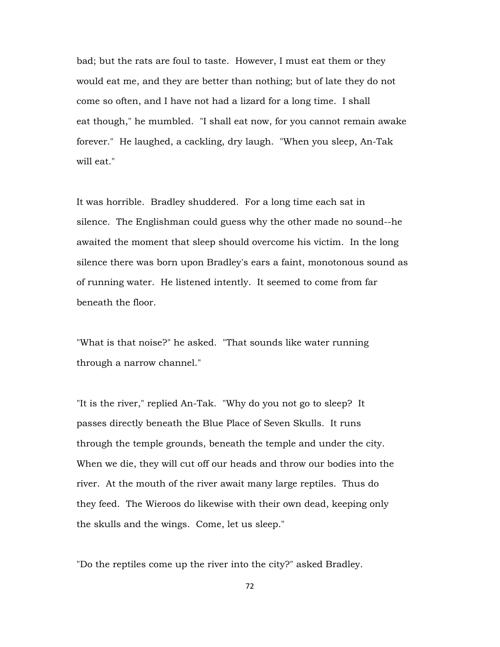bad; but the rats are foul to taste. However, I must eat them or they would eat me, and they are better than nothing; but of late they do not come so often, and I have not had a lizard for a long time. I shall eat though," he mumbled. "I shall eat now, for you cannot remain awake forever." He laughed, a cackling, dry laugh. "When you sleep, An-Tak will eat."

It was horrible. Bradley shuddered. For a long time each sat in silence. The Englishman could guess why the other made no sound--he awaited the moment that sleep should overcome his victim. In the long silence there was born upon Bradley's ears a faint, monotonous sound as of running water. He listened intently. It seemed to come from far beneath the floor.

"What is that noise?" he asked. "That sounds like water running through a narrow channel."

"It is the river," replied An-Tak. "Why do you not go to sleep? It passes directly beneath the Blue Place of Seven Skulls. It runs through the temple grounds, beneath the temple and under the city. When we die, they will cut off our heads and throw our bodies into the river. At the mouth of the river await many large reptiles. Thus do they feed. The Wieroos do likewise with their own dead, keeping only the skulls and the wings. Come, let us sleep."

"Do the reptiles come up the river into the city?" asked Bradley.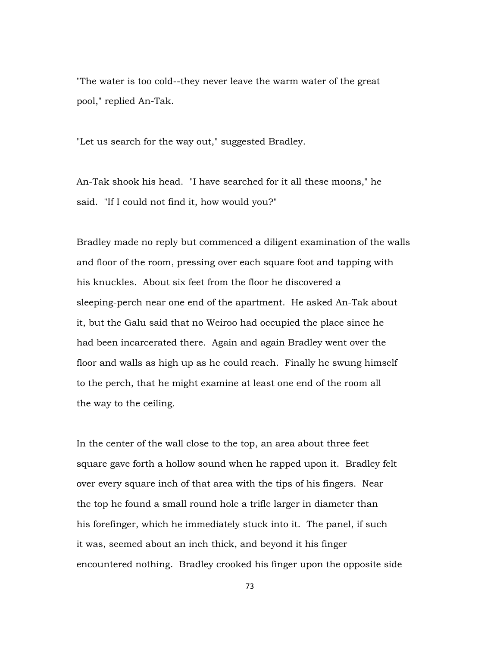"The water is too cold--they never leave the warm water of the great pool," replied An-Tak.

"Let us search for the way out," suggested Bradley.

An-Tak shook his head. "I have searched for it all these moons," he said. "If I could not find it, how would you?"

Bradley made no reply but commenced a diligent examination of the walls and floor of the room, pressing over each square foot and tapping with his knuckles. About six feet from the floor he discovered a sleeping-perch near one end of the apartment. He asked An-Tak about it, but the Galu said that no Weiroo had occupied the place since he had been incarcerated there. Again and again Bradley went over the floor and walls as high up as he could reach. Finally he swung himself to the perch, that he might examine at least one end of the room all the way to the ceiling.

In the center of the wall close to the top, an area about three feet square gave forth a hollow sound when he rapped upon it. Bradley felt over every square inch of that area with the tips of his fingers. Near the top he found a small round hole a trifle larger in diameter than his forefinger, which he immediately stuck into it. The panel, if such it was, seemed about an inch thick, and beyond it his finger encountered nothing. Bradley crooked his finger upon the opposite side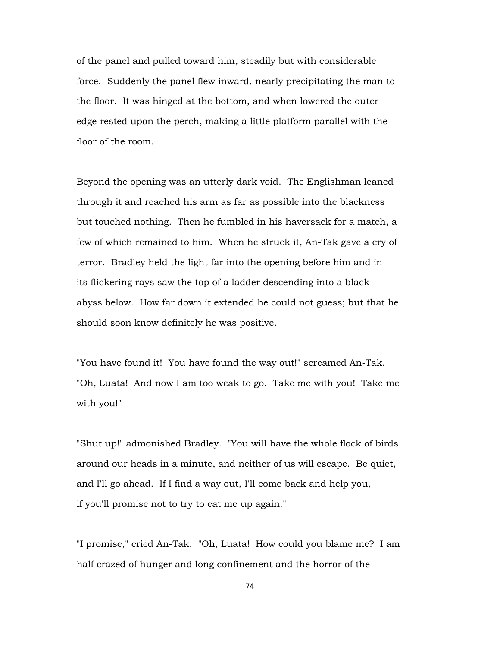of the panel and pulled toward him, steadily but with considerable force. Suddenly the panel flew inward, nearly precipitating the man to the floor. It was hinged at the bottom, and when lowered the outer edge rested upon the perch, making a little platform parallel with the floor of the room.

Beyond the opening was an utterly dark void. The Englishman leaned through it and reached his arm as far as possible into the blackness but touched nothing. Then he fumbled in his haversack for a match, a few of which remained to him. When he struck it, An-Tak gave a cry of terror. Bradley held the light far into the opening before him and in its flickering rays saw the top of a ladder descending into a black abyss below. How far down it extended he could not guess; but that he should soon know definitely he was positive.

"You have found it! You have found the way out!" screamed An-Tak. "Oh, Luata! And now I am too weak to go. Take me with you! Take me with you!"

"Shut up!" admonished Bradley. "You will have the whole flock of birds around our heads in a minute, and neither of us will escape. Be quiet, and I'll go ahead. If I find a way out, I'll come back and help you, if you'll promise not to try to eat me up again."

"I promise," cried An-Tak. "Oh, Luata! How could you blame me? I am half crazed of hunger and long confinement and the horror of the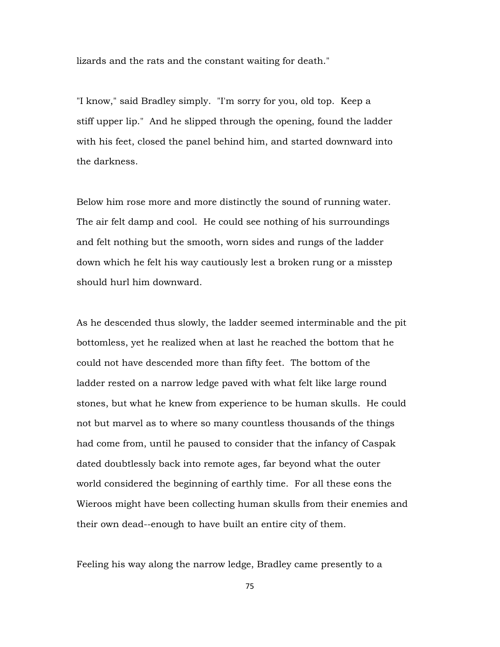lizards and the rats and the constant waiting for death."

"I know," said Bradley simply. "I'm sorry for you, old top. Keep a stiff upper lip." And he slipped through the opening, found the ladder with his feet, closed the panel behind him, and started downward into the darkness.

Below him rose more and more distinctly the sound of running water. The air felt damp and cool. He could see nothing of his surroundings and felt nothing but the smooth, worn sides and rungs of the ladder down which he felt his way cautiously lest a broken rung or a misstep should hurl him downward.

As he descended thus slowly, the ladder seemed interminable and the pit bottomless, yet he realized when at last he reached the bottom that he could not have descended more than fifty feet. The bottom of the ladder rested on a narrow ledge paved with what felt like large round stones, but what he knew from experience to be human skulls. He could not but marvel as to where so many countless thousands of the things had come from, until he paused to consider that the infancy of Caspak dated doubtlessly back into remote ages, far beyond what the outer world considered the beginning of earthly time. For all these eons the Wieroos might have been collecting human skulls from their enemies and their own dead--enough to have built an entire city of them.

Feeling his way along the narrow ledge, Bradley came presently to a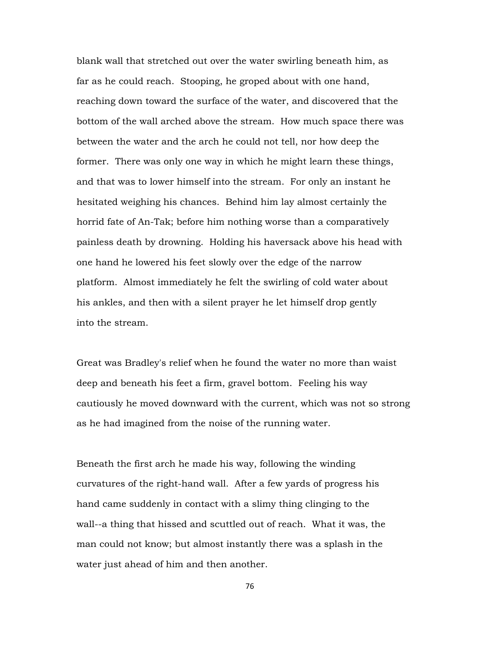blank wall that stretched out over the water swirling beneath him, as far as he could reach. Stooping, he groped about with one hand, reaching down toward the surface of the water, and discovered that the bottom of the wall arched above the stream. How much space there was between the water and the arch he could not tell, nor how deep the former. There was only one way in which he might learn these things, and that was to lower himself into the stream. For only an instant he hesitated weighing his chances. Behind him lay almost certainly the horrid fate of An-Tak; before him nothing worse than a comparatively painless death by drowning. Holding his haversack above his head with one hand he lowered his feet slowly over the edge of the narrow platform. Almost immediately he felt the swirling of cold water about his ankles, and then with a silent prayer he let himself drop gently into the stream.

Great was Bradley's relief when he found the water no more than waist deep and beneath his feet a firm, gravel bottom. Feeling his way cautiously he moved downward with the current, which was not so strong as he had imagined from the noise of the running water.

Beneath the first arch he made his way, following the winding curvatures of the right-hand wall. After a few yards of progress his hand came suddenly in contact with a slimy thing clinging to the wall--a thing that hissed and scuttled out of reach. What it was, the man could not know; but almost instantly there was a splash in the water just ahead of him and then another.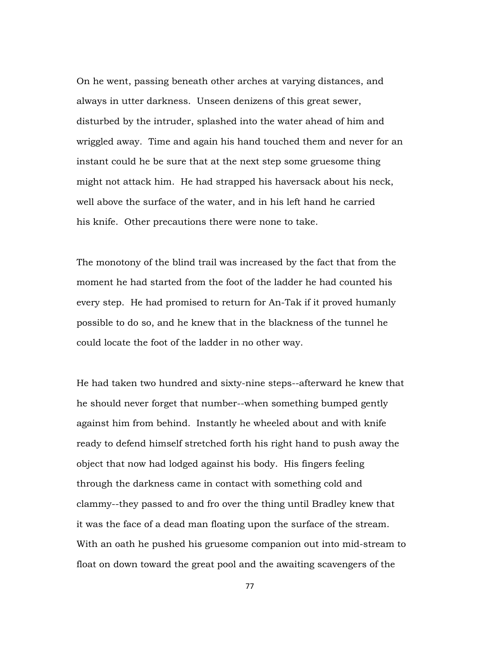On he went, passing beneath other arches at varying distances, and always in utter darkness. Unseen denizens of this great sewer, disturbed by the intruder, splashed into the water ahead of him and wriggled away. Time and again his hand touched them and never for an instant could he be sure that at the next step some gruesome thing might not attack him. He had strapped his haversack about his neck, well above the surface of the water, and in his left hand he carried his knife. Other precautions there were none to take.

The monotony of the blind trail was increased by the fact that from the moment he had started from the foot of the ladder he had counted his every step. He had promised to return for An-Tak if it proved humanly possible to do so, and he knew that in the blackness of the tunnel he could locate the foot of the ladder in no other way.

He had taken two hundred and sixty-nine steps--afterward he knew that he should never forget that number--when something bumped gently against him from behind. Instantly he wheeled about and with knife ready to defend himself stretched forth his right hand to push away the object that now had lodged against his body. His fingers feeling through the darkness came in contact with something cold and clammy--they passed to and fro over the thing until Bradley knew that it was the face of a dead man floating upon the surface of the stream. With an oath he pushed his gruesome companion out into mid-stream to float on down toward the great pool and the awaiting scavengers of the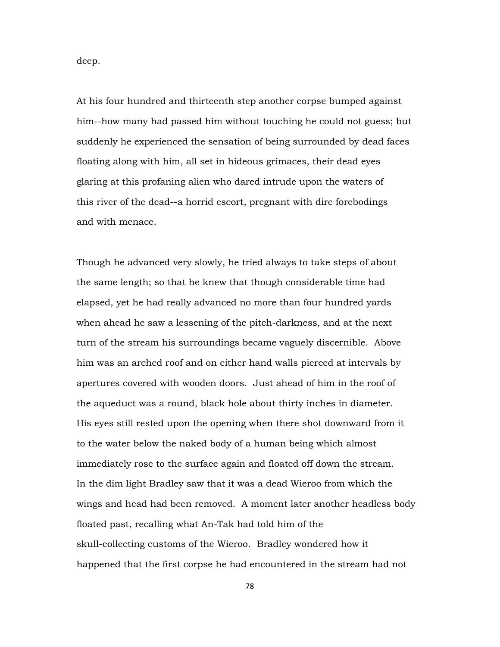deep.

At his four hundred and thirteenth step another corpse bumped against him--how many had passed him without touching he could not guess; but suddenly he experienced the sensation of being surrounded by dead faces floating along with him, all set in hideous grimaces, their dead eyes glaring at this profaning alien who dared intrude upon the waters of this river of the dead--a horrid escort, pregnant with dire forebodings and with menace.

Though he advanced very slowly, he tried always to take steps of about the same length; so that he knew that though considerable time had elapsed, yet he had really advanced no more than four hundred yards when ahead he saw a lessening of the pitch-darkness, and at the next turn of the stream his surroundings became vaguely discernible. Above him was an arched roof and on either hand walls pierced at intervals by apertures covered with wooden doors. Just ahead of him in the roof of the aqueduct was a round, black hole about thirty inches in diameter. His eyes still rested upon the opening when there shot downward from it to the water below the naked body of a human being which almost immediately rose to the surface again and floated off down the stream. In the dim light Bradley saw that it was a dead Wieroo from which the wings and head had been removed. A moment later another headless body floated past, recalling what An-Tak had told him of the skull-collecting customs of the Wieroo. Bradley wondered how it happened that the first corpse he had encountered in the stream had not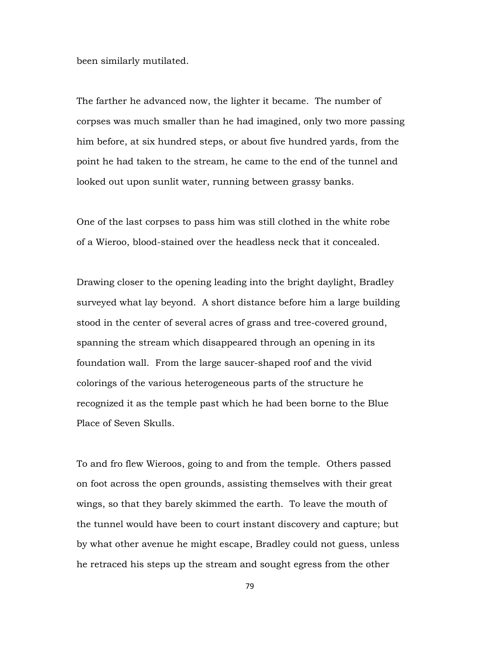been similarly mutilated.

The farther he advanced now, the lighter it became. The number of corpses was much smaller than he had imagined, only two more passing him before, at six hundred steps, or about five hundred yards, from the point he had taken to the stream, he came to the end of the tunnel and looked out upon sunlit water, running between grassy banks.

One of the last corpses to pass him was still clothed in the white robe of a Wieroo, blood-stained over the headless neck that it concealed.

Drawing closer to the opening leading into the bright daylight, Bradley surveyed what lay beyond. A short distance before him a large building stood in the center of several acres of grass and tree-covered ground, spanning the stream which disappeared through an opening in its foundation wall. From the large saucer-shaped roof and the vivid colorings of the various heterogeneous parts of the structure he recognized it as the temple past which he had been borne to the Blue Place of Seven Skulls.

To and fro flew Wieroos, going to and from the temple. Others passed on foot across the open grounds, assisting themselves with their great wings, so that they barely skimmed the earth. To leave the mouth of the tunnel would have been to court instant discovery and capture; but by what other avenue he might escape, Bradley could not guess, unless he retraced his steps up the stream and sought egress from the other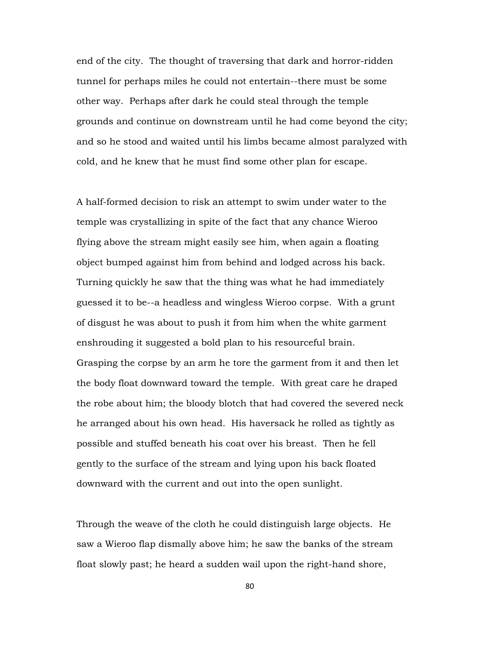end of the city. The thought of traversing that dark and horror-ridden tunnel for perhaps miles he could not entertain--there must be some other way. Perhaps after dark he could steal through the temple grounds and continue on downstream until he had come beyond the city; and so he stood and waited until his limbs became almost paralyzed with cold, and he knew that he must find some other plan for escape.

A half-formed decision to risk an attempt to swim under water to the temple was crystallizing in spite of the fact that any chance Wieroo flying above the stream might easily see him, when again a floating object bumped against him from behind and lodged across his back. Turning quickly he saw that the thing was what he had immediately guessed it to be--a headless and wingless Wieroo corpse. With a grunt of disgust he was about to push it from him when the white garment enshrouding it suggested a bold plan to his resourceful brain. Grasping the corpse by an arm he tore the garment from it and then let the body float downward toward the temple. With great care he draped the robe about him; the bloody blotch that had covered the severed neck he arranged about his own head. His haversack he rolled as tightly as possible and stuffed beneath his coat over his breast. Then he fell gently to the surface of the stream and lying upon his back floated downward with the current and out into the open sunlight.

Through the weave of the cloth he could distinguish large objects. He saw a Wieroo flap dismally above him; he saw the banks of the stream float slowly past; he heard a sudden wail upon the right-hand shore,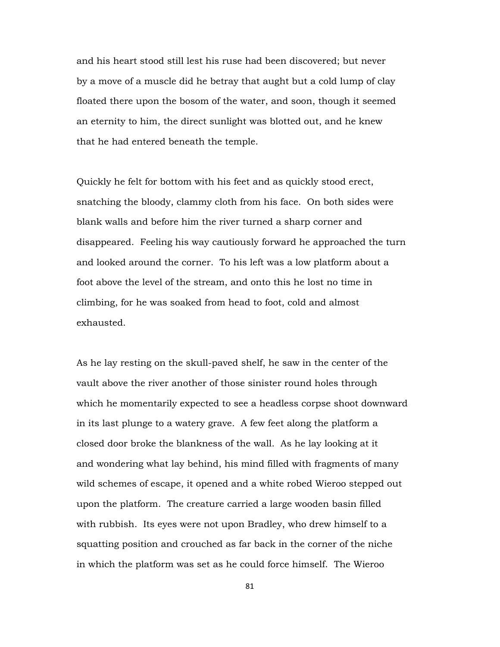and his heart stood still lest his ruse had been discovered; but never by a move of a muscle did he betray that aught but a cold lump of clay floated there upon the bosom of the water, and soon, though it seemed an eternity to him, the direct sunlight was blotted out, and he knew that he had entered beneath the temple.

Quickly he felt for bottom with his feet and as quickly stood erect, snatching the bloody, clammy cloth from his face. On both sides were blank walls and before him the river turned a sharp corner and disappeared. Feeling his way cautiously forward he approached the turn and looked around the corner. To his left was a low platform about a foot above the level of the stream, and onto this he lost no time in climbing, for he was soaked from head to foot, cold and almost exhausted.

As he lay resting on the skull-paved shelf, he saw in the center of the vault above the river another of those sinister round holes through which he momentarily expected to see a headless corpse shoot downward in its last plunge to a watery grave. A few feet along the platform a closed door broke the blankness of the wall. As he lay looking at it and wondering what lay behind, his mind filled with fragments of many wild schemes of escape, it opened and a white robed Wieroo stepped out upon the platform. The creature carried a large wooden basin filled with rubbish. Its eyes were not upon Bradley, who drew himself to a squatting position and crouched as far back in the corner of the niche in which the platform was set as he could force himself. The Wieroo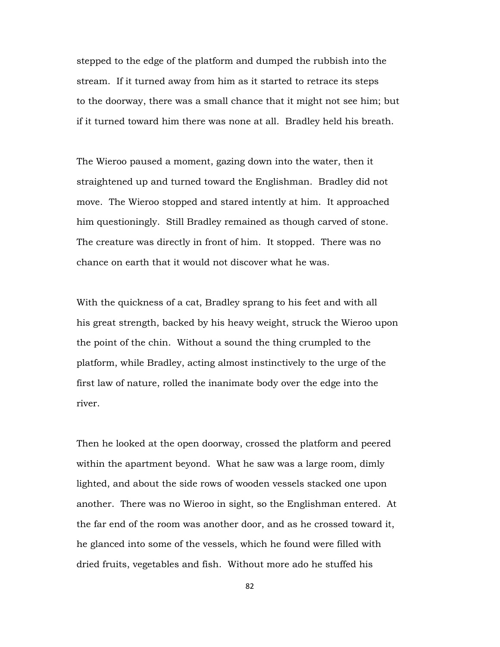stepped to the edge of the platform and dumped the rubbish into the stream. If it turned away from him as it started to retrace its steps to the doorway, there was a small chance that it might not see him; but if it turned toward him there was none at all. Bradley held his breath.

The Wieroo paused a moment, gazing down into the water, then it straightened up and turned toward the Englishman. Bradley did not move. The Wieroo stopped and stared intently at him. It approached him questioningly. Still Bradley remained as though carved of stone. The creature was directly in front of him. It stopped. There was no chance on earth that it would not discover what he was.

With the quickness of a cat, Bradley sprang to his feet and with all his great strength, backed by his heavy weight, struck the Wieroo upon the point of the chin. Without a sound the thing crumpled to the platform, while Bradley, acting almost instinctively to the urge of the first law of nature, rolled the inanimate body over the edge into the river.

Then he looked at the open doorway, crossed the platform and peered within the apartment beyond. What he saw was a large room, dimly lighted, and about the side rows of wooden vessels stacked one upon another. There was no Wieroo in sight, so the Englishman entered. At the far end of the room was another door, and as he crossed toward it, he glanced into some of the vessels, which he found were filled with dried fruits, vegetables and fish. Without more ado he stuffed his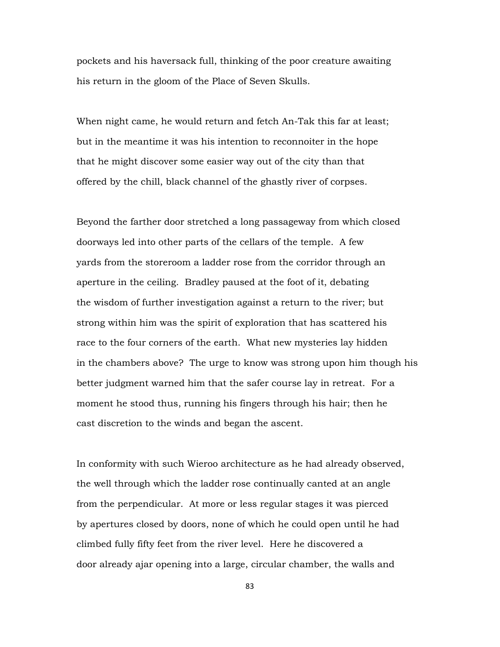pockets and his haversack full, thinking of the poor creature awaiting his return in the gloom of the Place of Seven Skulls.

When night came, he would return and fetch An-Tak this far at least; but in the meantime it was his intention to reconnoiter in the hope that he might discover some easier way out of the city than that offered by the chill, black channel of the ghastly river of corpses.

Beyond the farther door stretched a long passageway from which closed doorways led into other parts of the cellars of the temple. A few yards from the storeroom a ladder rose from the corridor through an aperture in the ceiling. Bradley paused at the foot of it, debating the wisdom of further investigation against a return to the river; but strong within him was the spirit of exploration that has scattered his race to the four corners of the earth. What new mysteries lay hidden in the chambers above? The urge to know was strong upon him though his better judgment warned him that the safer course lay in retreat. For a moment he stood thus, running his fingers through his hair; then he cast discretion to the winds and began the ascent.

In conformity with such Wieroo architecture as he had already observed, the well through which the ladder rose continually canted at an angle from the perpendicular. At more or less regular stages it was pierced by apertures closed by doors, none of which he could open until he had climbed fully fifty feet from the river level. Here he discovered a door already ajar opening into a large, circular chamber, the walls and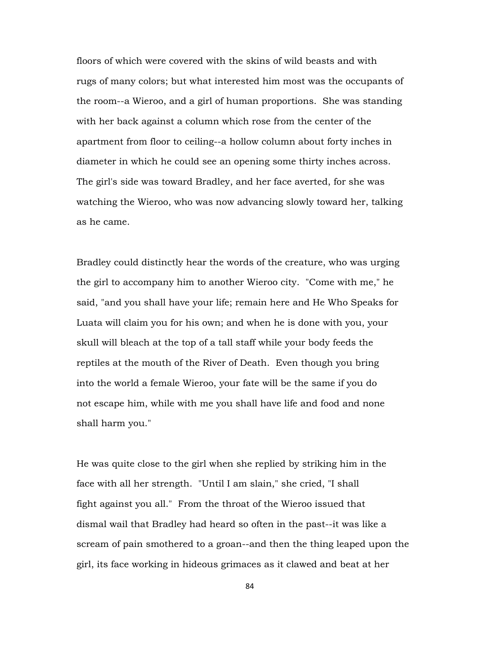floors of which were covered with the skins of wild beasts and with rugs of many colors; but what interested him most was the occupants of the room--a Wieroo, and a girl of human proportions. She was standing with her back against a column which rose from the center of the apartment from floor to ceiling--a hollow column about forty inches in diameter in which he could see an opening some thirty inches across. The girl's side was toward Bradley, and her face averted, for she was watching the Wieroo, who was now advancing slowly toward her, talking as he came.

Bradley could distinctly hear the words of the creature, who was urging the girl to accompany him to another Wieroo city. "Come with me," he said, "and you shall have your life; remain here and He Who Speaks for Luata will claim you for his own; and when he is done with you, your skull will bleach at the top of a tall staff while your body feeds the reptiles at the mouth of the River of Death. Even though you bring into the world a female Wieroo, your fate will be the same if you do not escape him, while with me you shall have life and food and none shall harm you."

He was quite close to the girl when she replied by striking him in the face with all her strength. "Until I am slain," she cried, "I shall fight against you all." From the throat of the Wieroo issued that dismal wail that Bradley had heard so often in the past--it was like a scream of pain smothered to a groan--and then the thing leaped upon the girl, its face working in hideous grimaces as it clawed and beat at her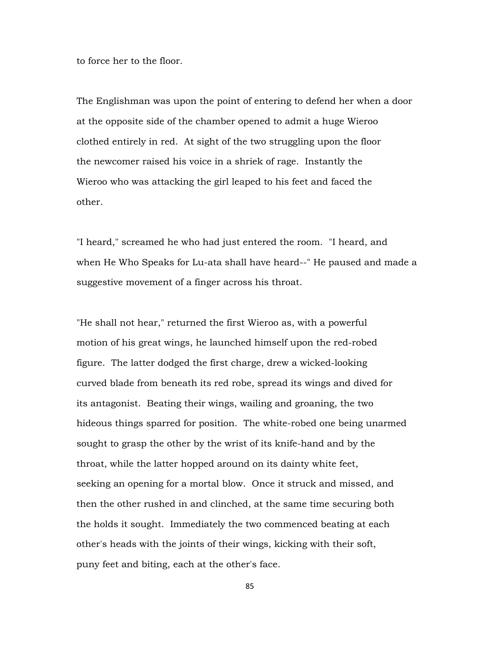to force her to the floor.

The Englishman was upon the point of entering to defend her when a door at the opposite side of the chamber opened to admit a huge Wieroo clothed entirely in red. At sight of the two struggling upon the floor the newcomer raised his voice in a shriek of rage. Instantly the Wieroo who was attacking the girl leaped to his feet and faced the other.

"I heard," screamed he who had just entered the room. "I heard, and when He Who Speaks for Lu-ata shall have heard--" He paused and made a suggestive movement of a finger across his throat.

"He shall not hear," returned the first Wieroo as, with a powerful motion of his great wings, he launched himself upon the red-robed figure. The latter dodged the first charge, drew a wicked-looking curved blade from beneath its red robe, spread its wings and dived for its antagonist. Beating their wings, wailing and groaning, the two hideous things sparred for position. The white-robed one being unarmed sought to grasp the other by the wrist of its knife-hand and by the throat, while the latter hopped around on its dainty white feet, seeking an opening for a mortal blow. Once it struck and missed, and then the other rushed in and clinched, at the same time securing both the holds it sought. Immediately the two commenced beating at each other's heads with the joints of their wings, kicking with their soft, puny feet and biting, each at the other's face.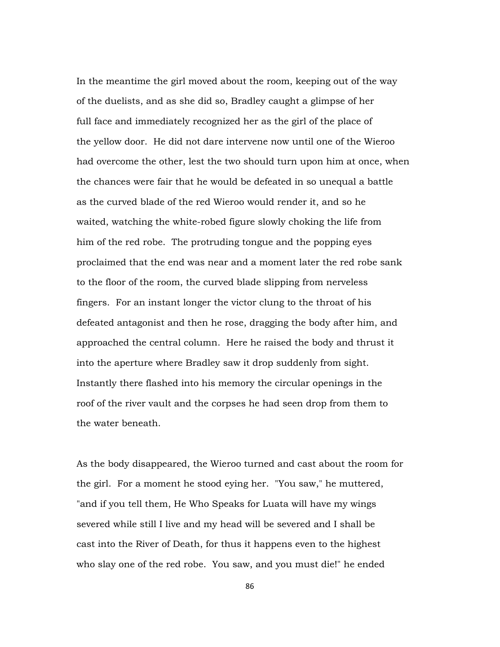In the meantime the girl moved about the room, keeping out of the way of the duelists, and as she did so, Bradley caught a glimpse of her full face and immediately recognized her as the girl of the place of the yellow door. He did not dare intervene now until one of the Wieroo had overcome the other, lest the two should turn upon him at once, when the chances were fair that he would be defeated in so unequal a battle as the curved blade of the red Wieroo would render it, and so he waited, watching the white-robed figure slowly choking the life from him of the red robe. The protruding tongue and the popping eyes proclaimed that the end was near and a moment later the red robe sank to the floor of the room, the curved blade slipping from nerveless fingers. For an instant longer the victor clung to the throat of his defeated antagonist and then he rose, dragging the body after him, and approached the central column. Here he raised the body and thrust it into the aperture where Bradley saw it drop suddenly from sight. Instantly there flashed into his memory the circular openings in the roof of the river vault and the corpses he had seen drop from them to the water beneath.

As the body disappeared, the Wieroo turned and cast about the room for the girl. For a moment he stood eying her. "You saw," he muttered, "and if you tell them, He Who Speaks for Luata will have my wings severed while still I live and my head will be severed and I shall be cast into the River of Death, for thus it happens even to the highest who slay one of the red robe. You saw, and you must die!" he ended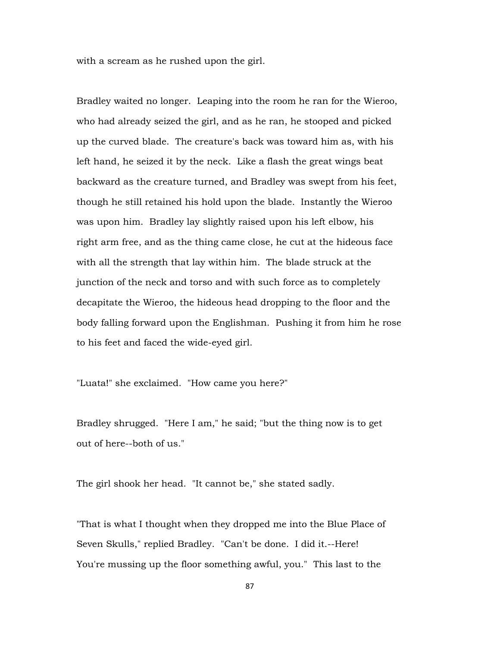with a scream as he rushed upon the girl.

Bradley waited no longer. Leaping into the room he ran for the Wieroo, who had already seized the girl, and as he ran, he stooped and picked up the curved blade. The creature's back was toward him as, with his left hand, he seized it by the neck. Like a flash the great wings beat backward as the creature turned, and Bradley was swept from his feet, though he still retained his hold upon the blade. Instantly the Wieroo was upon him. Bradley lay slightly raised upon his left elbow, his right arm free, and as the thing came close, he cut at the hideous face with all the strength that lay within him. The blade struck at the junction of the neck and torso and with such force as to completely decapitate the Wieroo, the hideous head dropping to the floor and the body falling forward upon the Englishman. Pushing it from him he rose to his feet and faced the wide-eyed girl.

"Luata!" she exclaimed. "How came you here?"

Bradley shrugged. "Here I am," he said; "but the thing now is to get out of here--both of us."

The girl shook her head. "It cannot be," she stated sadly.

"That is what I thought when they dropped me into the Blue Place of Seven Skulls," replied Bradley. "Can't be done. I did it.--Here! You're mussing up the floor something awful, you." This last to the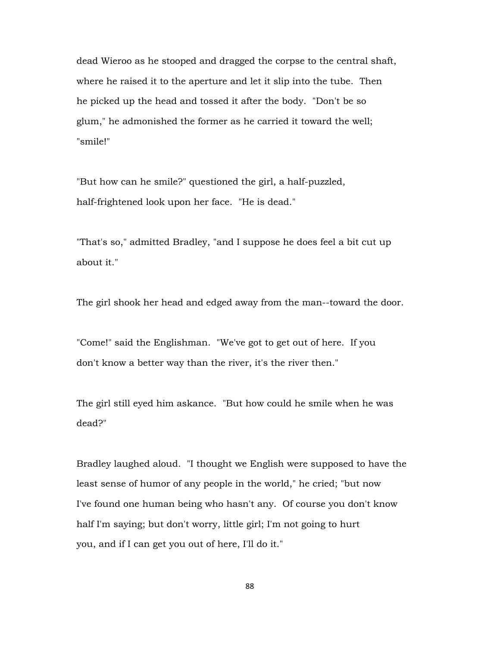dead Wieroo as he stooped and dragged the corpse to the central shaft, where he raised it to the aperture and let it slip into the tube. Then he picked up the head and tossed it after the body. "Don't be so glum," he admonished the former as he carried it toward the well; "smile!"

"But how can he smile?" questioned the girl, a half-puzzled, half-frightened look upon her face. "He is dead."

"That's so," admitted Bradley, "and I suppose he does feel a bit cut up about it."

The girl shook her head and edged away from the man--toward the door.

"Come!" said the Englishman. "We've got to get out of here. If you don't know a better way than the river, it's the river then."

The girl still eyed him askance. "But how could he smile when he was dead?"

Bradley laughed aloud. "I thought we English were supposed to have the least sense of humor of any people in the world," he cried; "but now I've found one human being who hasn't any. Of course you don't know half I'm saying; but don't worry, little girl; I'm not going to hurt you, and if I can get you out of here, I'll do it."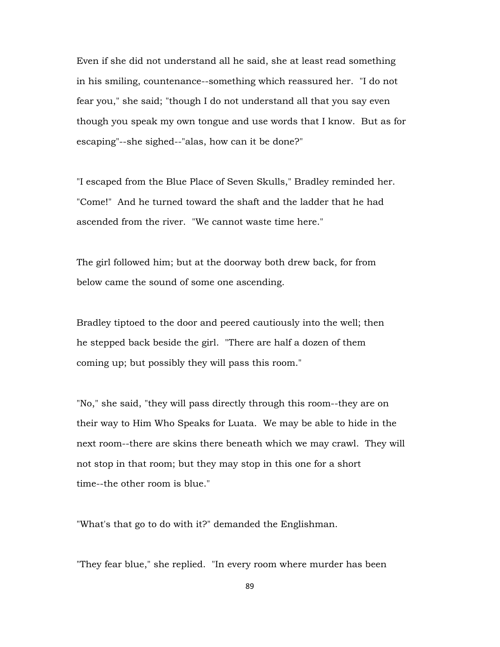Even if she did not understand all he said, she at least read something in his smiling, countenance--something which reassured her. "I do not fear you," she said; "though I do not understand all that you say even though you speak my own tongue and use words that I know. But as for escaping"--she sighed--"alas, how can it be done?"

"I escaped from the Blue Place of Seven Skulls," Bradley reminded her. "Come!" And he turned toward the shaft and the ladder that he had ascended from the river. "We cannot waste time here."

The girl followed him; but at the doorway both drew back, for from below came the sound of some one ascending.

Bradley tiptoed to the door and peered cautiously into the well; then he stepped back beside the girl. "There are half a dozen of them coming up; but possibly they will pass this room."

"No," she said, "they will pass directly through this room--they are on their way to Him Who Speaks for Luata. We may be able to hide in the next room--there are skins there beneath which we may crawl. They will not stop in that room; but they may stop in this one for a short time--the other room is blue."

"What's that go to do with it?" demanded the Englishman.

"They fear blue," she replied. "In every room where murder has been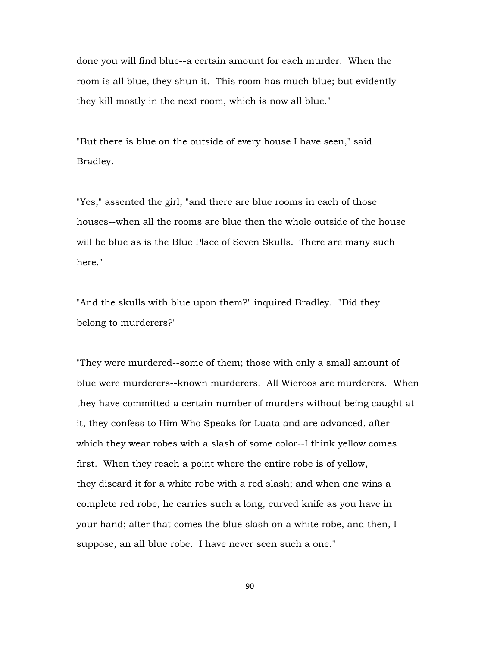done you will find blue--a certain amount for each murder. When the room is all blue, they shun it. This room has much blue; but evidently they kill mostly in the next room, which is now all blue."

"But there is blue on the outside of every house I have seen," said Bradley.

"Yes," assented the girl, "and there are blue rooms in each of those houses--when all the rooms are blue then the whole outside of the house will be blue as is the Blue Place of Seven Skulls. There are many such here."

"And the skulls with blue upon them?" inquired Bradley. "Did they belong to murderers?"

"They were murdered--some of them; those with only a small amount of blue were murderers--known murderers. All Wieroos are murderers. When they have committed a certain number of murders without being caught at it, they confess to Him Who Speaks for Luata and are advanced, after which they wear robes with a slash of some color--I think yellow comes first. When they reach a point where the entire robe is of yellow, they discard it for a white robe with a red slash; and when one wins a complete red robe, he carries such a long, curved knife as you have in your hand; after that comes the blue slash on a white robe, and then, I suppose, an all blue robe. I have never seen such a one."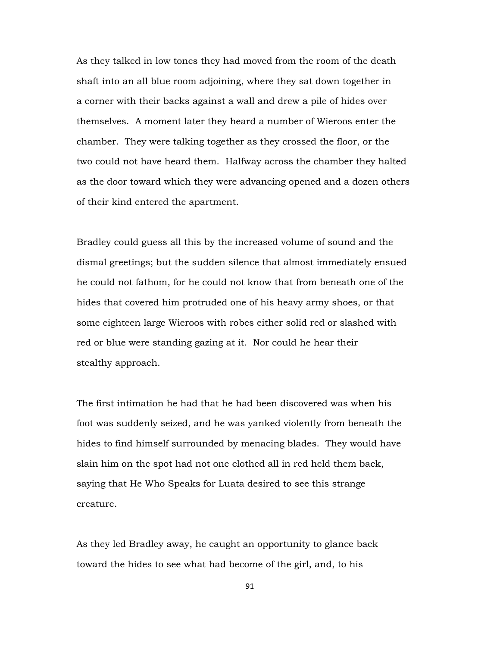As they talked in low tones they had moved from the room of the death shaft into an all blue room adjoining, where they sat down together in a corner with their backs against a wall and drew a pile of hides over themselves. A moment later they heard a number of Wieroos enter the chamber. They were talking together as they crossed the floor, or the two could not have heard them. Halfway across the chamber they halted as the door toward which they were advancing opened and a dozen others of their kind entered the apartment.

Bradley could guess all this by the increased volume of sound and the dismal greetings; but the sudden silence that almost immediately ensued he could not fathom, for he could not know that from beneath one of the hides that covered him protruded one of his heavy army shoes, or that some eighteen large Wieroos with robes either solid red or slashed with red or blue were standing gazing at it. Nor could he hear their stealthy approach.

The first intimation he had that he had been discovered was when his foot was suddenly seized, and he was yanked violently from beneath the hides to find himself surrounded by menacing blades. They would have slain him on the spot had not one clothed all in red held them back, saying that He Who Speaks for Luata desired to see this strange creature.

As they led Bradley away, he caught an opportunity to glance back toward the hides to see what had become of the girl, and, to his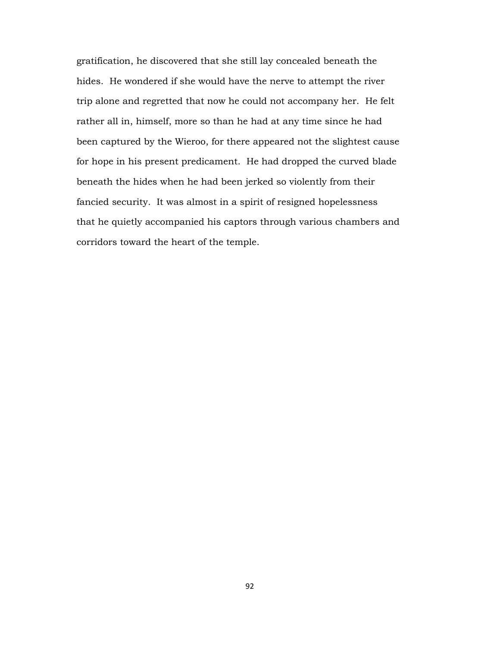gratification, he discovered that she still lay concealed beneath the hides. He wondered if she would have the nerve to attempt the river trip alone and regretted that now he could not accompany her. He felt rather all in, himself, more so than he had at any time since he had been captured by the Wieroo, for there appeared not the slightest cause for hope in his present predicament. He had dropped the curved blade beneath the hides when he had been jerked so violently from their fancied security. It was almost in a spirit of resigned hopelessness that he quietly accompanied his captors through various chambers and corridors toward the heart of the temple.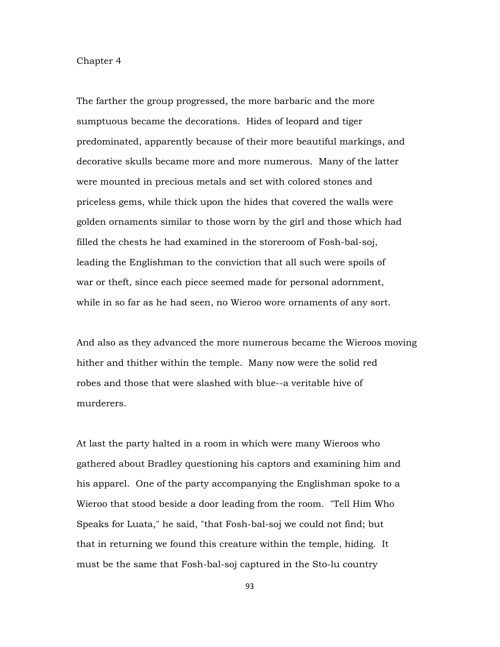## Chapter 4

The farther the group progressed, the more barbaric and the more sumptuous became the decorations. Hides of leopard and tiger predominated, apparently because of their more beautiful markings, and decorative skulls became more and more numerous. Many of the latter were mounted in precious metals and set with colored stones and priceless gems, while thick upon the hides that covered the walls were golden ornaments similar to those worn by the girl and those which had filled the chests he had examined in the storeroom of Fosh-bal-soj, leading the Englishman to the conviction that all such were spoils of war or theft, since each piece seemed made for personal adornment, while in so far as he had seen, no Wieroo wore ornaments of any sort.

And also as they advanced the more numerous became the Wieroos moving hither and thither within the temple. Many now were the solid red robes and those that were slashed with blue--a veritable hive of murderers.

At last the party halted in a room in which were many Wieroos who gathered about Bradley questioning his captors and examining him and his apparel. One of the party accompanying the Englishman spoke to a Wieroo that stood beside a door leading from the room. "Tell Him Who Speaks for Luata," he said, "that Fosh-bal-soj we could not find; but that in returning we found this creature within the temple, hiding. It must be the same that Fosh-bal-soj captured in the Sto-lu country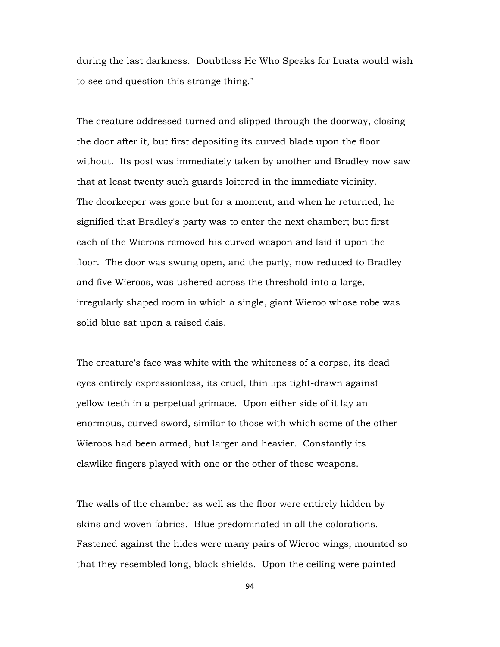during the last darkness. Doubtless He Who Speaks for Luata would wish to see and question this strange thing."

The creature addressed turned and slipped through the doorway, closing the door after it, but first depositing its curved blade upon the floor without. Its post was immediately taken by another and Bradley now saw that at least twenty such guards loitered in the immediate vicinity. The doorkeeper was gone but for a moment, and when he returned, he signified that Bradley's party was to enter the next chamber; but first each of the Wieroos removed his curved weapon and laid it upon the floor. The door was swung open, and the party, now reduced to Bradley and five Wieroos, was ushered across the threshold into a large, irregularly shaped room in which a single, giant Wieroo whose robe was solid blue sat upon a raised dais.

The creature's face was white with the whiteness of a corpse, its dead eyes entirely expressionless, its cruel, thin lips tight-drawn against yellow teeth in a perpetual grimace. Upon either side of it lay an enormous, curved sword, similar to those with which some of the other Wieroos had been armed, but larger and heavier. Constantly its clawlike fingers played with one or the other of these weapons.

The walls of the chamber as well as the floor were entirely hidden by skins and woven fabrics. Blue predominated in all the colorations. Fastened against the hides were many pairs of Wieroo wings, mounted so that they resembled long, black shields. Upon the ceiling were painted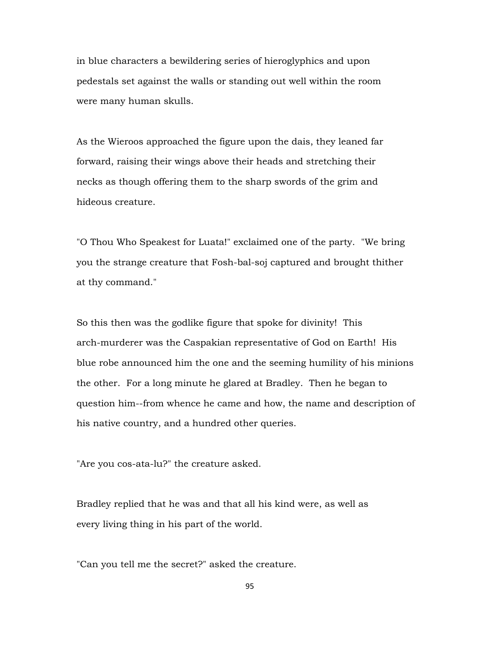in blue characters a bewildering series of hieroglyphics and upon pedestals set against the walls or standing out well within the room were many human skulls.

As the Wieroos approached the figure upon the dais, they leaned far forward, raising their wings above their heads and stretching their necks as though offering them to the sharp swords of the grim and hideous creature.

"O Thou Who Speakest for Luata!" exclaimed one of the party. "We bring you the strange creature that Fosh-bal-soj captured and brought thither at thy command."

So this then was the godlike figure that spoke for divinity! This arch-murderer was the Caspakian representative of God on Earth! His blue robe announced him the one and the seeming humility of his minions the other. For a long minute he glared at Bradley. Then he began to question him--from whence he came and how, the name and description of his native country, and a hundred other queries.

"Are you cos-ata-lu?" the creature asked.

Bradley replied that he was and that all his kind were, as well as every living thing in his part of the world.

"Can you tell me the secret?" asked the creature.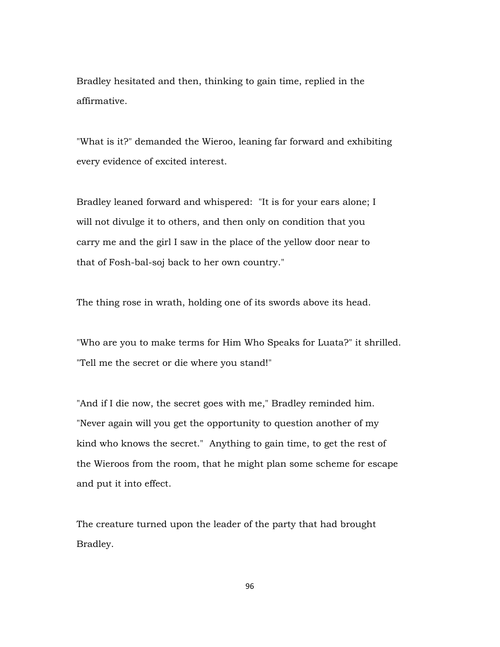Bradley hesitated and then, thinking to gain time, replied in the affirmative.

"What is it?" demanded the Wieroo, leaning far forward and exhibiting every evidence of excited interest.

Bradley leaned forward and whispered: "It is for your ears alone; I will not divulge it to others, and then only on condition that you carry me and the girl I saw in the place of the yellow door near to that of Fosh-bal-soj back to her own country."

The thing rose in wrath, holding one of its swords above its head.

"Who are you to make terms for Him Who Speaks for Luata?" it shrilled. "Tell me the secret or die where you stand!"

"And if I die now, the secret goes with me," Bradley reminded him. "Never again will you get the opportunity to question another of my kind who knows the secret." Anything to gain time, to get the rest of the Wieroos from the room, that he might plan some scheme for escape and put it into effect.

The creature turned upon the leader of the party that had brought Bradley.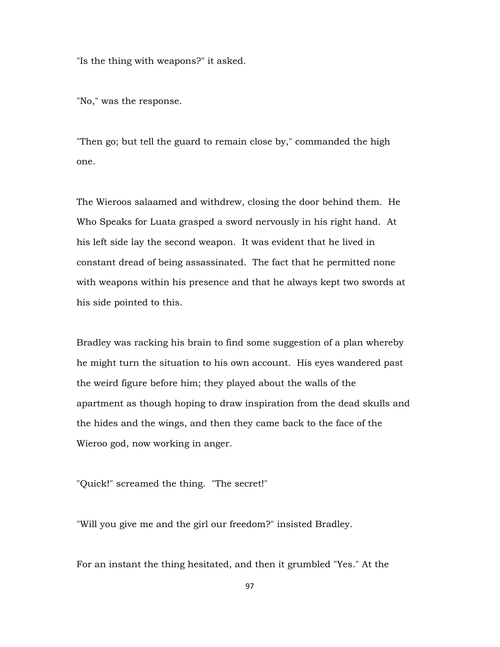"Is the thing with weapons?" it asked.

"No," was the response.

"Then go; but tell the guard to remain close by," commanded the high one.

The Wieroos salaamed and withdrew, closing the door behind them. He Who Speaks for Luata grasped a sword nervously in his right hand. At his left side lay the second weapon. It was evident that he lived in constant dread of being assassinated. The fact that he permitted none with weapons within his presence and that he always kept two swords at his side pointed to this.

Bradley was racking his brain to find some suggestion of a plan whereby he might turn the situation to his own account. His eyes wandered past the weird figure before him; they played about the walls of the apartment as though hoping to draw inspiration from the dead skulls and the hides and the wings, and then they came back to the face of the Wieroo god, now working in anger.

"Quick!" screamed the thing. "The secret!"

"Will you give me and the girl our freedom?" insisted Bradley.

For an instant the thing hesitated, and then it grumbled "Yes." At the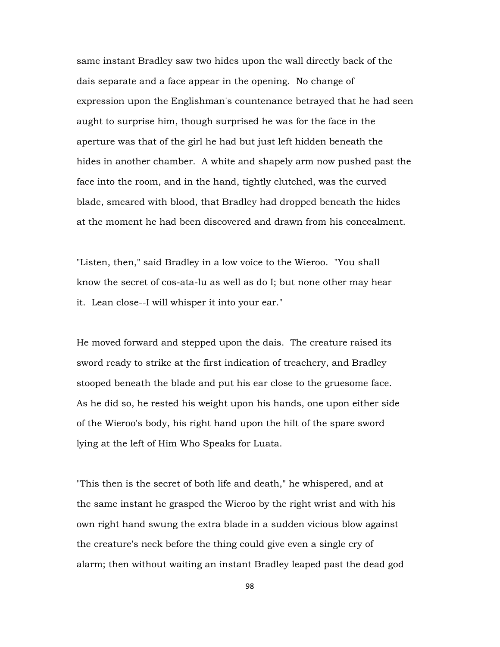same instant Bradley saw two hides upon the wall directly back of the dais separate and a face appear in the opening. No change of expression upon the Englishman's countenance betrayed that he had seen aught to surprise him, though surprised he was for the face in the aperture was that of the girl he had but just left hidden beneath the hides in another chamber. A white and shapely arm now pushed past the face into the room, and in the hand, tightly clutched, was the curved blade, smeared with blood, that Bradley had dropped beneath the hides at the moment he had been discovered and drawn from his concealment.

"Listen, then," said Bradley in a low voice to the Wieroo. "You shall know the secret of cos-ata-lu as well as do I; but none other may hear it. Lean close--I will whisper it into your ear."

He moved forward and stepped upon the dais. The creature raised its sword ready to strike at the first indication of treachery, and Bradley stooped beneath the blade and put his ear close to the gruesome face. As he did so, he rested his weight upon his hands, one upon either side of the Wieroo's body, his right hand upon the hilt of the spare sword lying at the left of Him Who Speaks for Luata.

"This then is the secret of both life and death," he whispered, and at the same instant he grasped the Wieroo by the right wrist and with his own right hand swung the extra blade in a sudden vicious blow against the creature's neck before the thing could give even a single cry of alarm; then without waiting an instant Bradley leaped past the dead god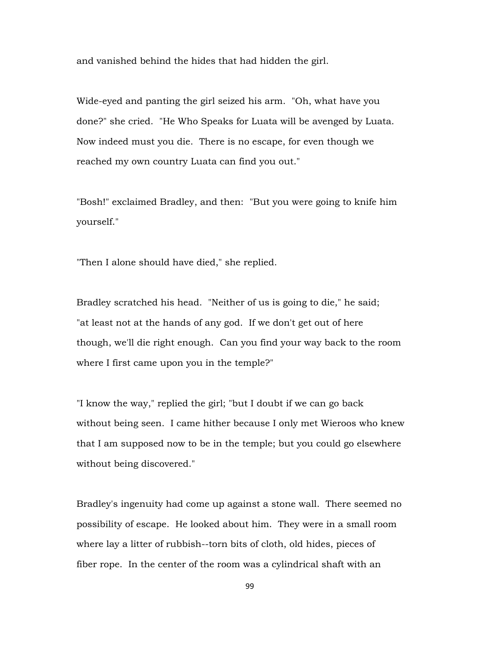and vanished behind the hides that had hidden the girl.

Wide-eyed and panting the girl seized his arm. "Oh, what have you done?" she cried. "He Who Speaks for Luata will be avenged by Luata. Now indeed must you die. There is no escape, for even though we reached my own country Luata can find you out."

"Bosh!" exclaimed Bradley, and then: "But you were going to knife him yourself."

"Then I alone should have died," she replied.

Bradley scratched his head. "Neither of us is going to die," he said; "at least not at the hands of any god. If we don't get out of here though, we'll die right enough. Can you find your way back to the room where I first came upon you in the temple?"

"I know the way," replied the girl; "but I doubt if we can go back without being seen. I came hither because I only met Wieroos who knew that I am supposed now to be in the temple; but you could go elsewhere without being discovered."

Bradley's ingenuity had come up against a stone wall. There seemed no possibility of escape. He looked about him. They were in a small room where lay a litter of rubbish--torn bits of cloth, old hides, pieces of fiber rope. In the center of the room was a cylindrical shaft with an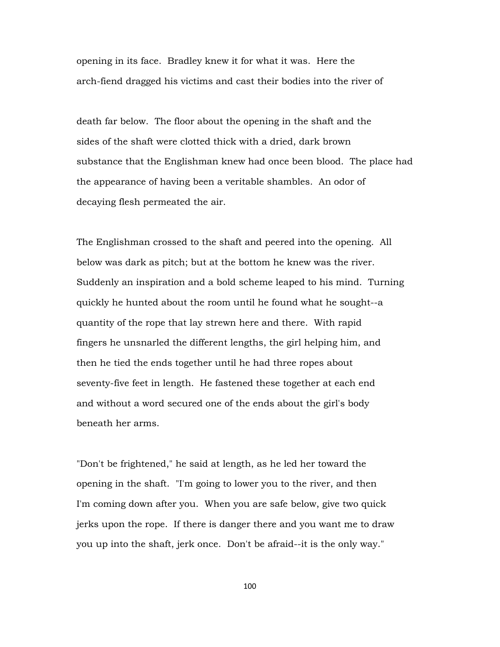opening in its face. Bradley knew it for what it was. Here the arch-fiend dragged his victims and cast their bodies into the river of

death far below. The floor about the opening in the shaft and the sides of the shaft were clotted thick with a dried, dark brown substance that the Englishman knew had once been blood. The place had the appearance of having been a veritable shambles. An odor of decaying flesh permeated the air.

The Englishman crossed to the shaft and peered into the opening. All below was dark as pitch; but at the bottom he knew was the river. Suddenly an inspiration and a bold scheme leaped to his mind. Turning quickly he hunted about the room until he found what he sought--a quantity of the rope that lay strewn here and there. With rapid fingers he unsnarled the different lengths, the girl helping him, and then he tied the ends together until he had three ropes about seventy-five feet in length. He fastened these together at each end and without a word secured one of the ends about the girl's body beneath her arms.

"Don't be frightened," he said at length, as he led her toward the opening in the shaft. "I'm going to lower you to the river, and then I'm coming down after you. When you are safe below, give two quick jerks upon the rope. If there is danger there and you want me to draw you up into the shaft, jerk once. Don't be afraid--it is the only way."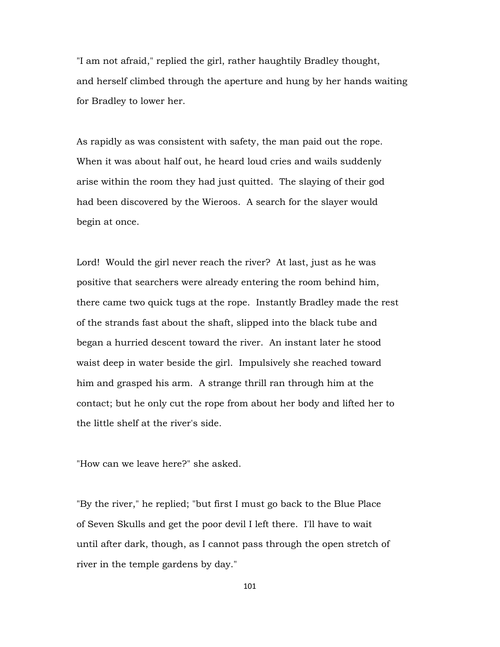"I am not afraid," replied the girl, rather haughtily Bradley thought, and herself climbed through the aperture and hung by her hands waiting for Bradley to lower her.

As rapidly as was consistent with safety, the man paid out the rope. When it was about half out, he heard loud cries and wails suddenly arise within the room they had just quitted. The slaying of their god had been discovered by the Wieroos. A search for the slayer would begin at once.

Lord! Would the girl never reach the river? At last, just as he was positive that searchers were already entering the room behind him, there came two quick tugs at the rope. Instantly Bradley made the rest of the strands fast about the shaft, slipped into the black tube and began a hurried descent toward the river. An instant later he stood waist deep in water beside the girl. Impulsively she reached toward him and grasped his arm. A strange thrill ran through him at the contact; but he only cut the rope from about her body and lifted her to the little shelf at the river's side.

"How can we leave here?" she asked.

"By the river," he replied; "but first I must go back to the Blue Place of Seven Skulls and get the poor devil I left there. I'll have to wait until after dark, though, as I cannot pass through the open stretch of river in the temple gardens by day."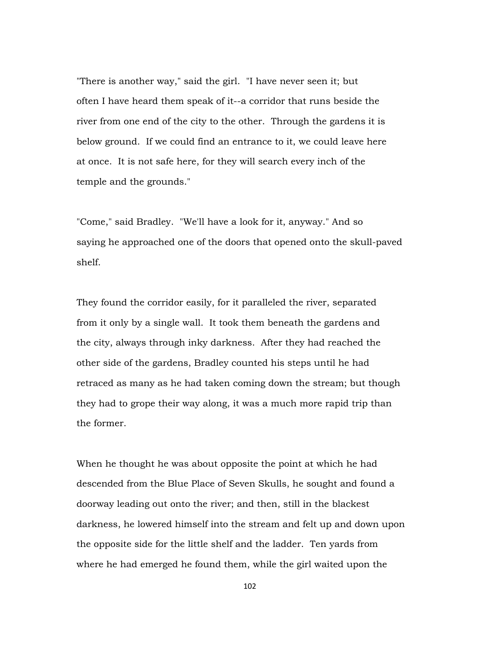"There is another way," said the girl. "I have never seen it; but often I have heard them speak of it--a corridor that runs beside the river from one end of the city to the other. Through the gardens it is below ground. If we could find an entrance to it, we could leave here at once. It is not safe here, for they will search every inch of the temple and the grounds."

"Come," said Bradley. "We'll have a look for it, anyway." And so saying he approached one of the doors that opened onto the skull-paved shelf.

They found the corridor easily, for it paralleled the river, separated from it only by a single wall. It took them beneath the gardens and the city, always through inky darkness. After they had reached the other side of the gardens, Bradley counted his steps until he had retraced as many as he had taken coming down the stream; but though they had to grope their way along, it was a much more rapid trip than the former.

When he thought he was about opposite the point at which he had descended from the Blue Place of Seven Skulls, he sought and found a doorway leading out onto the river; and then, still in the blackest darkness, he lowered himself into the stream and felt up and down upon the opposite side for the little shelf and the ladder. Ten yards from where he had emerged he found them, while the girl waited upon the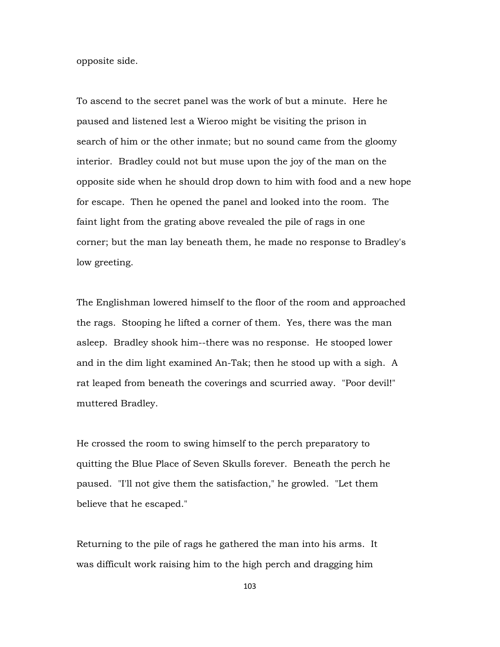opposite side.

To ascend to the secret panel was the work of but a minute. Here he paused and listened lest a Wieroo might be visiting the prison in search of him or the other inmate; but no sound came from the gloomy interior. Bradley could not but muse upon the joy of the man on the opposite side when he should drop down to him with food and a new hope for escape. Then he opened the panel and looked into the room. The faint light from the grating above revealed the pile of rags in one corner; but the man lay beneath them, he made no response to Bradley's low greeting.

The Englishman lowered himself to the floor of the room and approached the rags. Stooping he lifted a corner of them. Yes, there was the man asleep. Bradley shook him--there was no response. He stooped lower and in the dim light examined An-Tak; then he stood up with a sigh. A rat leaped from beneath the coverings and scurried away. "Poor devil!" muttered Bradley.

He crossed the room to swing himself to the perch preparatory to quitting the Blue Place of Seven Skulls forever. Beneath the perch he paused. "I'll not give them the satisfaction," he growled. "Let them believe that he escaped."

Returning to the pile of rags he gathered the man into his arms. It was difficult work raising him to the high perch and dragging him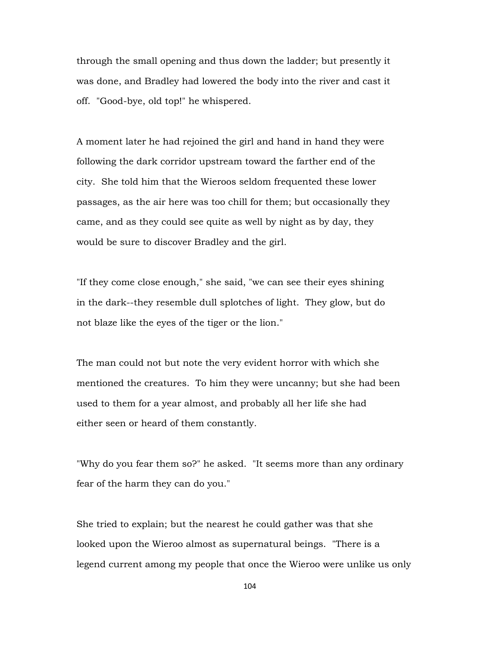through the small opening and thus down the ladder; but presently it was done, and Bradley had lowered the body into the river and cast it off. "Good-bye, old top!" he whispered.

A moment later he had rejoined the girl and hand in hand they were following the dark corridor upstream toward the farther end of the city. She told him that the Wieroos seldom frequented these lower passages, as the air here was too chill for them; but occasionally they came, and as they could see quite as well by night as by day, they would be sure to discover Bradley and the girl.

"If they come close enough," she said, "we can see their eyes shining in the dark--they resemble dull splotches of light. They glow, but do not blaze like the eyes of the tiger or the lion."

The man could not but note the very evident horror with which she mentioned the creatures. To him they were uncanny; but she had been used to them for a year almost, and probably all her life she had either seen or heard of them constantly.

"Why do you fear them so?" he asked. "It seems more than any ordinary fear of the harm they can do you."

She tried to explain; but the nearest he could gather was that she looked upon the Wieroo almost as supernatural beings. "There is a legend current among my people that once the Wieroo were unlike us only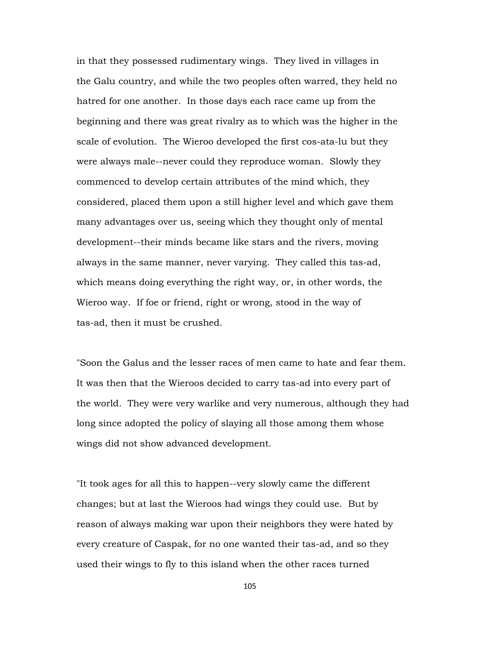in that they possessed rudimentary wings. They lived in villages in the Galu country, and while the two peoples often warred, they held no hatred for one another. In those days each race came up from the beginning and there was great rivalry as to which was the higher in the scale of evolution. The Wieroo developed the first cos-ata-lu but they were always male--never could they reproduce woman. Slowly they commenced to develop certain attributes of the mind which, they considered, placed them upon a still higher level and which gave them many advantages over us, seeing which they thought only of mental development--their minds became like stars and the rivers, moving always in the same manner, never varying. They called this tas-ad, which means doing everything the right way, or, in other words, the Wieroo way. If foe or friend, right or wrong, stood in the way of tas-ad, then it must be crushed.

"Soon the Galus and the lesser races of men came to hate and fear them. It was then that the Wieroos decided to carry tas-ad into every part of the world. They were very warlike and very numerous, although they had long since adopted the policy of slaying all those among them whose wings did not show advanced development.

"It took ages for all this to happen--very slowly came the different changes; but at last the Wieroos had wings they could use. But by reason of always making war upon their neighbors they were hated by every creature of Caspak, for no one wanted their tas-ad, and so they used their wings to fly to this island when the other races turned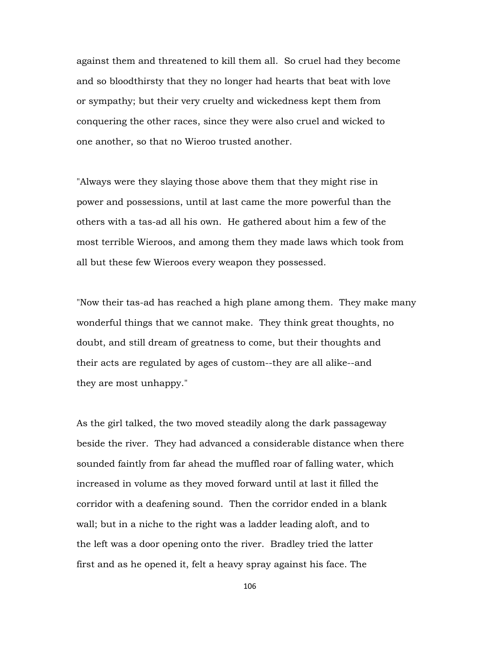against them and threatened to kill them all. So cruel had they become and so bloodthirsty that they no longer had hearts that beat with love or sympathy; but their very cruelty and wickedness kept them from conquering the other races, since they were also cruel and wicked to one another, so that no Wieroo trusted another.

"Always were they slaying those above them that they might rise in power and possessions, until at last came the more powerful than the others with a tas-ad all his own. He gathered about him a few of the most terrible Wieroos, and among them they made laws which took from all but these few Wieroos every weapon they possessed.

"Now their tas-ad has reached a high plane among them. They make many wonderful things that we cannot make. They think great thoughts, no doubt, and still dream of greatness to come, but their thoughts and their acts are regulated by ages of custom--they are all alike--and they are most unhappy."

As the girl talked, the two moved steadily along the dark passageway beside the river. They had advanced a considerable distance when there sounded faintly from far ahead the muffled roar of falling water, which increased in volume as they moved forward until at last it filled the corridor with a deafening sound. Then the corridor ended in a blank wall; but in a niche to the right was a ladder leading aloft, and to the left was a door opening onto the river. Bradley tried the latter first and as he opened it, felt a heavy spray against his face. The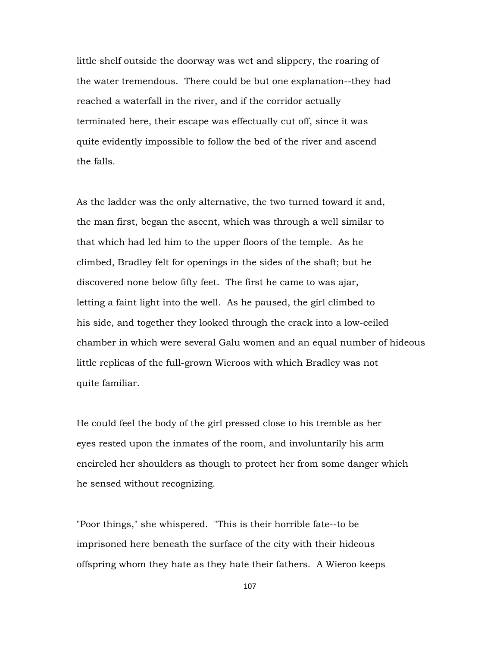little shelf outside the doorway was wet and slippery, the roaring of the water tremendous. There could be but one explanation--they had reached a waterfall in the river, and if the corridor actually terminated here, their escape was effectually cut off, since it was quite evidently impossible to follow the bed of the river and ascend the falls.

As the ladder was the only alternative, the two turned toward it and, the man first, began the ascent, which was through a well similar to that which had led him to the upper floors of the temple. As he climbed, Bradley felt for openings in the sides of the shaft; but he discovered none below fifty feet. The first he came to was ajar, letting a faint light into the well. As he paused, the girl climbed to his side, and together they looked through the crack into a low-ceiled chamber in which were several Galu women and an equal number of hideous little replicas of the full-grown Wieroos with which Bradley was not quite familiar.

He could feel the body of the girl pressed close to his tremble as her eyes rested upon the inmates of the room, and involuntarily his arm encircled her shoulders as though to protect her from some danger which he sensed without recognizing.

"Poor things," she whispered. "This is their horrible fate--to be imprisoned here beneath the surface of the city with their hideous offspring whom they hate as they hate their fathers. A Wieroo keeps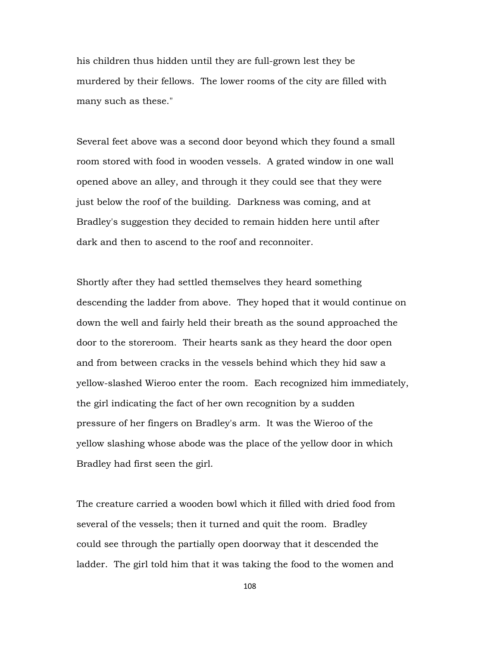his children thus hidden until they are full-grown lest they be murdered by their fellows. The lower rooms of the city are filled with many such as these."

Several feet above was a second door beyond which they found a small room stored with food in wooden vessels. A grated window in one wall opened above an alley, and through it they could see that they were just below the roof of the building. Darkness was coming, and at Bradley's suggestion they decided to remain hidden here until after dark and then to ascend to the roof and reconnoiter.

Shortly after they had settled themselves they heard something descending the ladder from above. They hoped that it would continue on down the well and fairly held their breath as the sound approached the door to the storeroom. Their hearts sank as they heard the door open and from between cracks in the vessels behind which they hid saw a yellow-slashed Wieroo enter the room. Each recognized him immediately, the girl indicating the fact of her own recognition by a sudden pressure of her fingers on Bradley's arm. It was the Wieroo of the yellow slashing whose abode was the place of the yellow door in which Bradley had first seen the girl.

The creature carried a wooden bowl which it filled with dried food from several of the vessels; then it turned and quit the room. Bradley could see through the partially open doorway that it descended the ladder. The girl told him that it was taking the food to the women and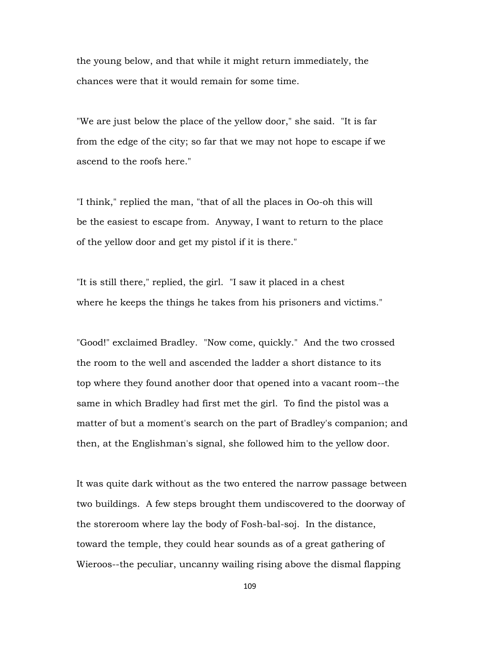the young below, and that while it might return immediately, the chances were that it would remain for some time.

"We are just below the place of the yellow door," she said. "It is far from the edge of the city; so far that we may not hope to escape if we ascend to the roofs here."

"I think," replied the man, "that of all the places in Oo-oh this will be the easiest to escape from. Anyway, I want to return to the place of the yellow door and get my pistol if it is there."

"It is still there," replied, the girl. "I saw it placed in a chest where he keeps the things he takes from his prisoners and victims."

"Good!" exclaimed Bradley. "Now come, quickly." And the two crossed the room to the well and ascended the ladder a short distance to its top where they found another door that opened into a vacant room--the same in which Bradley had first met the girl. To find the pistol was a matter of but a moment's search on the part of Bradley's companion; and then, at the Englishman's signal, she followed him to the yellow door.

It was quite dark without as the two entered the narrow passage between two buildings. A few steps brought them undiscovered to the doorway of the storeroom where lay the body of Fosh-bal-soj. In the distance, toward the temple, they could hear sounds as of a great gathering of Wieroos--the peculiar, uncanny wailing rising above the dismal flapping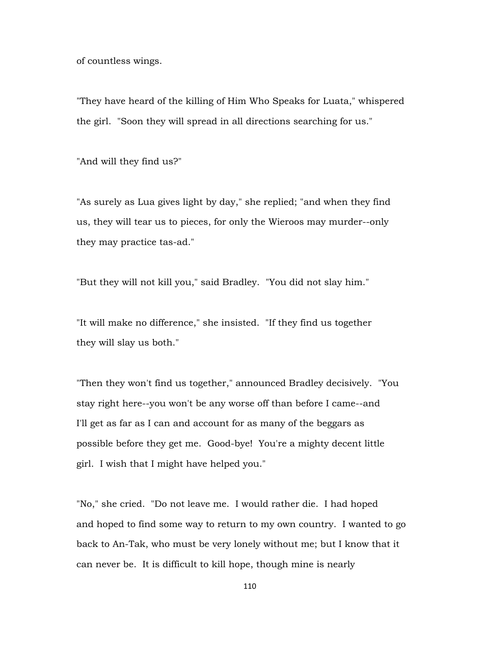of countless wings.

"They have heard of the killing of Him Who Speaks for Luata," whispered the girl. "Soon they will spread in all directions searching for us."

"And will they find us?"

"As surely as Lua gives light by day," she replied; "and when they find us, they will tear us to pieces, for only the Wieroos may murder--only they may practice tas-ad."

"But they will not kill you," said Bradley. "You did not slay him."

"It will make no difference," she insisted. "If they find us together they will slay us both."

"Then they won't find us together," announced Bradley decisively. "You stay right here--you won't be any worse off than before I came--and I'll get as far as I can and account for as many of the beggars as possible before they get me. Good-bye! You're a mighty decent little girl. I wish that I might have helped you."

"No," she cried. "Do not leave me. I would rather die. I had hoped and hoped to find some way to return to my own country. I wanted to go back to An-Tak, who must be very lonely without me; but I know that it can never be. It is difficult to kill hope, though mine is nearly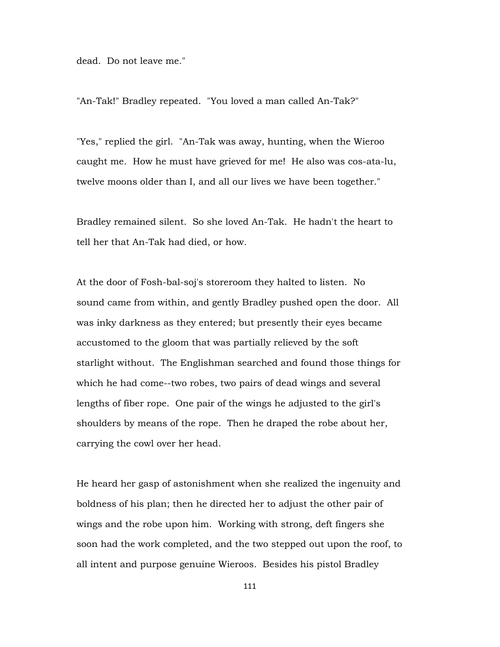dead. Do not leave me."

"An-Tak!" Bradley repeated. "You loved a man called An-Tak?"

"Yes," replied the girl. "An-Tak was away, hunting, when the Wieroo caught me. How he must have grieved for me! He also was cos-ata-lu, twelve moons older than I, and all our lives we have been together."

Bradley remained silent. So she loved An-Tak. He hadn't the heart to tell her that An-Tak had died, or how.

At the door of Fosh-bal-soj's storeroom they halted to listen. No sound came from within, and gently Bradley pushed open the door. All was inky darkness as they entered; but presently their eyes became accustomed to the gloom that was partially relieved by the soft starlight without. The Englishman searched and found those things for which he had come--two robes, two pairs of dead wings and several lengths of fiber rope. One pair of the wings he adjusted to the girl's shoulders by means of the rope. Then he draped the robe about her, carrying the cowl over her head.

He heard her gasp of astonishment when she realized the ingenuity and boldness of his plan; then he directed her to adjust the other pair of wings and the robe upon him. Working with strong, deft fingers she soon had the work completed, and the two stepped out upon the roof, to all intent and purpose genuine Wieroos. Besides his pistol Bradley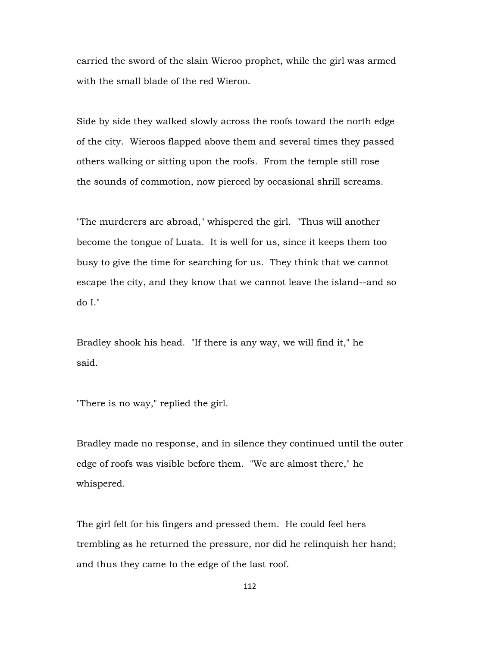carried the sword of the slain Wieroo prophet, while the girl was armed with the small blade of the red Wieroo.

Side by side they walked slowly across the roofs toward the north edge of the city. Wieroos flapped above them and several times they passed others walking or sitting upon the roofs. From the temple still rose the sounds of commotion, now pierced by occasional shrill screams.

"The murderers are abroad," whispered the girl. "Thus will another become the tongue of Luata. It is well for us, since it keeps them too busy to give the time for searching for us. They think that we cannot escape the city, and they know that we cannot leave the island--and so do I."

Bradley shook his head. "If there is any way, we will find it," he said.

"There is no way," replied the girl.

Bradley made no response, and in silence they continued until the outer edge of roofs was visible before them. "We are almost there," he whispered.

The girl felt for his fingers and pressed them. He could feel hers trembling as he returned the pressure, nor did he relinquish her hand; and thus they came to the edge of the last roof.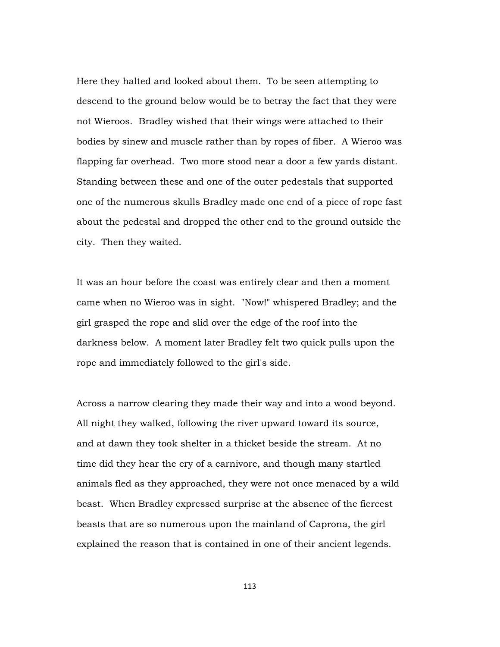Here they halted and looked about them. To be seen attempting to descend to the ground below would be to betray the fact that they were not Wieroos. Bradley wished that their wings were attached to their bodies by sinew and muscle rather than by ropes of fiber. A Wieroo was flapping far overhead. Two more stood near a door a few yards distant. Standing between these and one of the outer pedestals that supported one of the numerous skulls Bradley made one end of a piece of rope fast about the pedestal and dropped the other end to the ground outside the city. Then they waited.

It was an hour before the coast was entirely clear and then a moment came when no Wieroo was in sight. "Now!" whispered Bradley; and the girl grasped the rope and slid over the edge of the roof into the darkness below. A moment later Bradley felt two quick pulls upon the rope and immediately followed to the girl's side.

Across a narrow clearing they made their way and into a wood beyond. All night they walked, following the river upward toward its source, and at dawn they took shelter in a thicket beside the stream. At no time did they hear the cry of a carnivore, and though many startled animals fled as they approached, they were not once menaced by a wild beast. When Bradley expressed surprise at the absence of the fiercest beasts that are so numerous upon the mainland of Caprona, the girl explained the reason that is contained in one of their ancient legends.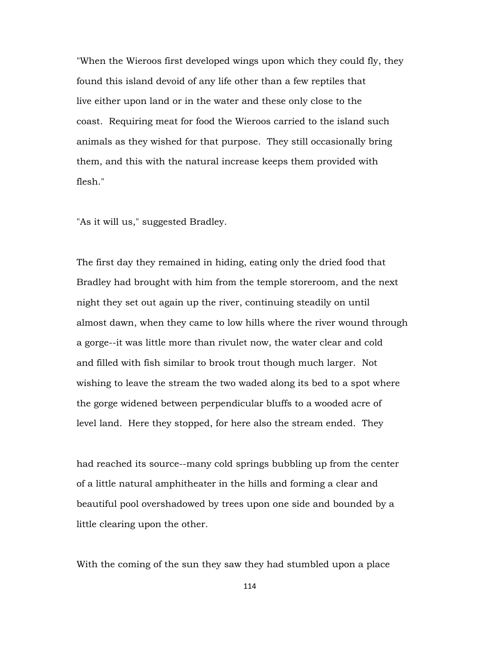"When the Wieroos first developed wings upon which they could fly, they found this island devoid of any life other than a few reptiles that live either upon land or in the water and these only close to the coast. Requiring meat for food the Wieroos carried to the island such animals as they wished for that purpose. They still occasionally bring them, and this with the natural increase keeps them provided with flesh."

"As it will us," suggested Bradley.

The first day they remained in hiding, eating only the dried food that Bradley had brought with him from the temple storeroom, and the next night they set out again up the river, continuing steadily on until almost dawn, when they came to low hills where the river wound through a gorge--it was little more than rivulet now, the water clear and cold and filled with fish similar to brook trout though much larger. Not wishing to leave the stream the two waded along its bed to a spot where the gorge widened between perpendicular bluffs to a wooded acre of level land. Here they stopped, for here also the stream ended. They

had reached its source--many cold springs bubbling up from the center of a little natural amphitheater in the hills and forming a clear and beautiful pool overshadowed by trees upon one side and bounded by a little clearing upon the other.

With the coming of the sun they saw they had stumbled upon a place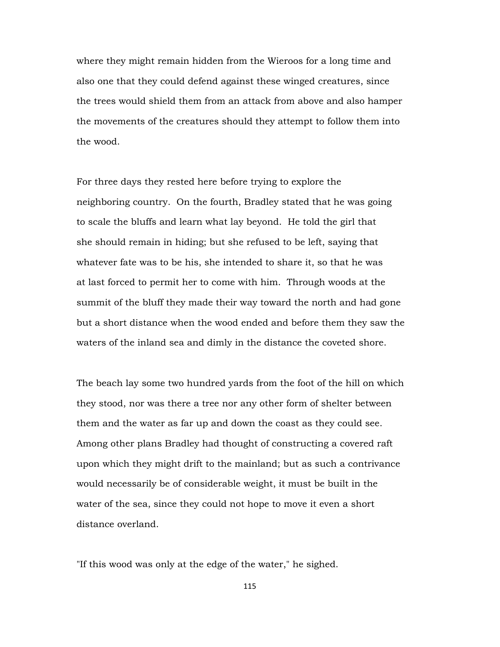where they might remain hidden from the Wieroos for a long time and also one that they could defend against these winged creatures, since the trees would shield them from an attack from above and also hamper the movements of the creatures should they attempt to follow them into the wood.

For three days they rested here before trying to explore the neighboring country. On the fourth, Bradley stated that he was going to scale the bluffs and learn what lay beyond. He told the girl that she should remain in hiding; but she refused to be left, saying that whatever fate was to be his, she intended to share it, so that he was at last forced to permit her to come with him. Through woods at the summit of the bluff they made their way toward the north and had gone but a short distance when the wood ended and before them they saw the waters of the inland sea and dimly in the distance the coveted shore.

The beach lay some two hundred yards from the foot of the hill on which they stood, nor was there a tree nor any other form of shelter between them and the water as far up and down the coast as they could see. Among other plans Bradley had thought of constructing a covered raft upon which they might drift to the mainland; but as such a contrivance would necessarily be of considerable weight, it must be built in the water of the sea, since they could not hope to move it even a short distance overland.

"If this wood was only at the edge of the water," he sighed.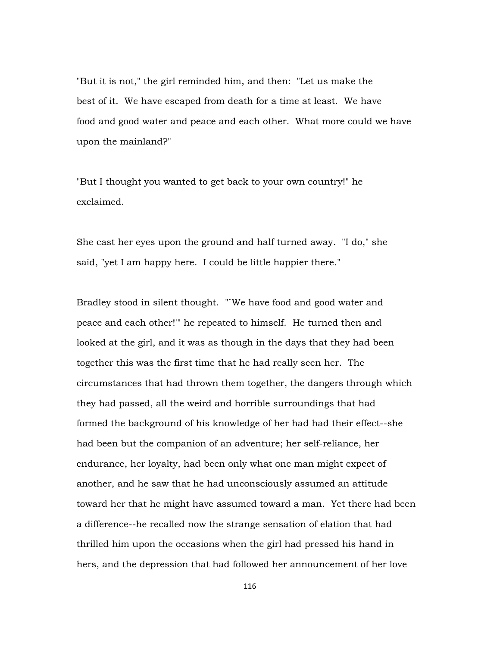"But it is not," the girl reminded him, and then: "Let us make the best of it. We have escaped from death for a time at least. We have food and good water and peace and each other. What more could we have upon the mainland?"

"But I thought you wanted to get back to your own country!" he exclaimed.

She cast her eyes upon the ground and half turned away. "I do," she said, "yet I am happy here. I could be little happier there."

Bradley stood in silent thought. "`We have food and good water and peace and each other!'" he repeated to himself. He turned then and looked at the girl, and it was as though in the days that they had been together this was the first time that he had really seen her. The circumstances that had thrown them together, the dangers through which they had passed, all the weird and horrible surroundings that had formed the background of his knowledge of her had had their effect--she had been but the companion of an adventure; her self-reliance, her endurance, her loyalty, had been only what one man might expect of another, and he saw that he had unconsciously assumed an attitude toward her that he might have assumed toward a man. Yet there had been a difference--he recalled now the strange sensation of elation that had thrilled him upon the occasions when the girl had pressed his hand in hers, and the depression that had followed her announcement of her love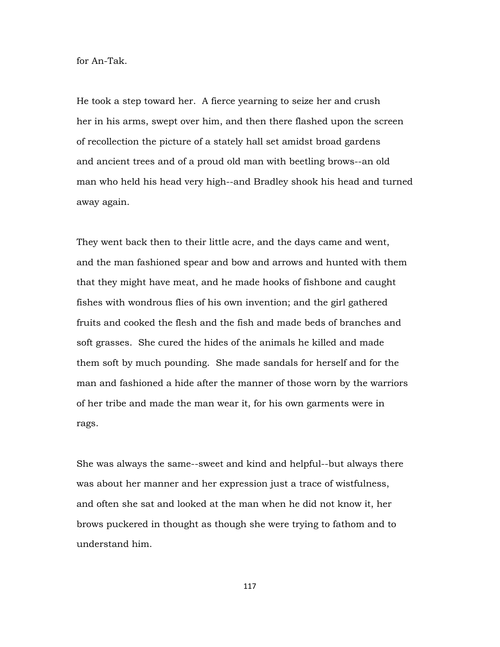for An-Tak.

He took a step toward her. A fierce yearning to seize her and crush her in his arms, swept over him, and then there flashed upon the screen of recollection the picture of a stately hall set amidst broad gardens and ancient trees and of a proud old man with beetling brows--an old man who held his head very high--and Bradley shook his head and turned away again.

They went back then to their little acre, and the days came and went, and the man fashioned spear and bow and arrows and hunted with them that they might have meat, and he made hooks of fishbone and caught fishes with wondrous flies of his own invention; and the girl gathered fruits and cooked the flesh and the fish and made beds of branches and soft grasses. She cured the hides of the animals he killed and made them soft by much pounding. She made sandals for herself and for the man and fashioned a hide after the manner of those worn by the warriors of her tribe and made the man wear it, for his own garments were in rags.

She was always the same--sweet and kind and helpful--but always there was about her manner and her expression just a trace of wistfulness, and often she sat and looked at the man when he did not know it, her brows puckered in thought as though she were trying to fathom and to understand him.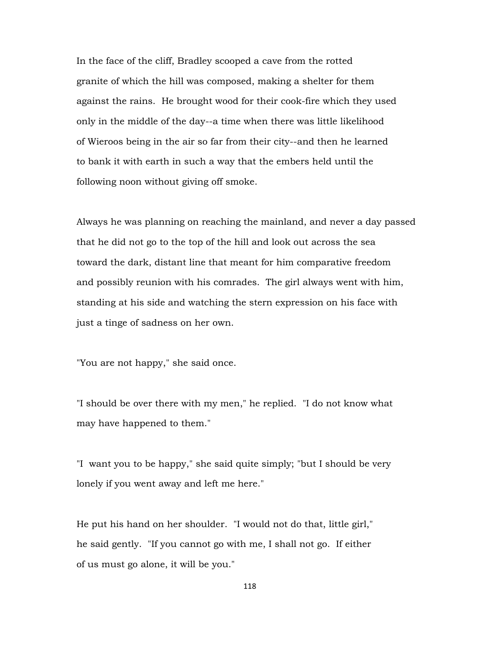In the face of the cliff, Bradley scooped a cave from the rotted granite of which the hill was composed, making a shelter for them against the rains. He brought wood for their cook-fire which they used only in the middle of the day--a time when there was little likelihood of Wieroos being in the air so far from their city--and then he learned to bank it with earth in such a way that the embers held until the following noon without giving off smoke.

Always he was planning on reaching the mainland, and never a day passed that he did not go to the top of the hill and look out across the sea toward the dark, distant line that meant for him comparative freedom and possibly reunion with his comrades. The girl always went with him, standing at his side and watching the stern expression on his face with just a tinge of sadness on her own.

"You are not happy," she said once.

"I should be over there with my men," he replied. "I do not know what may have happened to them."

"I want you to be happy," she said quite simply; "but I should be very lonely if you went away and left me here."

He put his hand on her shoulder. "I would not do that, little girl," he said gently. "If you cannot go with me, I shall not go. If either of us must go alone, it will be you."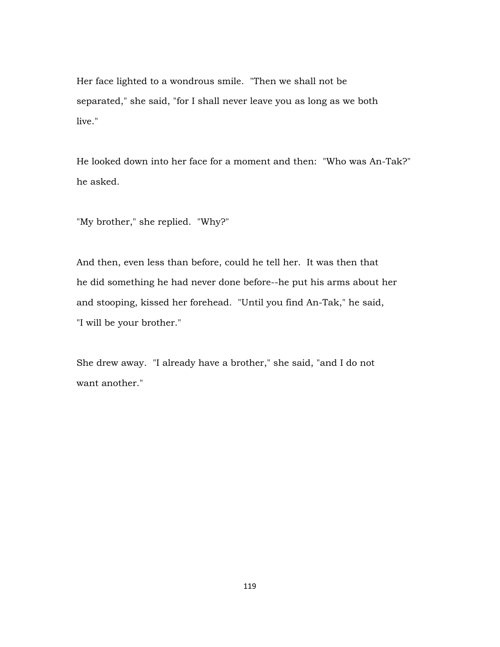Her face lighted to a wondrous smile. "Then we shall not be separated," she said, "for I shall never leave you as long as we both live."

He looked down into her face for a moment and then: "Who was An-Tak?" he asked.

"My brother," she replied. "Why?"

And then, even less than before, could he tell her. It was then that he did something he had never done before--he put his arms about her and stooping, kissed her forehead. "Until you find An-Tak," he said, "I will be your brother."

She drew away. "I already have a brother," she said, "and I do not want another."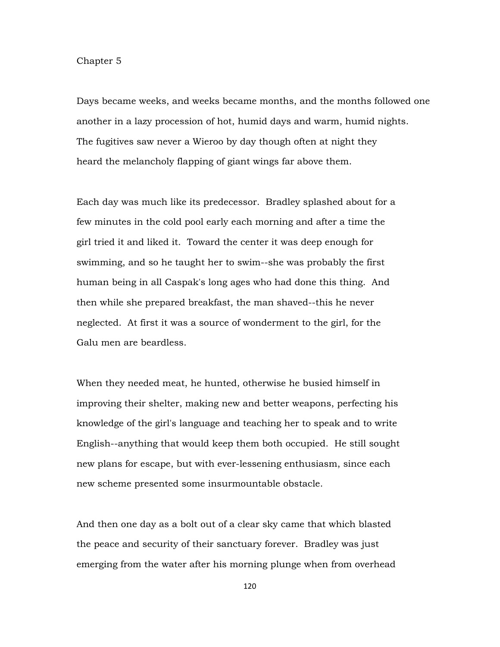## Chapter 5

Days became weeks, and weeks became months, and the months followed one another in a lazy procession of hot, humid days and warm, humid nights. The fugitives saw never a Wieroo by day though often at night they heard the melancholy flapping of giant wings far above them.

Each day was much like its predecessor. Bradley splashed about for a few minutes in the cold pool early each morning and after a time the girl tried it and liked it. Toward the center it was deep enough for swimming, and so he taught her to swim--she was probably the first human being in all Caspak's long ages who had done this thing. And then while she prepared breakfast, the man shaved--this he never neglected. At first it was a source of wonderment to the girl, for the Galu men are beardless.

When they needed meat, he hunted, otherwise he busied himself in improving their shelter, making new and better weapons, perfecting his knowledge of the girl's language and teaching her to speak and to write English--anything that would keep them both occupied. He still sought new plans for escape, but with ever-lessening enthusiasm, since each new scheme presented some insurmountable obstacle.

And then one day as a bolt out of a clear sky came that which blasted the peace and security of their sanctuary forever. Bradley was just emerging from the water after his morning plunge when from overhead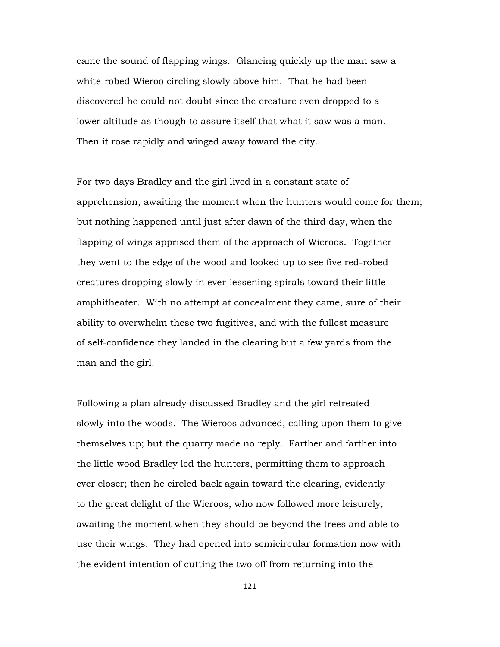came the sound of flapping wings. Glancing quickly up the man saw a white-robed Wieroo circling slowly above him. That he had been discovered he could not doubt since the creature even dropped to a lower altitude as though to assure itself that what it saw was a man. Then it rose rapidly and winged away toward the city.

For two days Bradley and the girl lived in a constant state of apprehension, awaiting the moment when the hunters would come for them; but nothing happened until just after dawn of the third day, when the flapping of wings apprised them of the approach of Wieroos. Together they went to the edge of the wood and looked up to see five red-robed creatures dropping slowly in ever-lessening spirals toward their little amphitheater. With no attempt at concealment they came, sure of their ability to overwhelm these two fugitives, and with the fullest measure of self-confidence they landed in the clearing but a few yards from the man and the girl.

Following a plan already discussed Bradley and the girl retreated slowly into the woods. The Wieroos advanced, calling upon them to give themselves up; but the quarry made no reply. Farther and farther into the little wood Bradley led the hunters, permitting them to approach ever closer; then he circled back again toward the clearing, evidently to the great delight of the Wieroos, who now followed more leisurely, awaiting the moment when they should be beyond the trees and able to use their wings. They had opened into semicircular formation now with the evident intention of cutting the two off from returning into the

121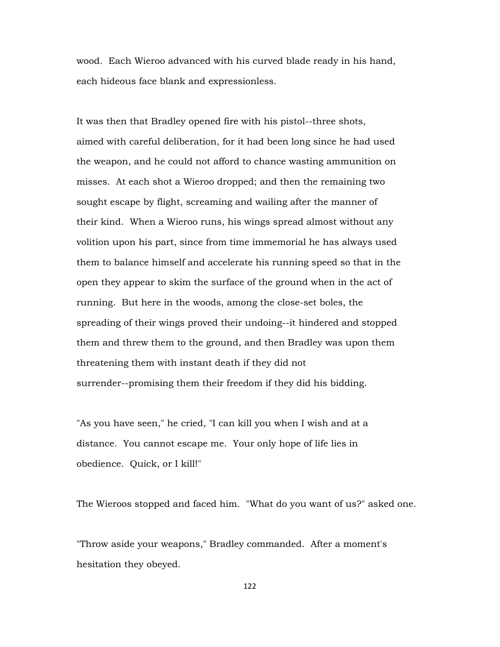wood. Each Wieroo advanced with his curved blade ready in his hand, each hideous face blank and expressionless.

It was then that Bradley opened fire with his pistol--three shots, aimed with careful deliberation, for it had been long since he had used the weapon, and he could not afford to chance wasting ammunition on misses. At each shot a Wieroo dropped; and then the remaining two sought escape by flight, screaming and wailing after the manner of their kind. When a Wieroo runs, his wings spread almost without any volition upon his part, since from time immemorial he has always used them to balance himself and accelerate his running speed so that in the open they appear to skim the surface of the ground when in the act of running. But here in the woods, among the close-set boles, the spreading of their wings proved their undoing--it hindered and stopped them and threw them to the ground, and then Bradley was upon them threatening them with instant death if they did not surrender--promising them their freedom if they did his bidding.

"As you have seen," he cried, "I can kill you when I wish and at a distance. You cannot escape me. Your only hope of life lies in obedience. Quick, or I kill!"

The Wieroos stopped and faced him. "What do you want of us?" asked one.

"Throw aside your weapons," Bradley commanded. After a moment's hesitation they obeyed.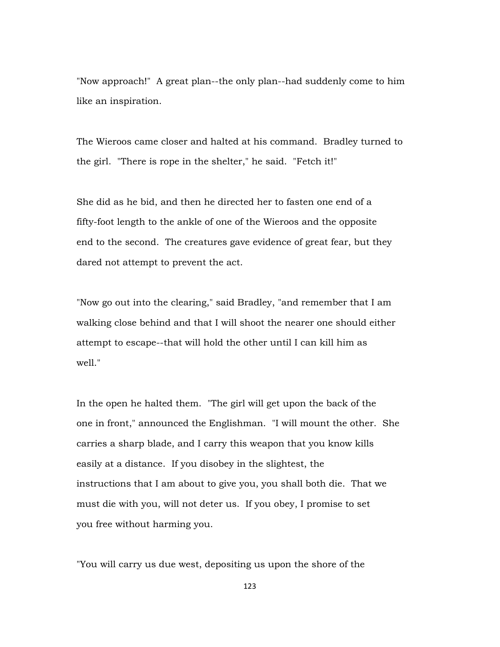"Now approach!" A great plan--the only plan--had suddenly come to him like an inspiration.

The Wieroos came closer and halted at his command. Bradley turned to the girl. "There is rope in the shelter," he said. "Fetch it!"

She did as he bid, and then he directed her to fasten one end of a fifty-foot length to the ankle of one of the Wieroos and the opposite end to the second. The creatures gave evidence of great fear, but they dared not attempt to prevent the act.

"Now go out into the clearing," said Bradley, "and remember that I am walking close behind and that I will shoot the nearer one should either attempt to escape--that will hold the other until I can kill him as well."

In the open he halted them. "The girl will get upon the back of the one in front," announced the Englishman. "I will mount the other. She carries a sharp blade, and I carry this weapon that you know kills easily at a distance. If you disobey in the slightest, the instructions that I am about to give you, you shall both die. That we must die with you, will not deter us. If you obey, I promise to set you free without harming you.

"You will carry us due west, depositing us upon the shore of the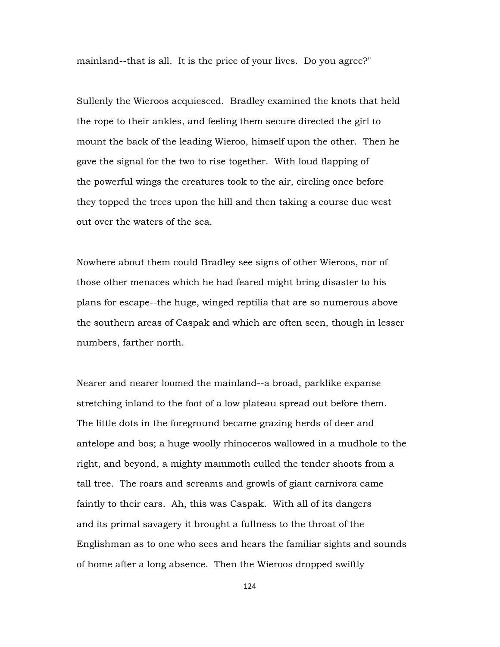mainland--that is all. It is the price of your lives. Do you agree?"

Sullenly the Wieroos acquiesced. Bradley examined the knots that held the rope to their ankles, and feeling them secure directed the girl to mount the back of the leading Wieroo, himself upon the other. Then he gave the signal for the two to rise together. With loud flapping of the powerful wings the creatures took to the air, circling once before they topped the trees upon the hill and then taking a course due west out over the waters of the sea.

Nowhere about them could Bradley see signs of other Wieroos, nor of those other menaces which he had feared might bring disaster to his plans for escape--the huge, winged reptilia that are so numerous above the southern areas of Caspak and which are often seen, though in lesser numbers, farther north.

Nearer and nearer loomed the mainland--a broad, parklike expanse stretching inland to the foot of a low plateau spread out before them. The little dots in the foreground became grazing herds of deer and antelope and bos; a huge woolly rhinoceros wallowed in a mudhole to the right, and beyond, a mighty mammoth culled the tender shoots from a tall tree. The roars and screams and growls of giant carnivora came faintly to their ears. Ah, this was Caspak. With all of its dangers and its primal savagery it brought a fullness to the throat of the Englishman as to one who sees and hears the familiar sights and sounds of home after a long absence. Then the Wieroos dropped swiftly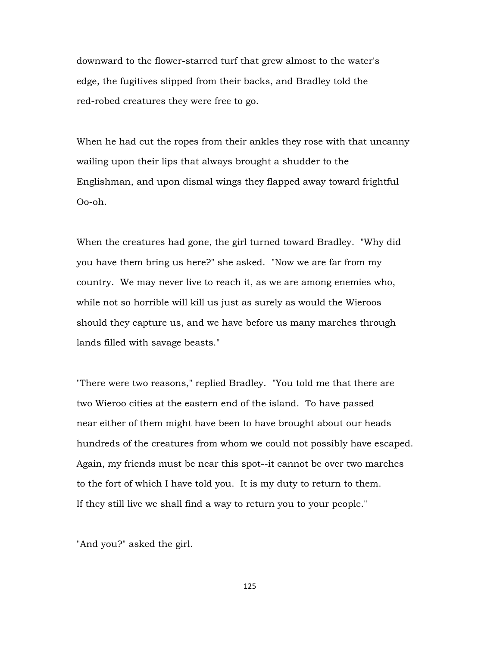downward to the flower-starred turf that grew almost to the water's edge, the fugitives slipped from their backs, and Bradley told the red-robed creatures they were free to go.

When he had cut the ropes from their ankles they rose with that uncanny wailing upon their lips that always brought a shudder to the Englishman, and upon dismal wings they flapped away toward frightful Oo-oh.

When the creatures had gone, the girl turned toward Bradley. "Why did you have them bring us here?" she asked. "Now we are far from my country. We may never live to reach it, as we are among enemies who, while not so horrible will kill us just as surely as would the Wieroos should they capture us, and we have before us many marches through lands filled with savage beasts."

"There were two reasons," replied Bradley. "You told me that there are two Wieroo cities at the eastern end of the island. To have passed near either of them might have been to have brought about our heads hundreds of the creatures from whom we could not possibly have escaped. Again, my friends must be near this spot--it cannot be over two marches to the fort of which I have told you. It is my duty to return to them. If they still live we shall find a way to return you to your people."

"And you?" asked the girl.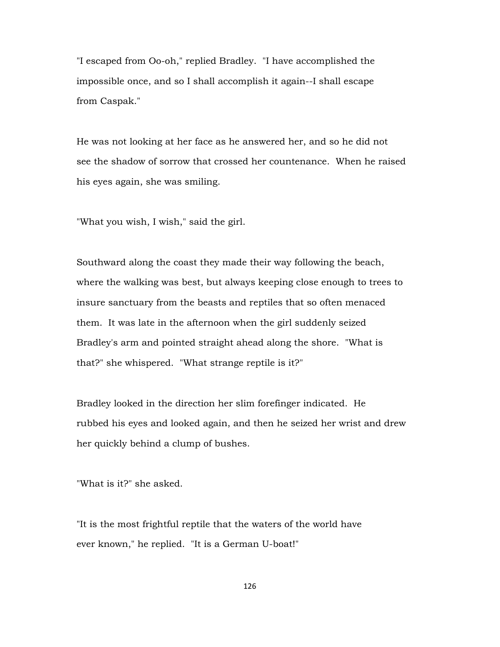"I escaped from Oo-oh," replied Bradley. "I have accomplished the impossible once, and so I shall accomplish it again--I shall escape from Caspak."

He was not looking at her face as he answered her, and so he did not see the shadow of sorrow that crossed her countenance. When he raised his eyes again, she was smiling.

"What you wish, I wish," said the girl.

Southward along the coast they made their way following the beach, where the walking was best, but always keeping close enough to trees to insure sanctuary from the beasts and reptiles that so often menaced them. It was late in the afternoon when the girl suddenly seized Bradley's arm and pointed straight ahead along the shore. "What is that?" she whispered. "What strange reptile is it?"

Bradley looked in the direction her slim forefinger indicated. He rubbed his eyes and looked again, and then he seized her wrist and drew her quickly behind a clump of bushes.

"What is it?" she asked.

"It is the most frightful reptile that the waters of the world have ever known," he replied. "It is a German U-boat!"

126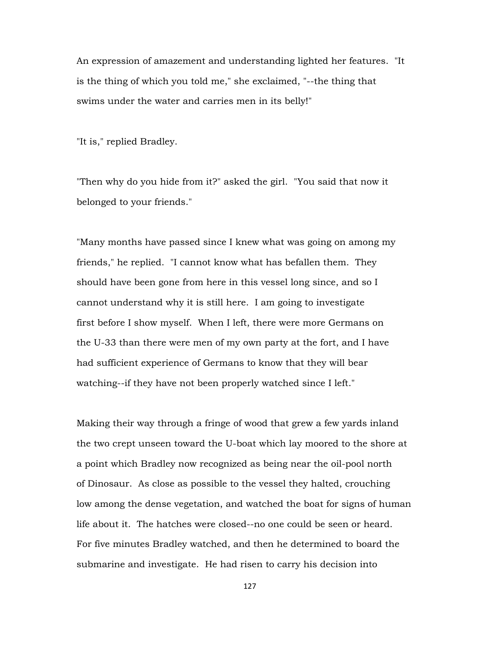An expression of amazement and understanding lighted her features. "It is the thing of which you told me," she exclaimed, "--the thing that swims under the water and carries men in its belly!"

"It is," replied Bradley.

"Then why do you hide from it?" asked the girl. "You said that now it belonged to your friends."

"Many months have passed since I knew what was going on among my friends," he replied. "I cannot know what has befallen them. They should have been gone from here in this vessel long since, and so I cannot understand why it is still here. I am going to investigate first before I show myself. When I left, there were more Germans on the U-33 than there were men of my own party at the fort, and I have had sufficient experience of Germans to know that they will bear watching--if they have not been properly watched since I left."

Making their way through a fringe of wood that grew a few yards inland the two crept unseen toward the U-boat which lay moored to the shore at a point which Bradley now recognized as being near the oil-pool north of Dinosaur. As close as possible to the vessel they halted, crouching low among the dense vegetation, and watched the boat for signs of human life about it. The hatches were closed--no one could be seen or heard. For five minutes Bradley watched, and then he determined to board the submarine and investigate. He had risen to carry his decision into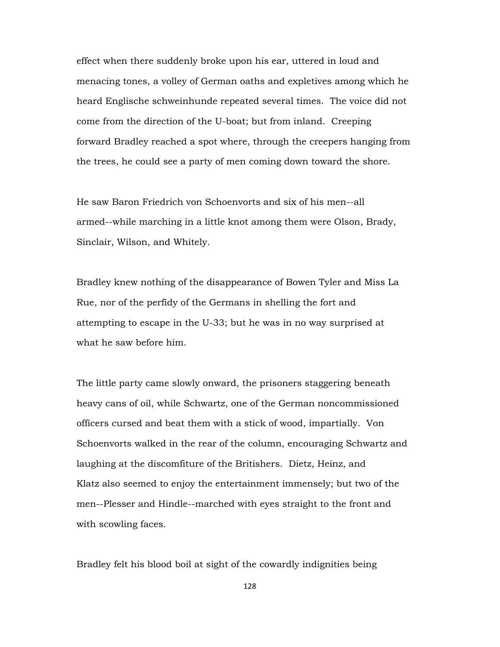effect when there suddenly broke upon his ear, uttered in loud and menacing tones, a volley of German oaths and expletives among which he heard Englische schweinhunde repeated several times. The voice did not come from the direction of the U-boat; but from inland. Creeping forward Bradley reached a spot where, through the creepers hanging from the trees, he could see a party of men coming down toward the shore.

He saw Baron Friedrich von Schoenvorts and six of his men--all armed--while marching in a little knot among them were Olson, Brady, Sinclair, Wilson, and Whitely.

Bradley knew nothing of the disappearance of Bowen Tyler and Miss La Rue, nor of the perfidy of the Germans in shelling the fort and attempting to escape in the U-33; but he was in no way surprised at what he saw before him.

The little party came slowly onward, the prisoners staggering beneath heavy cans of oil, while Schwartz, one of the German noncommissioned officers cursed and beat them with a stick of wood, impartially. Von Schoenvorts walked in the rear of the column, encouraging Schwartz and laughing at the discomfiture of the Britishers. Dietz, Heinz, and Klatz also seemed to enjoy the entertainment immensely; but two of the men--Plesser and Hindle--marched with eyes straight to the front and with scowling faces.

Bradley felt his blood boil at sight of the cowardly indignities being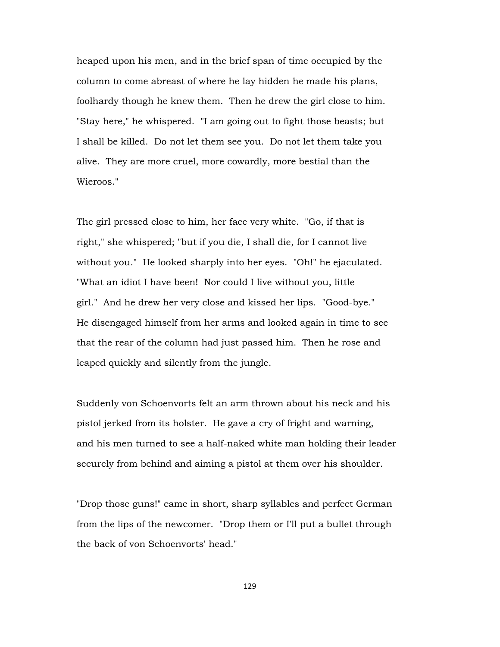heaped upon his men, and in the brief span of time occupied by the column to come abreast of where he lay hidden he made his plans, foolhardy though he knew them. Then he drew the girl close to him. "Stay here," he whispered. "I am going out to fight those beasts; but I shall be killed. Do not let them see you. Do not let them take you alive. They are more cruel, more cowardly, more bestial than the Wieroos."

The girl pressed close to him, her face very white. "Go, if that is right," she whispered; "but if you die, I shall die, for I cannot live without you." He looked sharply into her eyes. "Oh!" he ejaculated. "What an idiot I have been! Nor could I live without you, little girl." And he drew her very close and kissed her lips. "Good-bye." He disengaged himself from her arms and looked again in time to see that the rear of the column had just passed him. Then he rose and leaped quickly and silently from the jungle.

Suddenly von Schoenvorts felt an arm thrown about his neck and his pistol jerked from its holster. He gave a cry of fright and warning, and his men turned to see a half-naked white man holding their leader securely from behind and aiming a pistol at them over his shoulder.

"Drop those guns!" came in short, sharp syllables and perfect German from the lips of the newcomer. "Drop them or I'll put a bullet through the back of von Schoenvorts' head."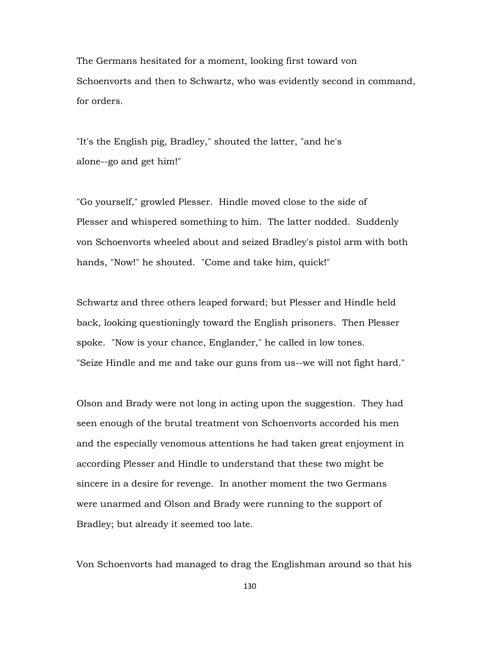The Germans hesitated for a moment, looking first toward von Schoenvorts and then to Schwartz, who was evidently second in command, for orders.

"It's the English pig, Bradley," shouted the latter, "and he's alone--go and get him!"

"Go yourself," growled Plesser. Hindle moved close to the side of Plesser and whispered something to him. The latter nodded. Suddenly von Schoenvorts wheeled about and seized Bradley's pistol arm with both hands, "Now!" he shouted. "Come and take him, quick!"

Schwartz and three others leaped forward; but Plesser and Hindle held back, looking questioningly toward the English prisoners. Then Plesser spoke. "Now is your chance, Englander," he called in low tones. "Seize Hindle and me and take our guns from us--we will not fight hard."

Olson and Brady were not long in acting upon the suggestion. They had seen enough of the brutal treatment von Schoenvorts accorded his men and the especially venomous attentions he had taken great enjoyment in according Plesser and Hindle to understand that these two might be sincere in a desire for revenge. In another moment the two Germans were unarmed and Olson and Brady were running to the support of Bradley; but already it seemed too late.

Von Schoenvorts had managed to drag the Englishman around so that his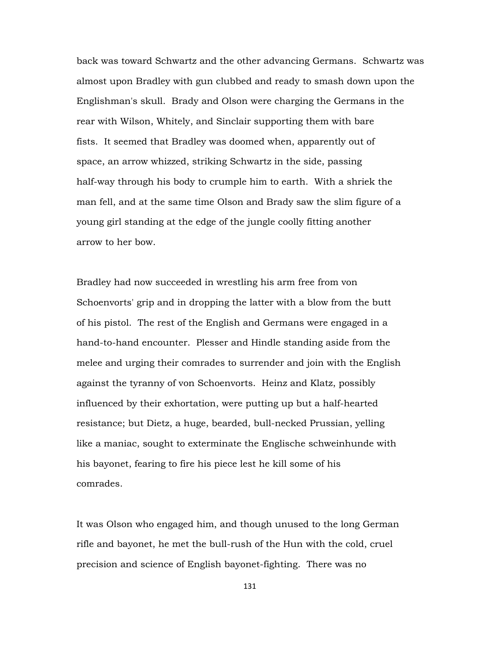back was toward Schwartz and the other advancing Germans. Schwartz was almost upon Bradley with gun clubbed and ready to smash down upon the Englishman's skull. Brady and Olson were charging the Germans in the rear with Wilson, Whitely, and Sinclair supporting them with bare fists. It seemed that Bradley was doomed when, apparently out of space, an arrow whizzed, striking Schwartz in the side, passing half-way through his body to crumple him to earth. With a shriek the man fell, and at the same time Olson and Brady saw the slim figure of a young girl standing at the edge of the jungle coolly fitting another arrow to her bow.

Bradley had now succeeded in wrestling his arm free from von Schoenvorts' grip and in dropping the latter with a blow from the butt of his pistol. The rest of the English and Germans were engaged in a hand-to-hand encounter. Plesser and Hindle standing aside from the melee and urging their comrades to surrender and join with the English against the tyranny of von Schoenvorts. Heinz and Klatz, possibly influenced by their exhortation, were putting up but a half-hearted resistance; but Dietz, a huge, bearded, bull-necked Prussian, yelling like a maniac, sought to exterminate the Englische schweinhunde with his bayonet, fearing to fire his piece lest he kill some of his comrades.

It was Olson who engaged him, and though unused to the long German rifle and bayonet, he met the bull-rush of the Hun with the cold, cruel precision and science of English bayonet-fighting. There was no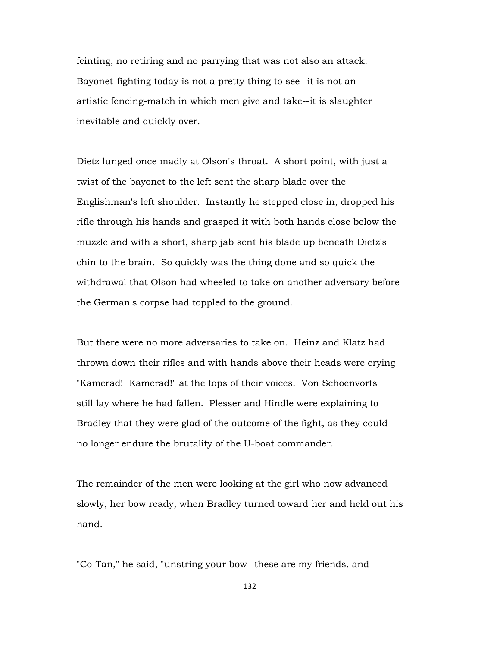feinting, no retiring and no parrying that was not also an attack. Bayonet-fighting today is not a pretty thing to see--it is not an artistic fencing-match in which men give and take--it is slaughter inevitable and quickly over.

Dietz lunged once madly at Olson's throat. A short point, with just a twist of the bayonet to the left sent the sharp blade over the Englishman's left shoulder. Instantly he stepped close in, dropped his rifle through his hands and grasped it with both hands close below the muzzle and with a short, sharp jab sent his blade up beneath Dietz's chin to the brain. So quickly was the thing done and so quick the withdrawal that Olson had wheeled to take on another adversary before the German's corpse had toppled to the ground.

But there were no more adversaries to take on. Heinz and Klatz had thrown down their rifles and with hands above their heads were crying "Kamerad! Kamerad!" at the tops of their voices. Von Schoenvorts still lay where he had fallen. Plesser and Hindle were explaining to Bradley that they were glad of the outcome of the fight, as they could no longer endure the brutality of the U-boat commander.

The remainder of the men were looking at the girl who now advanced slowly, her bow ready, when Bradley turned toward her and held out his hand.

"Co-Tan," he said, "unstring your bow--these are my friends, and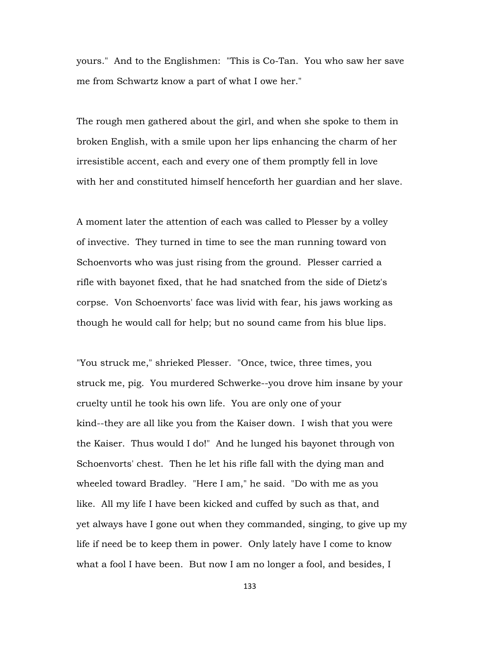yours." And to the Englishmen: "This is Co-Tan. You who saw her save me from Schwartz know a part of what I owe her."

The rough men gathered about the girl, and when she spoke to them in broken English, with a smile upon her lips enhancing the charm of her irresistible accent, each and every one of them promptly fell in love with her and constituted himself henceforth her guardian and her slave.

A moment later the attention of each was called to Plesser by a volley of invective. They turned in time to see the man running toward von Schoenvorts who was just rising from the ground. Plesser carried a rifle with bayonet fixed, that he had snatched from the side of Dietz's corpse. Von Schoenvorts' face was livid with fear, his jaws working as though he would call for help; but no sound came from his blue lips.

"You struck me," shrieked Plesser. "Once, twice, three times, you struck me, pig. You murdered Schwerke--you drove him insane by your cruelty until he took his own life. You are only one of your kind--they are all like you from the Kaiser down. I wish that you were the Kaiser. Thus would I do!" And he lunged his bayonet through von Schoenvorts' chest. Then he let his rifle fall with the dying man and wheeled toward Bradley. "Here I am," he said. "Do with me as you like. All my life I have been kicked and cuffed by such as that, and yet always have I gone out when they commanded, singing, to give up my life if need be to keep them in power. Only lately have I come to know what a fool I have been. But now I am no longer a fool, and besides, I

133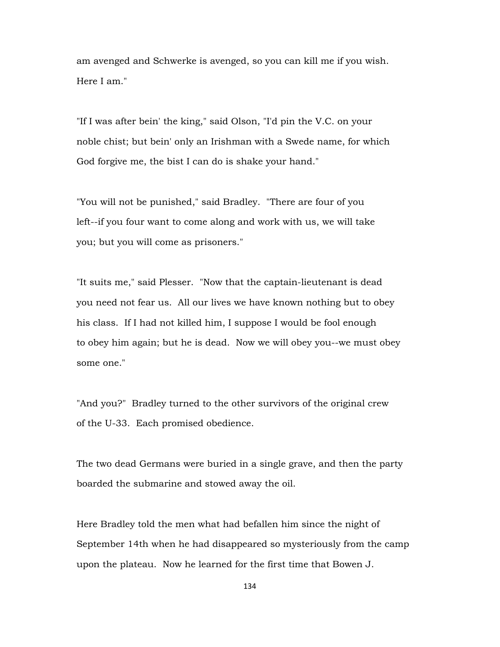am avenged and Schwerke is avenged, so you can kill me if you wish. Here I am."

"If I was after bein' the king," said Olson, "I'd pin the V.C. on your noble chist; but bein' only an Irishman with a Swede name, for which God forgive me, the bist I can do is shake your hand."

"You will not be punished," said Bradley. "There are four of you left--if you four want to come along and work with us, we will take you; but you will come as prisoners."

"It suits me," said Plesser. "Now that the captain-lieutenant is dead you need not fear us. All our lives we have known nothing but to obey his class. If I had not killed him, I suppose I would be fool enough to obey him again; but he is dead. Now we will obey you--we must obey some one."

"And you?" Bradley turned to the other survivors of the original crew of the U-33. Each promised obedience.

The two dead Germans were buried in a single grave, and then the party boarded the submarine and stowed away the oil.

Here Bradley told the men what had befallen him since the night of September 14th when he had disappeared so mysteriously from the camp upon the plateau. Now he learned for the first time that Bowen J.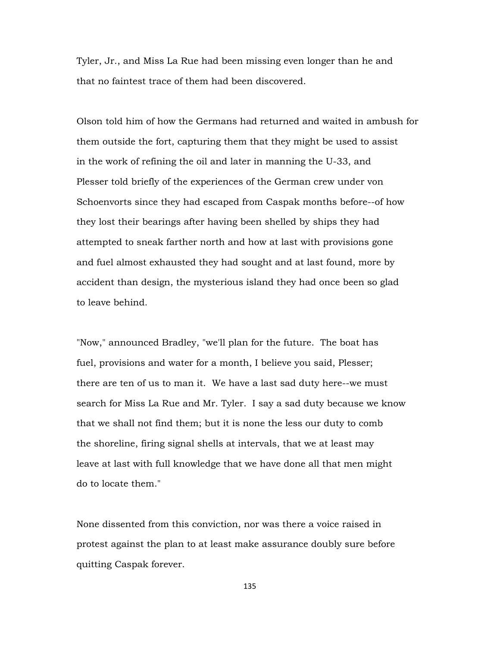Tyler, Jr., and Miss La Rue had been missing even longer than he and that no faintest trace of them had been discovered.

Olson told him of how the Germans had returned and waited in ambush for them outside the fort, capturing them that they might be used to assist in the work of refining the oil and later in manning the U-33, and Plesser told briefly of the experiences of the German crew under von Schoenvorts since they had escaped from Caspak months before--of how they lost their bearings after having been shelled by ships they had attempted to sneak farther north and how at last with provisions gone and fuel almost exhausted they had sought and at last found, more by accident than design, the mysterious island they had once been so glad to leave behind.

"Now," announced Bradley, "we'll plan for the future. The boat has fuel, provisions and water for a month, I believe you said, Plesser; there are ten of us to man it. We have a last sad duty here--we must search for Miss La Rue and Mr. Tyler. I say a sad duty because we know that we shall not find them; but it is none the less our duty to comb the shoreline, firing signal shells at intervals, that we at least may leave at last with full knowledge that we have done all that men might do to locate them."

None dissented from this conviction, nor was there a voice raised in protest against the plan to at least make assurance doubly sure before quitting Caspak forever.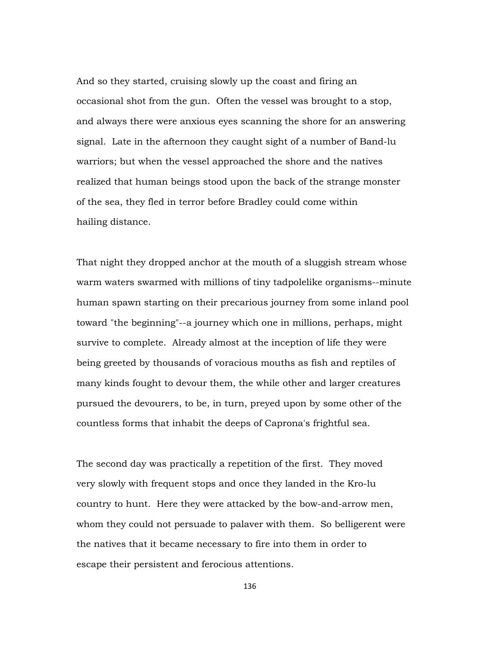And so they started, cruising slowly up the coast and firing an occasional shot from the gun. Often the vessel was brought to a stop, and always there were anxious eyes scanning the shore for an answering signal. Late in the afternoon they caught sight of a number of Band-lu warriors; but when the vessel approached the shore and the natives realized that human beings stood upon the back of the strange monster of the sea, they fled in terror before Bradley could come within hailing distance.

That night they dropped anchor at the mouth of a sluggish stream whose warm waters swarmed with millions of tiny tadpolelike organisms--minute human spawn starting on their precarious journey from some inland pool toward "the beginning"--a journey which one in millions, perhaps, might survive to complete. Already almost at the inception of life they were being greeted by thousands of voracious mouths as fish and reptiles of many kinds fought to devour them, the while other and larger creatures pursued the devourers, to be, in turn, preyed upon by some other of the countless forms that inhabit the deeps of Caprona's frightful sea.

The second day was practically a repetition of the first. They moved very slowly with frequent stops and once they landed in the Kro-lu country to hunt. Here they were attacked by the bow-and-arrow men, whom they could not persuade to palaver with them. So belligerent were the natives that it became necessary to fire into them in order to escape their persistent and ferocious attentions.

136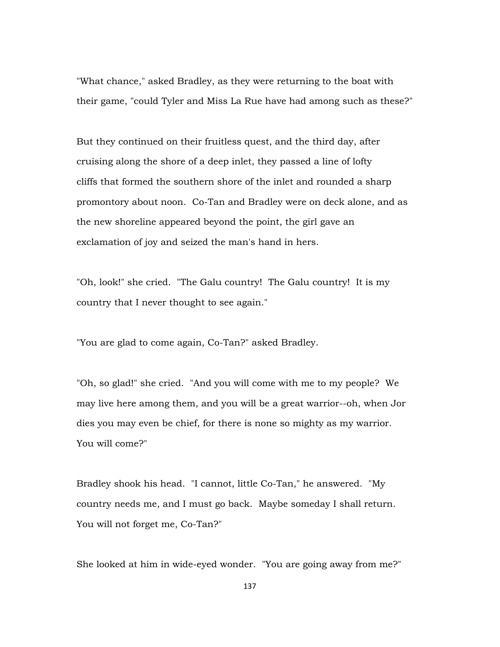"What chance," asked Bradley, as they were returning to the boat with their game, "could Tyler and Miss La Rue have had among such as these?"

But they continued on their fruitless quest, and the third day, after cruising along the shore of a deep inlet, they passed a line of lofty cliffs that formed the southern shore of the inlet and rounded a sharp promontory about noon. Co-Tan and Bradley were on deck alone, and as the new shoreline appeared beyond the point, the girl gave an exclamation of joy and seized the man's hand in hers.

"Oh, look!" she cried. "The Galu country! The Galu country! It is my country that I never thought to see again."

"You are glad to come again, Co-Tan?" asked Bradley.

"Oh, so glad!" she cried. "And you will come with me to my people? We may live here among them, and you will be a great warrior--oh, when Jor dies you may even be chief, for there is none so mighty as my warrior. You will come?"

Bradley shook his head. "I cannot, little Co-Tan," he answered. "My country needs me, and I must go back. Maybe someday I shall return. You will not forget me, Co-Tan?"

She looked at him in wide-eyed wonder. "You are going away from me?"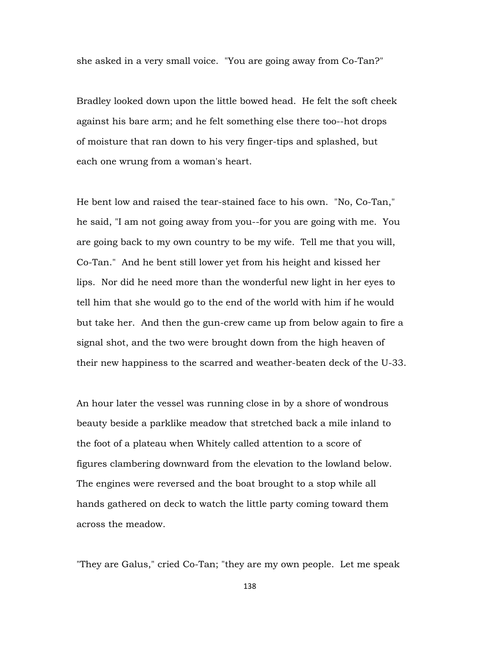she asked in a very small voice. "You are going away from Co-Tan?"

Bradley looked down upon the little bowed head. He felt the soft cheek against his bare arm; and he felt something else there too--hot drops of moisture that ran down to his very finger-tips and splashed, but each one wrung from a woman's heart.

He bent low and raised the tear-stained face to his own. "No, Co-Tan," he said, "I am not going away from you--for you are going with me. You are going back to my own country to be my wife. Tell me that you will, Co-Tan." And he bent still lower yet from his height and kissed her lips. Nor did he need more than the wonderful new light in her eyes to tell him that she would go to the end of the world with him if he would but take her. And then the gun-crew came up from below again to fire a signal shot, and the two were brought down from the high heaven of their new happiness to the scarred and weather-beaten deck of the U-33.

An hour later the vessel was running close in by a shore of wondrous beauty beside a parklike meadow that stretched back a mile inland to the foot of a plateau when Whitely called attention to a score of figures clambering downward from the elevation to the lowland below. The engines were reversed and the boat brought to a stop while all hands gathered on deck to watch the little party coming toward them across the meadow.

"They are Galus," cried Co-Tan; "they are my own people. Let me speak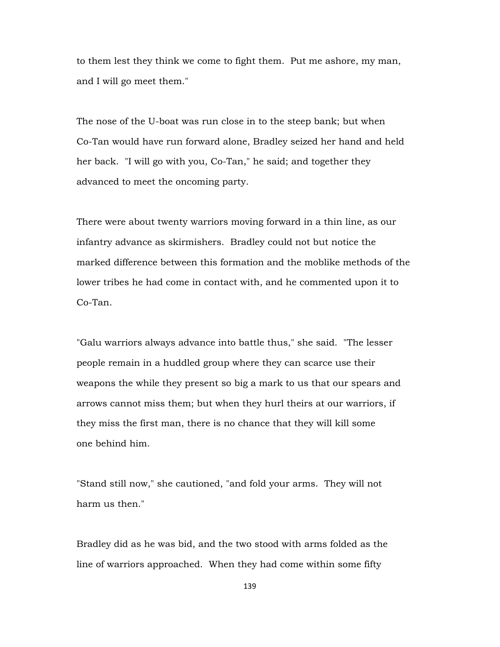to them lest they think we come to fight them. Put me ashore, my man, and I will go meet them."

The nose of the U-boat was run close in to the steep bank; but when Co-Tan would have run forward alone, Bradley seized her hand and held her back. "I will go with you, Co-Tan," he said; and together they advanced to meet the oncoming party.

There were about twenty warriors moving forward in a thin line, as our infantry advance as skirmishers. Bradley could not but notice the marked difference between this formation and the moblike methods of the lower tribes he had come in contact with, and he commented upon it to Co-Tan.

"Galu warriors always advance into battle thus," she said. "The lesser people remain in a huddled group where they can scarce use their weapons the while they present so big a mark to us that our spears and arrows cannot miss them; but when they hurl theirs at our warriors, if they miss the first man, there is no chance that they will kill some one behind him.

"Stand still now," she cautioned, "and fold your arms. They will not harm us then."

Bradley did as he was bid, and the two stood with arms folded as the line of warriors approached. When they had come within some fifty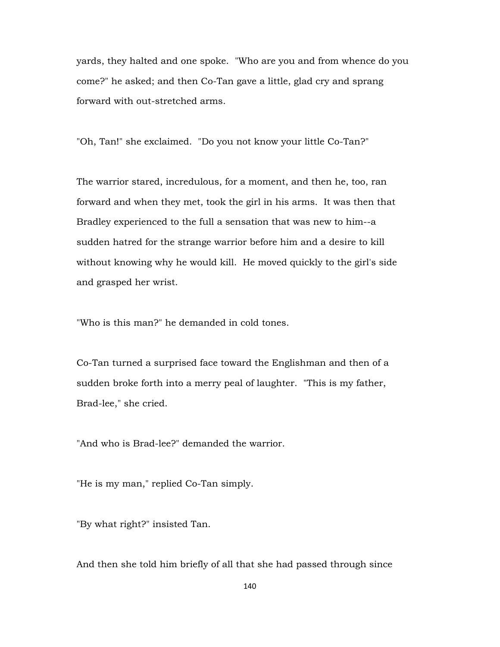yards, they halted and one spoke. "Who are you and from whence do you come?" he asked; and then Co-Tan gave a little, glad cry and sprang forward with out-stretched arms.

"Oh, Tan!" she exclaimed. "Do you not know your little Co-Tan?"

The warrior stared, incredulous, for a moment, and then he, too, ran forward and when they met, took the girl in his arms. It was then that Bradley experienced to the full a sensation that was new to him--a sudden hatred for the strange warrior before him and a desire to kill without knowing why he would kill. He moved quickly to the girl's side and grasped her wrist.

"Who is this man?" he demanded in cold tones.

Co-Tan turned a surprised face toward the Englishman and then of a sudden broke forth into a merry peal of laughter. "This is my father, Brad-lee," she cried.

"And who is Brad-lee?" demanded the warrior.

"He is my man," replied Co-Tan simply.

"By what right?" insisted Tan.

And then she told him briefly of all that she had passed through since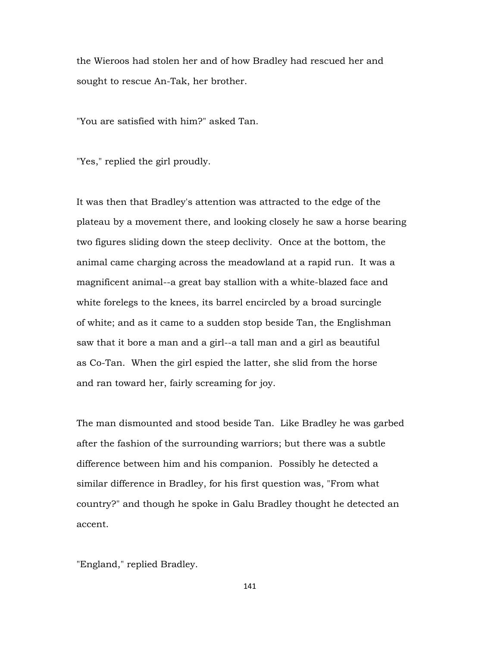the Wieroos had stolen her and of how Bradley had rescued her and sought to rescue An-Tak, her brother.

"You are satisfied with him?" asked Tan.

"Yes," replied the girl proudly.

It was then that Bradley's attention was attracted to the edge of the plateau by a movement there, and looking closely he saw a horse bearing two figures sliding down the steep declivity. Once at the bottom, the animal came charging across the meadowland at a rapid run. It was a magnificent animal--a great bay stallion with a white-blazed face and white forelegs to the knees, its barrel encircled by a broad surcingle of white; and as it came to a sudden stop beside Tan, the Englishman saw that it bore a man and a girl--a tall man and a girl as beautiful as Co-Tan. When the girl espied the latter, she slid from the horse and ran toward her, fairly screaming for joy.

The man dismounted and stood beside Tan. Like Bradley he was garbed after the fashion of the surrounding warriors; but there was a subtle difference between him and his companion. Possibly he detected a similar difference in Bradley, for his first question was, "From what country?" and though he spoke in Galu Bradley thought he detected an accent.

"England," replied Bradley.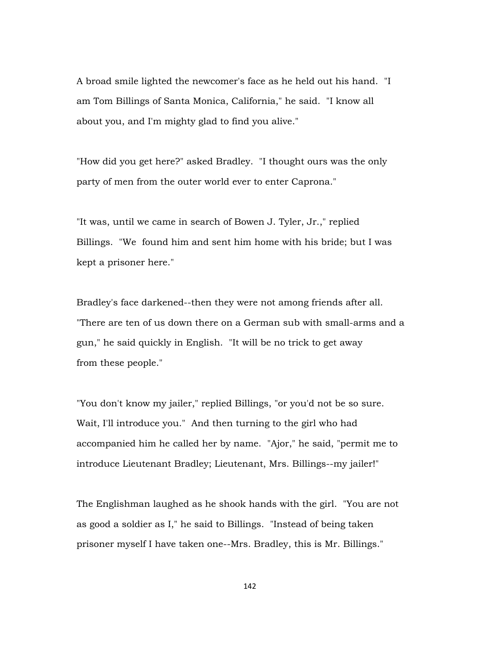A broad smile lighted the newcomer's face as he held out his hand. "I am Tom Billings of Santa Monica, California," he said. "I know all about you, and I'm mighty glad to find you alive."

"How did you get here?" asked Bradley. "I thought ours was the only party of men from the outer world ever to enter Caprona."

"It was, until we came in search of Bowen J. Tyler, Jr.," replied Billings. "We found him and sent him home with his bride; but I was kept a prisoner here."

Bradley's face darkened--then they were not among friends after all. "There are ten of us down there on a German sub with small-arms and a gun," he said quickly in English. "It will be no trick to get away from these people."

"You don't know my jailer," replied Billings, "or you'd not be so sure. Wait, I'll introduce you." And then turning to the girl who had accompanied him he called her by name. "Ajor," he said, "permit me to introduce Lieutenant Bradley; Lieutenant, Mrs. Billings--my jailer!"

The Englishman laughed as he shook hands with the girl. "You are not as good a soldier as I," he said to Billings. "Instead of being taken prisoner myself I have taken one--Mrs. Bradley, this is Mr. Billings."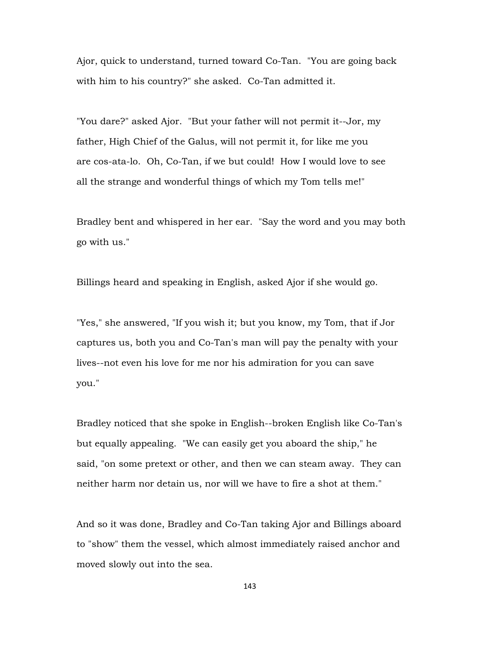Ajor, quick to understand, turned toward Co-Tan. "You are going back with him to his country?" she asked. Co-Tan admitted it.

"You dare?" asked Ajor. "But your father will not permit it--Jor, my father, High Chief of the Galus, will not permit it, for like me you are cos-ata-lo. Oh, Co-Tan, if we but could! How I would love to see all the strange and wonderful things of which my Tom tells me!"

Bradley bent and whispered in her ear. "Say the word and you may both go with us."

Billings heard and speaking in English, asked Ajor if she would go.

"Yes," she answered, "If you wish it; but you know, my Tom, that if Jor captures us, both you and Co-Tan's man will pay the penalty with your lives--not even his love for me nor his admiration for you can save you."

Bradley noticed that she spoke in English--broken English like Co-Tan's but equally appealing. "We can easily get you aboard the ship," he said, "on some pretext or other, and then we can steam away. They can neither harm nor detain us, nor will we have to fire a shot at them."

And so it was done, Bradley and Co-Tan taking Ajor and Billings aboard to "show" them the vessel, which almost immediately raised anchor and moved slowly out into the sea.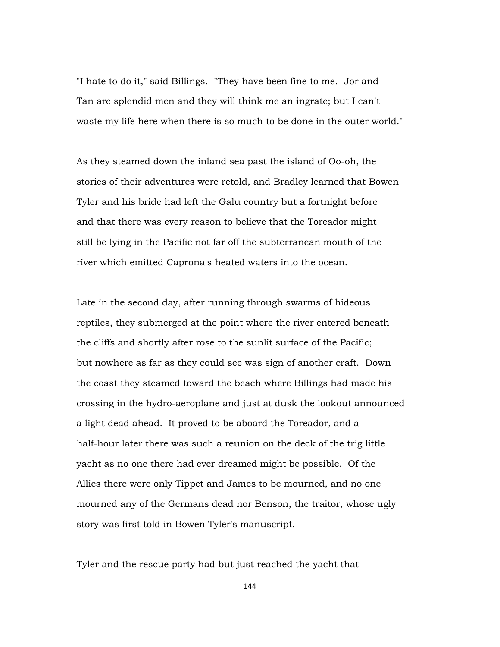"I hate to do it," said Billings. "They have been fine to me. Jor and Tan are splendid men and they will think me an ingrate; but I can't waste my life here when there is so much to be done in the outer world."

As they steamed down the inland sea past the island of Oo-oh, the stories of their adventures were retold, and Bradley learned that Bowen Tyler and his bride had left the Galu country but a fortnight before and that there was every reason to believe that the Toreador might still be lying in the Pacific not far off the subterranean mouth of the river which emitted Caprona's heated waters into the ocean.

Late in the second day, after running through swarms of hideous reptiles, they submerged at the point where the river entered beneath the cliffs and shortly after rose to the sunlit surface of the Pacific; but nowhere as far as they could see was sign of another craft. Down the coast they steamed toward the beach where Billings had made his crossing in the hydro-aeroplane and just at dusk the lookout announced a light dead ahead. It proved to be aboard the Toreador, and a half-hour later there was such a reunion on the deck of the trig little yacht as no one there had ever dreamed might be possible. Of the Allies there were only Tippet and James to be mourned, and no one mourned any of the Germans dead nor Benson, the traitor, whose ugly story was first told in Bowen Tyler's manuscript.

Tyler and the rescue party had but just reached the yacht that